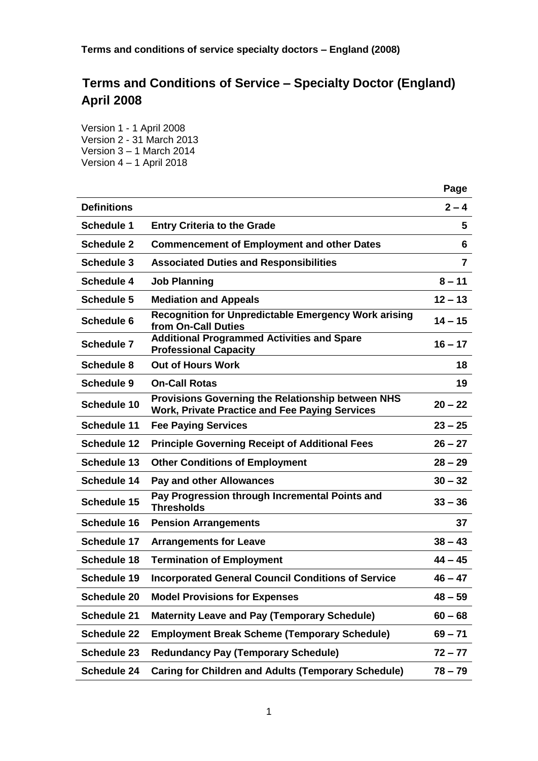# **Terms and Conditions of Service – Specialty Doctor (England) April 2008**

Version 1 - 1 April 2008 Version 2 - 31 March 2013 Version 3 – 1 March 2014 Version 4 – 1 April 2018

|                    |                                                                                                            | Page      |
|--------------------|------------------------------------------------------------------------------------------------------------|-----------|
| <b>Definitions</b> |                                                                                                            | $2 - 4$   |
| <b>Schedule 1</b>  | <b>Entry Criteria to the Grade</b>                                                                         | 5         |
| <b>Schedule 2</b>  | <b>Commencement of Employment and other Dates</b>                                                          | 6         |
| <b>Schedule 3</b>  | <b>Associated Duties and Responsibilities</b>                                                              | 7         |
| <b>Schedule 4</b>  | <b>Job Planning</b>                                                                                        | $8 - 11$  |
| <b>Schedule 5</b>  | <b>Mediation and Appeals</b>                                                                               | $12 - 13$ |
| <b>Schedule 6</b>  | <b>Recognition for Unpredictable Emergency Work arising</b><br>from On-Call Duties                         | $14 - 15$ |
| <b>Schedule 7</b>  | <b>Additional Programmed Activities and Spare</b><br><b>Professional Capacity</b>                          | $16 - 17$ |
| <b>Schedule 8</b>  | <b>Out of Hours Work</b>                                                                                   | 18        |
| <b>Schedule 9</b>  | <b>On-Call Rotas</b>                                                                                       | 19        |
| Schedule 10        | Provisions Governing the Relationship between NHS<br><b>Work, Private Practice and Fee Paying Services</b> | $20 - 22$ |
| <b>Schedule 11</b> | <b>Fee Paying Services</b>                                                                                 | $23 - 25$ |
| <b>Schedule 12</b> | <b>Principle Governing Receipt of Additional Fees</b>                                                      | $26 - 27$ |
| <b>Schedule 13</b> | <b>Other Conditions of Employment</b>                                                                      | $28 - 29$ |
| <b>Schedule 14</b> | <b>Pay and other Allowances</b>                                                                            | $30 - 32$ |
| <b>Schedule 15</b> | Pay Progression through Incremental Points and<br><b>Thresholds</b>                                        | $33 - 36$ |
| <b>Schedule 16</b> | <b>Pension Arrangements</b>                                                                                | 37        |
| <b>Schedule 17</b> | <b>Arrangements for Leave</b>                                                                              | $38 - 43$ |
| <b>Schedule 18</b> | <b>Termination of Employment</b>                                                                           | $44 - 45$ |
| <b>Schedule 19</b> | <b>Incorporated General Council Conditions of Service</b>                                                  | $46 - 47$ |
| <b>Schedule 20</b> | <b>Model Provisions for Expenses</b>                                                                       | $48 - 59$ |
| <b>Schedule 21</b> | <b>Maternity Leave and Pay (Temporary Schedule)</b>                                                        | $60 - 68$ |
| <b>Schedule 22</b> | <b>Employment Break Scheme (Temporary Schedule)</b>                                                        | $69 - 71$ |
| <b>Schedule 23</b> | <b>Redundancy Pay (Temporary Schedule)</b>                                                                 | $72 - 77$ |
| <b>Schedule 24</b> | <b>Caring for Children and Adults (Temporary Schedule)</b>                                                 | $78 - 79$ |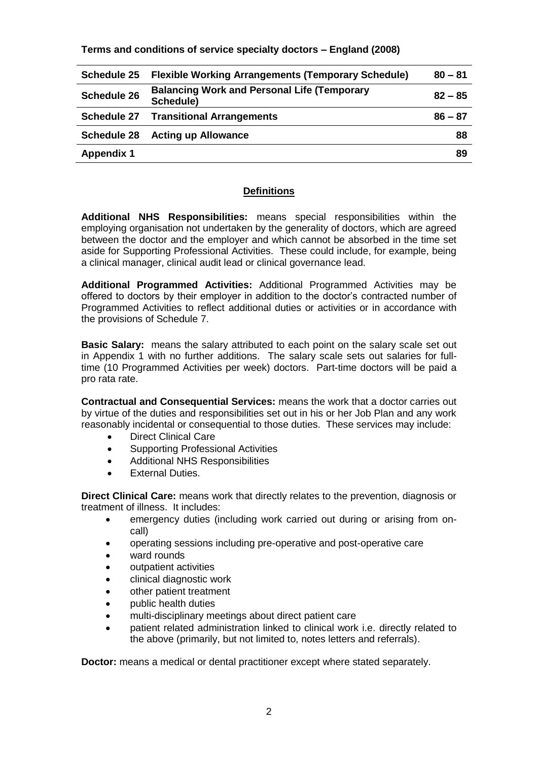|                    | Schedule 25 Flexible Working Arrangements (Temporary Schedule)  | $80 - 81$ |
|--------------------|-----------------------------------------------------------------|-----------|
| <b>Schedule 26</b> | <b>Balancing Work and Personal Life (Temporary</b><br>Schedule) | $82 - 85$ |
|                    | <b>Schedule 27 Transitional Arrangements</b>                    | $86 - 87$ |
| <b>Schedule 28</b> | <b>Acting up Allowance</b>                                      | 88        |
| <b>Appendix 1</b>  |                                                                 | 89        |

# **Definitions**

**Additional NHS Responsibilities:** means special responsibilities within the employing organisation not undertaken by the generality of doctors, which are agreed between the doctor and the employer and which cannot be absorbed in the time set aside for Supporting Professional Activities. These could include, for example, being a clinical manager, clinical audit lead or clinical governance lead.

**Additional Programmed Activities:** Additional Programmed Activities may be offered to doctors by their employer in addition to the doctor's contracted number of Programmed Activities to reflect additional duties or activities or in accordance with the provisions of Schedule 7.

**Basic Salary:** means the salary attributed to each point on the salary scale set out in Appendix 1 with no further additions. The salary scale sets out salaries for fulltime (10 Programmed Activities per week) doctors. Part-time doctors will be paid a pro rata rate.

**Contractual and Consequential Services:** means the work that a doctor carries out by virtue of the duties and responsibilities set out in his or her Job Plan and any work reasonably incidental or consequential to those duties. These services may include:

- Direct Clinical Care
- Supporting Professional Activities
- Additional NHS Responsibilities
- External Duties.

**Direct Clinical Care:** means work that directly relates to the prevention, diagnosis or treatment of illness. It includes:

- emergency duties (including work carried out during or arising from oncall)
- operating sessions including pre-operative and post-operative care
- ward rounds
- outpatient activities
- clinical diagnostic work
- other patient treatment
- public health duties
- multi-disciplinary meetings about direct patient care
- patient related administration linked to clinical work i.e. directly related to the above (primarily, but not limited to, notes letters and referrals).

**Doctor:** means a medical or dental practitioner except where stated separately.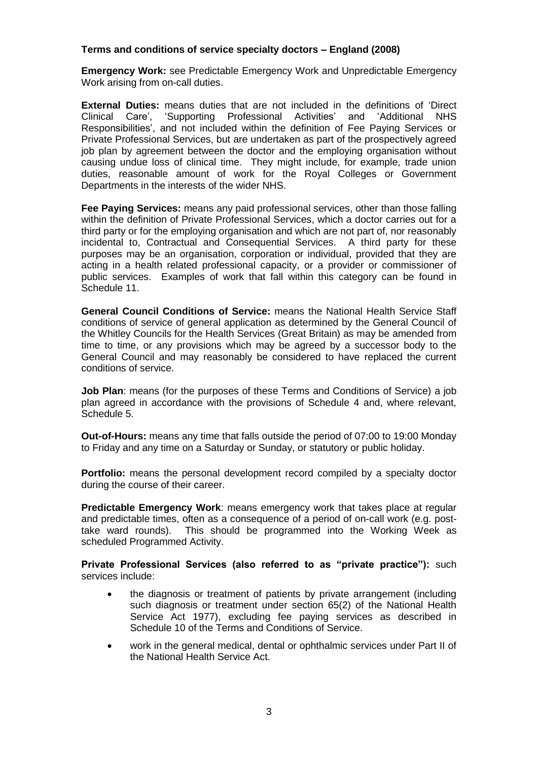**Emergency Work:** see Predictable Emergency Work and Unpredictable Emergency Work arising from on-call duties.

**External Duties:** means duties that are not included in the definitions of 'Direct Clinical Care', 'Supporting Professional Activities' and 'Additional NHS Responsibilities', and not included within the definition of Fee Paying Services or Private Professional Services, but are undertaken as part of the prospectively agreed job plan by agreement between the doctor and the employing organisation without causing undue loss of clinical time. They might include, for example, trade union duties, reasonable amount of work for the Royal Colleges or Government Departments in the interests of the wider NHS.

**Fee Paying Services:** means any paid professional services, other than those falling within the definition of Private Professional Services, which a doctor carries out for a third party or for the employing organisation and which are not part of, nor reasonably incidental to, Contractual and Consequential Services. A third party for these purposes may be an organisation, corporation or individual, provided that they are acting in a health related professional capacity, or a provider or commissioner of public services. Examples of work that fall within this category can be found in Schedule 11.

**General Council Conditions of Service:** means the National Health Service Staff conditions of service of general application as determined by the General Council of the Whitley Councils for the Health Services (Great Britain) as may be amended from time to time, or any provisions which may be agreed by a successor body to the General Council and may reasonably be considered to have replaced the current conditions of service.

**Job Plan**: means (for the purposes of these Terms and Conditions of Service) a job plan agreed in accordance with the provisions of Schedule 4 and, where relevant, Schedule 5.

**Out-of-Hours:** means any time that falls outside the period of 07:00 to 19:00 Monday to Friday and any time on a Saturday or Sunday, or statutory or public holiday.

**Portfolio:** means the personal development record compiled by a specialty doctor during the course of their career.

**Predictable Emergency Work**: means emergency work that takes place at regular and predictable times, often as a consequence of a period of on-call work (e.g. posttake ward rounds). This should be programmed into the Working Week as scheduled Programmed Activity.

**Private Professional Services (also referred to as "private practice"):** such services include:

- the diagnosis or treatment of patients by private arrangement (including such diagnosis or treatment under section 65(2) of the National Health Service Act 1977), excluding fee paying services as described in Schedule 10 of the Terms and Conditions of Service.
- work in the general medical, dental or ophthalmic services under Part II of the National Health Service Act.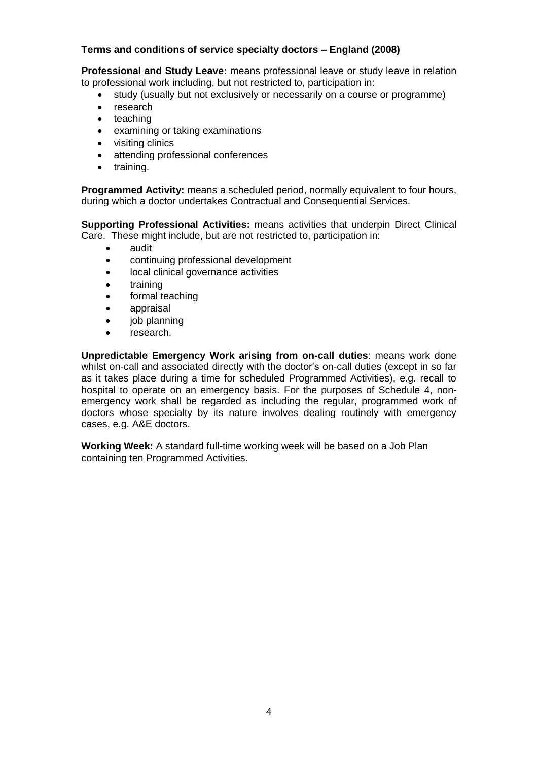**Professional and Study Leave:** means professional leave or study leave in relation to professional work including, but not restricted to, participation in:

- study (usually but not exclusively or necessarily on a course or programme)
- research
- teaching
- examining or taking examinations
- visiting clinics
- attending professional conferences
- training.

**Programmed Activity:** means a scheduled period, normally equivalent to four hours, during which a doctor undertakes Contractual and Consequential Services.

**Supporting Professional Activities:** means activities that underpin Direct Clinical Care. These might include, but are not restricted to, participation in:

- audit
- continuing professional development
- local clinical governance activities
- **training**
- formal teaching
- appraisal
- job planning
- research.

**Unpredictable Emergency Work arising from on-call duties**: means work done whilst on-call and associated directly with the doctor's on-call duties (except in so far as it takes place during a time for scheduled Programmed Activities), e.g. recall to hospital to operate on an emergency basis. For the purposes of Schedule 4, nonemergency work shall be regarded as including the regular, programmed work of doctors whose specialty by its nature involves dealing routinely with emergency cases, e.g. A&E doctors.

**Working Week:** A standard full-time working week will be based on a Job Plan containing ten Programmed Activities.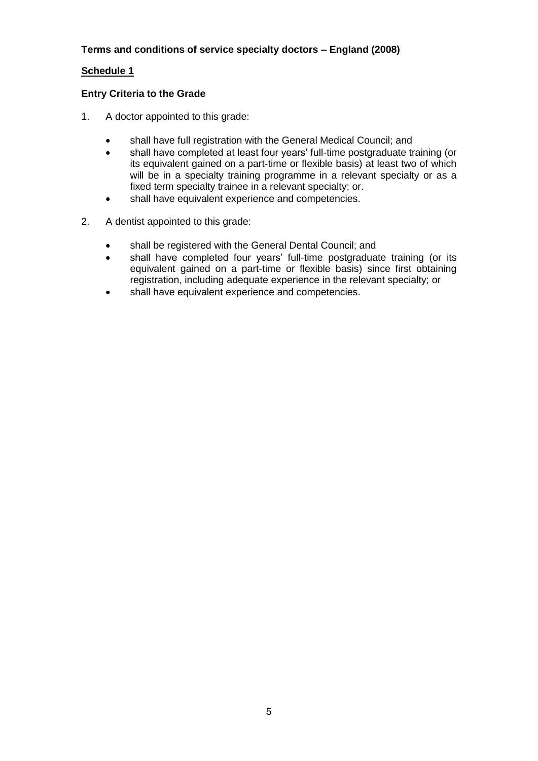# **Schedule 1**

# **Entry Criteria to the Grade**

- 1. A doctor appointed to this grade:
	- shall have full registration with the General Medical Council; and
	- shall have completed at least four years' full-time postgraduate training (or its equivalent gained on a part-time or flexible basis) at least two of which will be in a specialty training programme in a relevant specialty or as a fixed term specialty trainee in a relevant specialty; or.
	- shall have equivalent experience and competencies.
- 2. A dentist appointed to this grade:
	- shall be registered with the General Dental Council; and
	- shall have completed four years' full-time postgraduate training (or its equivalent gained on a part-time or flexible basis) since first obtaining registration, including adequate experience in the relevant specialty; or
	- shall have equivalent experience and competencies.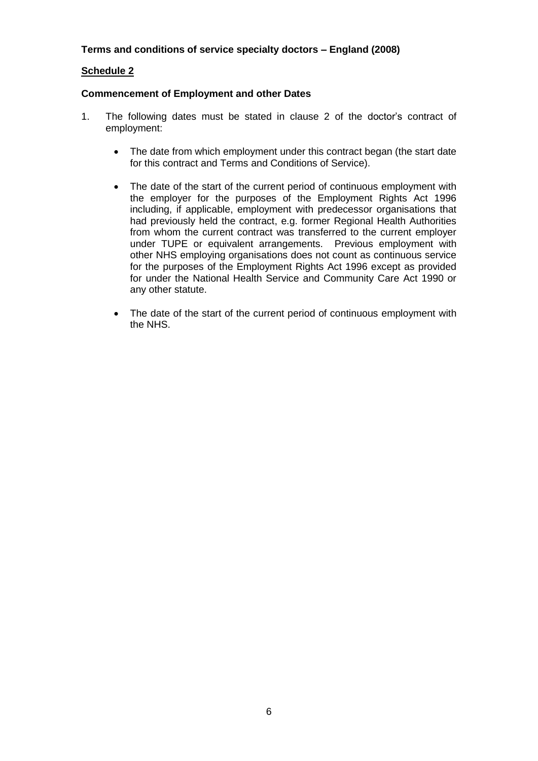# **Schedule 2**

# **Commencement of Employment and other Dates**

- 1. The following dates must be stated in clause 2 of the doctor's contract of employment:
	- The date from which employment under this contract began (the start date for this contract and Terms and Conditions of Service).
	- The date of the start of the current period of continuous employment with the employer for the purposes of the Employment Rights Act 1996 including, if applicable, employment with predecessor organisations that had previously held the contract, e.g. former Regional Health Authorities from whom the current contract was transferred to the current employer under TUPE or equivalent arrangements. Previous employment with other NHS employing organisations does not count as continuous service for the purposes of the Employment Rights Act 1996 except as provided for under the National Health Service and Community Care Act 1990 or any other statute.
	- The date of the start of the current period of continuous employment with the NHS.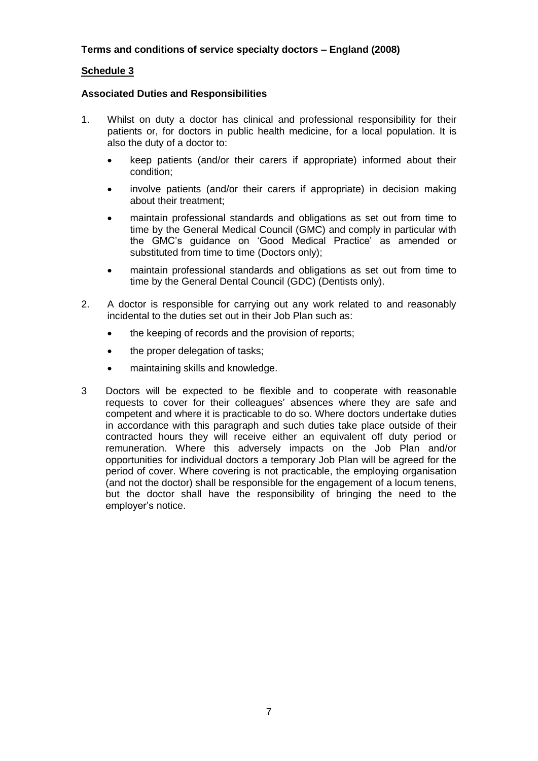# **Schedule 3**

#### **Associated Duties and Responsibilities**

- 1. Whilst on duty a doctor has clinical and professional responsibility for their patients or, for doctors in public health medicine, for a local population. It is also the duty of a doctor to:
	- keep patients (and/or their carers if appropriate) informed about their condition;
	- involve patients (and/or their carers if appropriate) in decision making about their treatment;
	- maintain professional standards and obligations as set out from time to time by the General Medical Council (GMC) and comply in particular with the GMC's guidance on 'Good Medical Practice' as amended or substituted from time to time (Doctors only);
	- maintain professional standards and obligations as set out from time to time by the General Dental Council (GDC) (Dentists only).
- 2. A doctor is responsible for carrying out any work related to and reasonably incidental to the duties set out in their Job Plan such as:
	- the keeping of records and the provision of reports;
	- the proper delegation of tasks;
	- maintaining skills and knowledge.
- 3 Doctors will be expected to be flexible and to cooperate with reasonable requests to cover for their colleagues' absences where they are safe and competent and where it is practicable to do so. Where doctors undertake duties in accordance with this paragraph and such duties take place outside of their contracted hours they will receive either an equivalent off duty period or remuneration. Where this adversely impacts on the Job Plan and/or opportunities for individual doctors a temporary Job Plan will be agreed for the period of cover. Where covering is not practicable, the employing organisation (and not the doctor) shall be responsible for the engagement of a locum tenens, but the doctor shall have the responsibility of bringing the need to the employer's notice.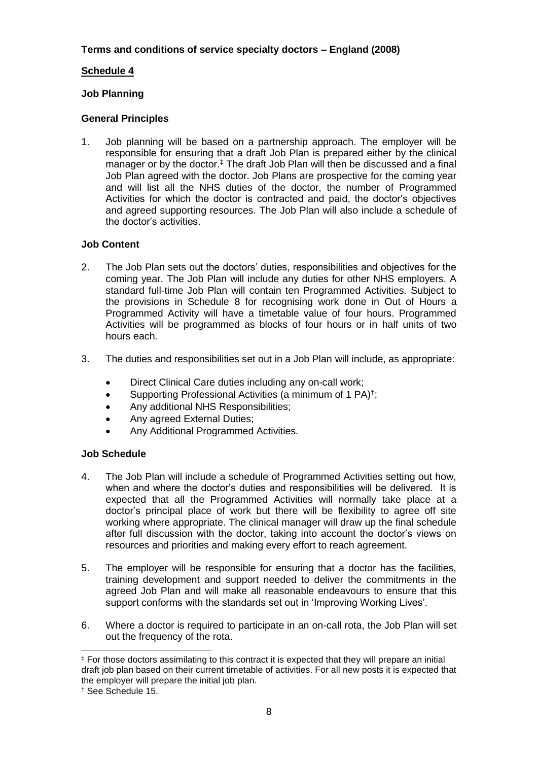# **Schedule 4**

# **Job Planning**

# **General Principles**

1. Job planning will be based on a partnership approach. The employer will be responsible for ensuring that a draft Job Plan is prepared either by the clinical manager or by the doctor.<sup>‡</sup> The draft Job Plan will then be discussed and a final Job Plan agreed with the doctor. Job Plans are prospective for the coming year and will list all the NHS duties of the doctor, the number of Programmed Activities for which the doctor is contracted and paid, the doctor's objectives and agreed supporting resources. The Job Plan will also include a schedule of the doctor's activities.

# **Job Content**

- 2. The Job Plan sets out the doctors' duties, responsibilities and objectives for the coming year. The Job Plan will include any duties for other NHS employers. A standard full-time Job Plan will contain ten Programmed Activities. Subject to the provisions in Schedule 8 for recognising work done in Out of Hours a Programmed Activity will have a timetable value of four hours. Programmed Activities will be programmed as blocks of four hours or in half units of two hours each.
- 3. The duties and responsibilities set out in a Job Plan will include, as appropriate:
	- Direct Clinical Care duties including any on-call work;
	- Supporting Professional Activities (a minimum of 1 PA)<sup>†</sup>;
	- Any additional NHS Responsibilities;
	- Any agreed External Duties;
	- Any Additional Programmed Activities.

#### **Job Schedule**

- 4. The Job Plan will include a schedule of Programmed Activities setting out how, when and where the doctor's duties and responsibilities will be delivered. It is expected that all the Programmed Activities will normally take place at a doctor's principal place of work but there will be flexibility to agree off site working where appropriate. The clinical manager will draw up the final schedule after full discussion with the doctor, taking into account the doctor's views on resources and priorities and making every effort to reach agreement.
- 5. The employer will be responsible for ensuring that a doctor has the facilities, training development and support needed to deliver the commitments in the agreed Job Plan and will make all reasonable endeavours to ensure that this support conforms with the standards set out in 'Improving Working Lives'.
- 6. Where a doctor is required to participate in an on-call rota, the Job Plan will set out the frequency of the rota.

<sup>-</sup>‡ For those doctors assimilating to this contract it is expected that they will prepare an initial draft job plan based on their current timetable of activities. For all new posts it is expected that the employer will prepare the initial job plan.

<sup>†</sup> See Schedule 15.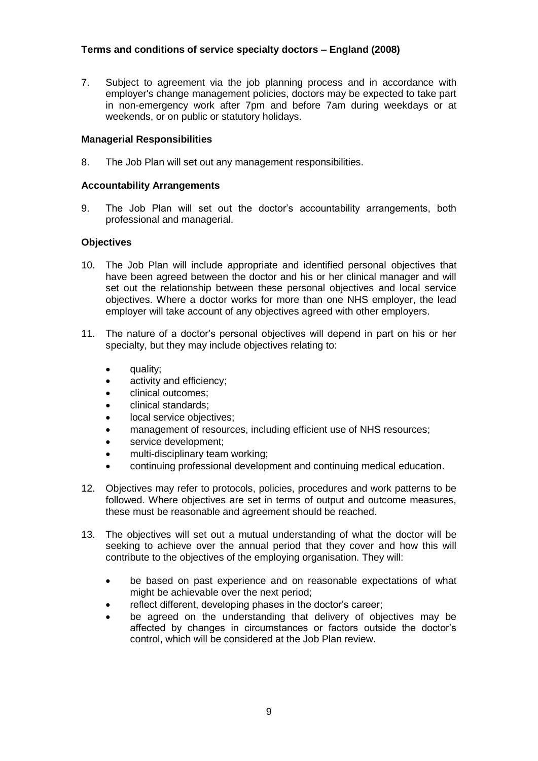7. Subject to agreement via the job planning process and in accordance with employer's change management policies, doctors may be expected to take part in non-emergency work after 7pm and before 7am during weekdays or at weekends, or on public or statutory holidays.

#### **Managerial Responsibilities**

8. The Job Plan will set out any management responsibilities.

#### **Accountability Arrangements**

9. The Job Plan will set out the doctor's accountability arrangements, both professional and managerial.

#### **Objectives**

- 10. The Job Plan will include appropriate and identified personal objectives that have been agreed between the doctor and his or her clinical manager and will set out the relationship between these personal objectives and local service objectives. Where a doctor works for more than one NHS employer, the lead employer will take account of any objectives agreed with other employers.
- 11. The nature of a doctor's personal objectives will depend in part on his or her specialty, but they may include objectives relating to:
	- quality;
	- activity and efficiency;
	- clinical outcomes;
	- clinical standards;
	- local service objectives;
	- management of resources, including efficient use of NHS resources;
	- service development:
	- multi-disciplinary team working;
	- continuing professional development and continuing medical education.
- 12. Objectives may refer to protocols, policies, procedures and work patterns to be followed. Where objectives are set in terms of output and outcome measures, these must be reasonable and agreement should be reached.
- 13. The objectives will set out a mutual understanding of what the doctor will be seeking to achieve over the annual period that they cover and how this will contribute to the objectives of the employing organisation. They will:
	- be based on past experience and on reasonable expectations of what might be achievable over the next period;
	- reflect different, developing phases in the doctor's career;
	- be agreed on the understanding that delivery of objectives may be affected by changes in circumstances or factors outside the doctor's control, which will be considered at the Job Plan review.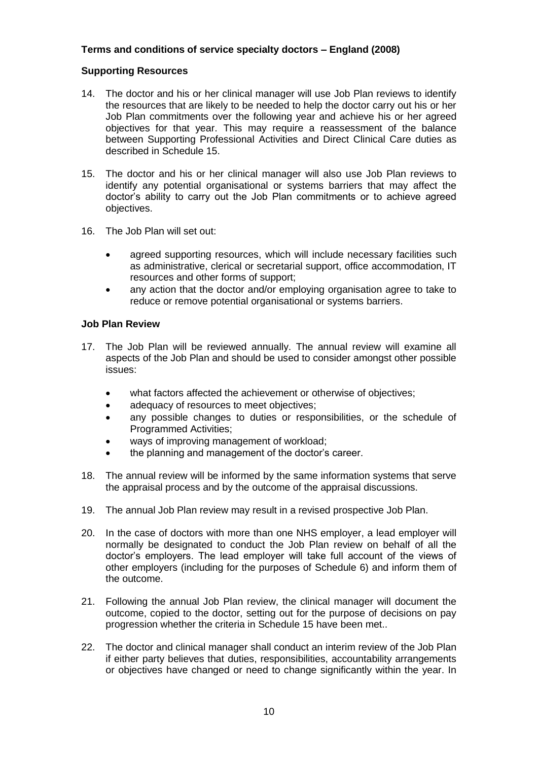#### **Supporting Resources**

- 14. The doctor and his or her clinical manager will use Job Plan reviews to identify the resources that are likely to be needed to help the doctor carry out his or her Job Plan commitments over the following year and achieve his or her agreed objectives for that year. This may require a reassessment of the balance between Supporting Professional Activities and Direct Clinical Care duties as described in Schedule 15.
- 15. The doctor and his or her clinical manager will also use Job Plan reviews to identify any potential organisational or systems barriers that may affect the doctor's ability to carry out the Job Plan commitments or to achieve agreed objectives.
- 16. The Job Plan will set out:
	- agreed supporting resources, which will include necessary facilities such as administrative, clerical or secretarial support, office accommodation, IT resources and other forms of support;
	- any action that the doctor and/or employing organisation agree to take to reduce or remove potential organisational or systems barriers.

#### **Job Plan Review**

- 17. The Job Plan will be reviewed annually. The annual review will examine all aspects of the Job Plan and should be used to consider amongst other possible issues:
	- what factors affected the achievement or otherwise of objectives;
	- adequacy of resources to meet objectives;
	- any possible changes to duties or responsibilities, or the schedule of Programmed Activities;
	- ways of improving management of workload;
	- the planning and management of the doctor's career.
- 18. The annual review will be informed by the same information systems that serve the appraisal process and by the outcome of the appraisal discussions.
- 19. The annual Job Plan review may result in a revised prospective Job Plan.
- 20. In the case of doctors with more than one NHS employer, a lead employer will normally be designated to conduct the Job Plan review on behalf of all the doctor's employers. The lead employer will take full account of the views of other employers (including for the purposes of Schedule 6) and inform them of the outcome.
- 21. Following the annual Job Plan review, the clinical manager will document the outcome, copied to the doctor, setting out for the purpose of decisions on pay progression whether the criteria in Schedule 15 have been met..
- 22. The doctor and clinical manager shall conduct an interim review of the Job Plan if either party believes that duties, responsibilities, accountability arrangements or objectives have changed or need to change significantly within the year. In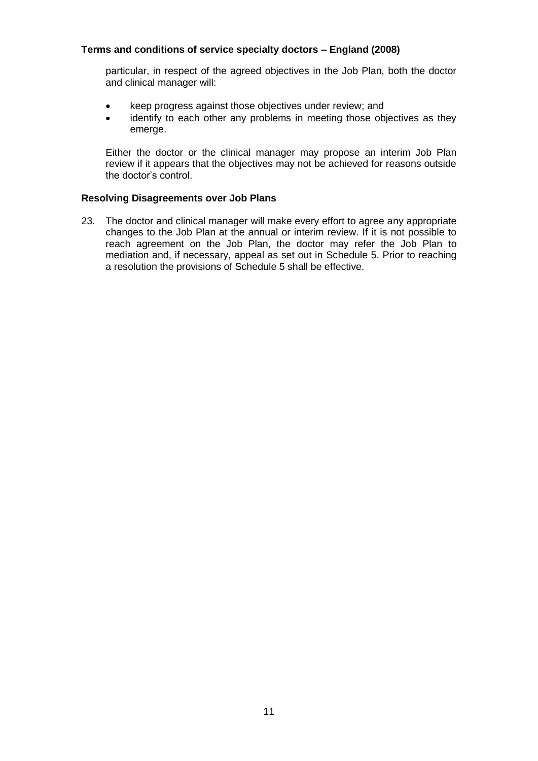particular, in respect of the agreed objectives in the Job Plan, both the doctor and clinical manager will:

- keep progress against those objectives under review; and
- identify to each other any problems in meeting those objectives as they emerge.

Either the doctor or the clinical manager may propose an interim Job Plan review if it appears that the objectives may not be achieved for reasons outside the doctor's control.

#### **Resolving Disagreements over Job Plans**

23. The doctor and clinical manager will make every effort to agree any appropriate changes to the Job Plan at the annual or interim review. If it is not possible to reach agreement on the Job Plan, the doctor may refer the Job Plan to mediation and, if necessary, appeal as set out in Schedule 5. Prior to reaching a resolution the provisions of Schedule 5 shall be effective.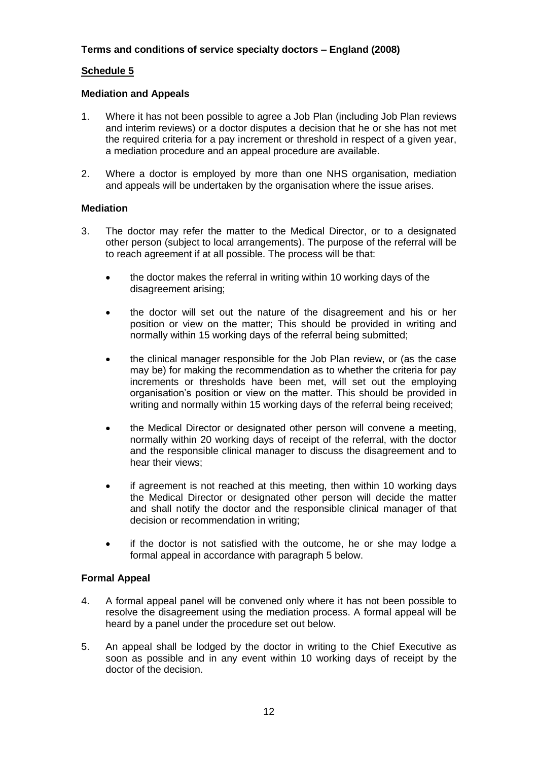# **Schedule 5**

#### **Mediation and Appeals**

- 1. Where it has not been possible to agree a Job Plan (including Job Plan reviews and interim reviews) or a doctor disputes a decision that he or she has not met the required criteria for a pay increment or threshold in respect of a given year, a mediation procedure and an appeal procedure are available.
- 2. Where a doctor is employed by more than one NHS organisation, mediation and appeals will be undertaken by the organisation where the issue arises.

#### **Mediation**

- 3. The doctor may refer the matter to the Medical Director, or to a designated other person (subject to local arrangements). The purpose of the referral will be to reach agreement if at all possible. The process will be that:
	- the doctor makes the referral in writing within 10 working days of the disagreement arising;
	- the doctor will set out the nature of the disagreement and his or her position or view on the matter; This should be provided in writing and normally within 15 working days of the referral being submitted;
	- the clinical manager responsible for the Job Plan review, or (as the case may be) for making the recommendation as to whether the criteria for pay increments or thresholds have been met, will set out the employing organisation's position or view on the matter. This should be provided in writing and normally within 15 working days of the referral being received;
	- the Medical Director or designated other person will convene a meeting, normally within 20 working days of receipt of the referral, with the doctor and the responsible clinical manager to discuss the disagreement and to hear their views;
	- if agreement is not reached at this meeting, then within 10 working days the Medical Director or designated other person will decide the matter and shall notify the doctor and the responsible clinical manager of that decision or recommendation in writing;
	- if the doctor is not satisfied with the outcome, he or she may lodge a formal appeal in accordance with paragraph 5 below.

#### **Formal Appeal**

- 4. A formal appeal panel will be convened only where it has not been possible to resolve the disagreement using the mediation process. A formal appeal will be heard by a panel under the procedure set out below.
- 5. An appeal shall be lodged by the doctor in writing to the Chief Executive as soon as possible and in any event within 10 working days of receipt by the doctor of the decision.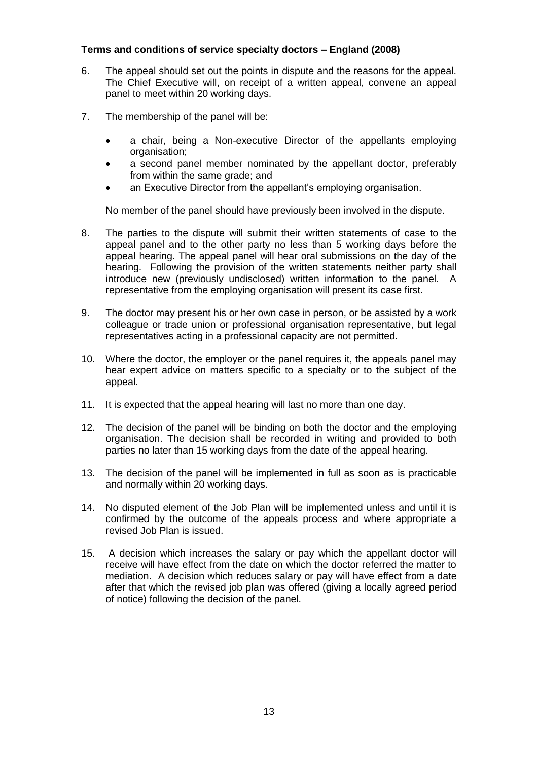- 6. The appeal should set out the points in dispute and the reasons for the appeal. The Chief Executive will, on receipt of a written appeal, convene an appeal panel to meet within 20 working days.
- 7. The membership of the panel will be:
	- a chair, being a Non-executive Director of the appellants employing organisation;
	- a second panel member nominated by the appellant doctor, preferably from within the same grade; and
	- an Executive Director from the appellant's employing organisation.

No member of the panel should have previously been involved in the dispute.

- 8. The parties to the dispute will submit their written statements of case to the appeal panel and to the other party no less than 5 working days before the appeal hearing. The appeal panel will hear oral submissions on the day of the hearing. Following the provision of the written statements neither party shall introduce new (previously undisclosed) written information to the panel. A representative from the employing organisation will present its case first.
- 9. The doctor may present his or her own case in person, or be assisted by a work colleague or trade union or professional organisation representative, but legal representatives acting in a professional capacity are not permitted.
- 10. Where the doctor, the employer or the panel requires it, the appeals panel may hear expert advice on matters specific to a specialty or to the subject of the appeal.
- 11. It is expected that the appeal hearing will last no more than one day.
- 12. The decision of the panel will be binding on both the doctor and the employing organisation. The decision shall be recorded in writing and provided to both parties no later than 15 working days from the date of the appeal hearing.
- 13. The decision of the panel will be implemented in full as soon as is practicable and normally within 20 working days.
- 14. No disputed element of the Job Plan will be implemented unless and until it is confirmed by the outcome of the appeals process and where appropriate a revised Job Plan is issued.
- 15. A decision which increases the salary or pay which the appellant doctor will receive will have effect from the date on which the doctor referred the matter to mediation. A decision which reduces salary or pay will have effect from a date after that which the revised job plan was offered (giving a locally agreed period of notice) following the decision of the panel.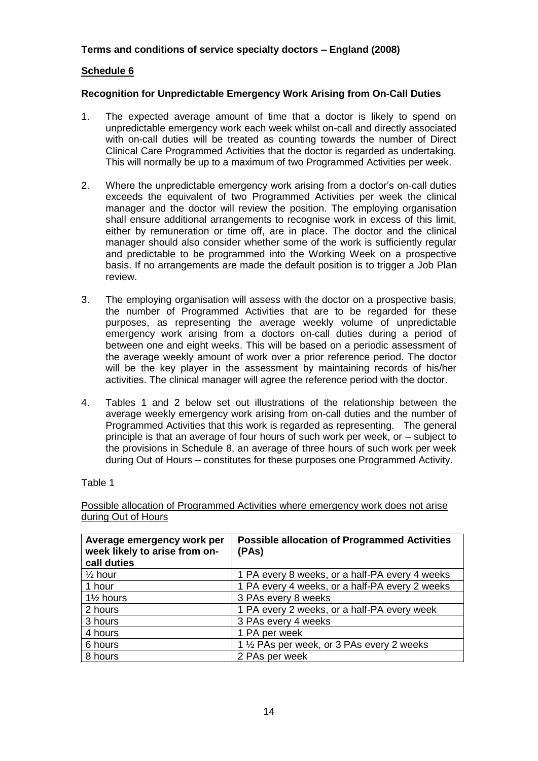# **Schedule 6**

### **Recognition for Unpredictable Emergency Work Arising from On-Call Duties**

- 1. The expected average amount of time that a doctor is likely to spend on unpredictable emergency work each week whilst on-call and directly associated with on-call duties will be treated as counting towards the number of Direct Clinical Care Programmed Activities that the doctor is regarded as undertaking. This will normally be up to a maximum of two Programmed Activities per week.
- 2. Where the unpredictable emergency work arising from a doctor's on-call duties exceeds the equivalent of two Programmed Activities per week the clinical manager and the doctor will review the position. The employing organisation shall ensure additional arrangements to recognise work in excess of this limit, either by remuneration or time off, are in place. The doctor and the clinical manager should also consider whether some of the work is sufficiently regular and predictable to be programmed into the Working Week on a prospective basis. If no arrangements are made the default position is to trigger a Job Plan review.
- 3. The employing organisation will assess with the doctor on a prospective basis, the number of Programmed Activities that are to be regarded for these purposes, as representing the average weekly volume of unpredictable emergency work arising from a doctors on-call duties during a period of between one and eight weeks. This will be based on a periodic assessment of the average weekly amount of work over a prior reference period. The doctor will be the key player in the assessment by maintaining records of his/her activities. The clinical manager will agree the reference period with the doctor.
- 4. Tables 1 and 2 below set out illustrations of the relationship between the average weekly emergency work arising from on-call duties and the number of Programmed Activities that this work is regarded as representing. The general principle is that an average of four hours of such work per week, or – subject to the provisions in Schedule 8, an average of three hours of such work per week during Out of Hours – constitutes for these purposes one Programmed Activity.

Table 1

Possible allocation of Programmed Activities where emergency work does not arise during Out of Hours

| Average emergency work per<br>week likely to arise from on-<br>call duties | <b>Possible allocation of Programmed Activities</b><br>(PAs) |
|----------------------------------------------------------------------------|--------------------------------------------------------------|
| $\frac{1}{2}$ hour                                                         | 1 PA every 8 weeks, or a half-PA every 4 weeks               |
| 1 hour                                                                     | 1 PA every 4 weeks, or a half-PA every 2 weeks               |
| $1\frac{1}{2}$ hours                                                       | 3 PAs every 8 weeks                                          |
| 2 hours                                                                    | 1 PA every 2 weeks, or a half-PA every week                  |
| 3 hours                                                                    | 3 PAs every 4 weeks                                          |
| 4 hours                                                                    | 1 PA per week                                                |
| 6 hours                                                                    | 1 1/2 PAs per week, or 3 PAs every 2 weeks                   |
| 8 hours                                                                    | 2 PAs per week                                               |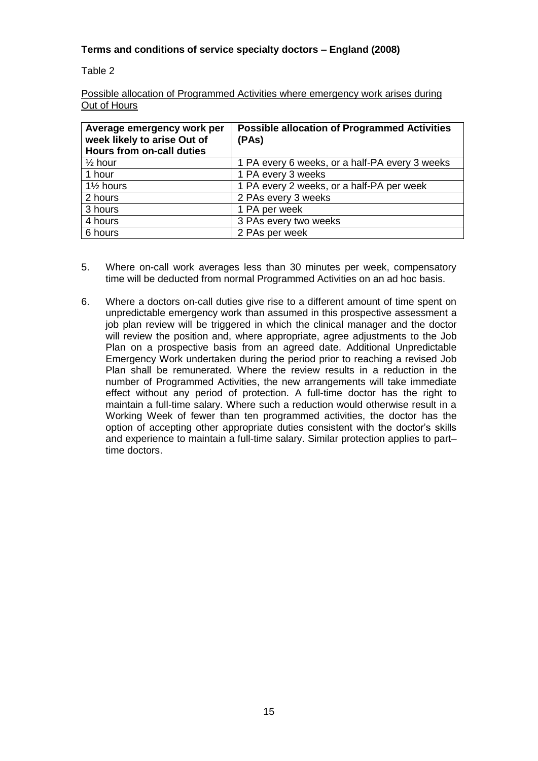Table 2

Possible allocation of Programmed Activities where emergency work arises during Out of Hours

| Average emergency work per<br>week likely to arise Out of<br><b>Hours from on-call duties</b> | <b>Possible allocation of Programmed Activities</b><br>(PAs) |
|-----------------------------------------------------------------------------------------------|--------------------------------------------------------------|
| $\frac{1}{2}$ hour                                                                            | 1 PA every 6 weeks, or a half-PA every 3 weeks               |
| 1 hour                                                                                        | 1 PA every 3 weeks                                           |
| 1 <sup>1</sup> / <sub>2</sub> hours                                                           | 1 PA every 2 weeks, or a half-PA per week                    |
| 2 hours                                                                                       | 2 PAs every 3 weeks                                          |
| 3 hours                                                                                       | 1 PA per week                                                |
| 4 hours                                                                                       | 3 PAs every two weeks                                        |
| 6 hours                                                                                       | 2 PAs per week                                               |

- 5. Where on-call work averages less than 30 minutes per week, compensatory time will be deducted from normal Programmed Activities on an ad hoc basis.
- 6. Where a doctors on-call duties give rise to a different amount of time spent on unpredictable emergency work than assumed in this prospective assessment a job plan review will be triggered in which the clinical manager and the doctor will review the position and, where appropriate, agree adjustments to the Job Plan on a prospective basis from an agreed date. Additional Unpredictable Emergency Work undertaken during the period prior to reaching a revised Job Plan shall be remunerated. Where the review results in a reduction in the number of Programmed Activities, the new arrangements will take immediate effect without any period of protection. A full-time doctor has the right to maintain a full-time salary. Where such a reduction would otherwise result in a Working Week of fewer than ten programmed activities, the doctor has the option of accepting other appropriate duties consistent with the doctor's skills and experience to maintain a full-time salary. Similar protection applies to part– time doctors.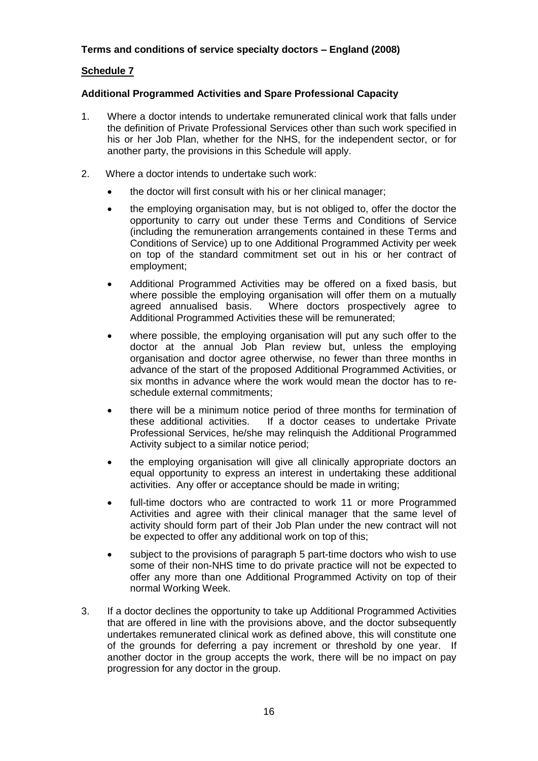#### **Schedule 7**

#### **Additional Programmed Activities and Spare Professional Capacity**

- 1. Where a doctor intends to undertake remunerated clinical work that falls under the definition of Private Professional Services other than such work specified in his or her Job Plan, whether for the NHS, for the independent sector, or for another party, the provisions in this Schedule will apply.
- 2. Where a doctor intends to undertake such work:
	- the doctor will first consult with his or her clinical manager;
	- the employing organisation may, but is not obliged to, offer the doctor the opportunity to carry out under these Terms and Conditions of Service (including the remuneration arrangements contained in these Terms and Conditions of Service) up to one Additional Programmed Activity per week on top of the standard commitment set out in his or her contract of employment;
	- Additional Programmed Activities may be offered on a fixed basis, but where possible the employing organisation will offer them on a mutually agreed annualised basis. Where doctors prospectively agree to Additional Programmed Activities these will be remunerated;
	- where possible, the employing organisation will put any such offer to the doctor at the annual Job Plan review but, unless the employing organisation and doctor agree otherwise, no fewer than three months in advance of the start of the proposed Additional Programmed Activities, or six months in advance where the work would mean the doctor has to reschedule external commitments;
	- there will be a minimum notice period of three months for termination of these additional activities. If a doctor ceases to undertake Private Professional Services, he/she may relinquish the Additional Programmed Activity subject to a similar notice period;
	- the employing organisation will give all clinically appropriate doctors an equal opportunity to express an interest in undertaking these additional activities. Any offer or acceptance should be made in writing;
	- full-time doctors who are contracted to work 11 or more Programmed Activities and agree with their clinical manager that the same level of activity should form part of their Job Plan under the new contract will not be expected to offer any additional work on top of this;
	- subject to the provisions of paragraph 5 part-time doctors who wish to use some of their non-NHS time to do private practice will not be expected to offer any more than one Additional Programmed Activity on top of their normal Working Week.
- 3. If a doctor declines the opportunity to take up Additional Programmed Activities that are offered in line with the provisions above, and the doctor subsequently undertakes remunerated clinical work as defined above, this will constitute one of the grounds for deferring a pay increment or threshold by one year. If another doctor in the group accepts the work, there will be no impact on pay progression for any doctor in the group.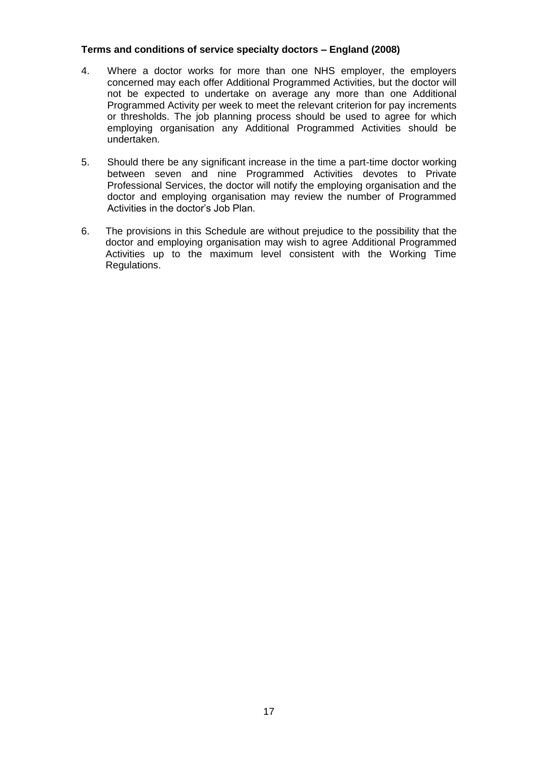- 4. Where a doctor works for more than one NHS employer, the employers concerned may each offer Additional Programmed Activities, but the doctor will not be expected to undertake on average any more than one Additional Programmed Activity per week to meet the relevant criterion for pay increments or thresholds. The job planning process should be used to agree for which employing organisation any Additional Programmed Activities should be undertaken.
- 5. Should there be any significant increase in the time a part-time doctor working between seven and nine Programmed Activities devotes to Private Professional Services, the doctor will notify the employing organisation and the doctor and employing organisation may review the number of Programmed Activities in the doctor's Job Plan.
- 6. The provisions in this Schedule are without prejudice to the possibility that the doctor and employing organisation may wish to agree Additional Programmed Activities up to the maximum level consistent with the Working Time Regulations.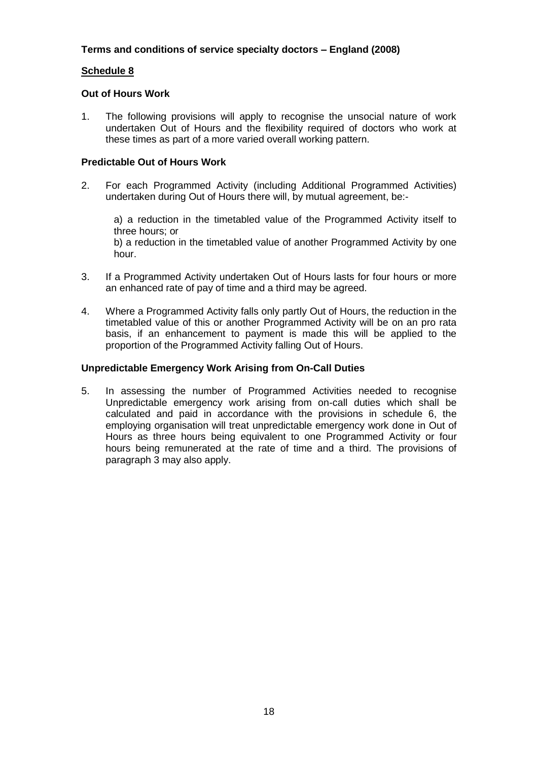#### **Schedule 8**

#### **Out of Hours Work**

1. The following provisions will apply to recognise the unsocial nature of work undertaken Out of Hours and the flexibility required of doctors who work at these times as part of a more varied overall working pattern.

#### **Predictable Out of Hours Work**

2. For each Programmed Activity (including Additional Programmed Activities) undertaken during Out of Hours there will, by mutual agreement, be:-

a) a reduction in the timetabled value of the Programmed Activity itself to three hours; or b) a reduction in the timetabled value of another Programmed Activity by one hour.

- 3. If a Programmed Activity undertaken Out of Hours lasts for four hours or more an enhanced rate of pay of time and a third may be agreed.
- 4. Where a Programmed Activity falls only partly Out of Hours, the reduction in the timetabled value of this or another Programmed Activity will be on an pro rata basis, if an enhancement to payment is made this will be applied to the proportion of the Programmed Activity falling Out of Hours.

#### **Unpredictable Emergency Work Arising from On-Call Duties**

5. In assessing the number of Programmed Activities needed to recognise Unpredictable emergency work arising from on-call duties which shall be calculated and paid in accordance with the provisions in schedule 6, the employing organisation will treat unpredictable emergency work done in Out of Hours as three hours being equivalent to one Programmed Activity or four hours being remunerated at the rate of time and a third. The provisions of paragraph 3 may also apply.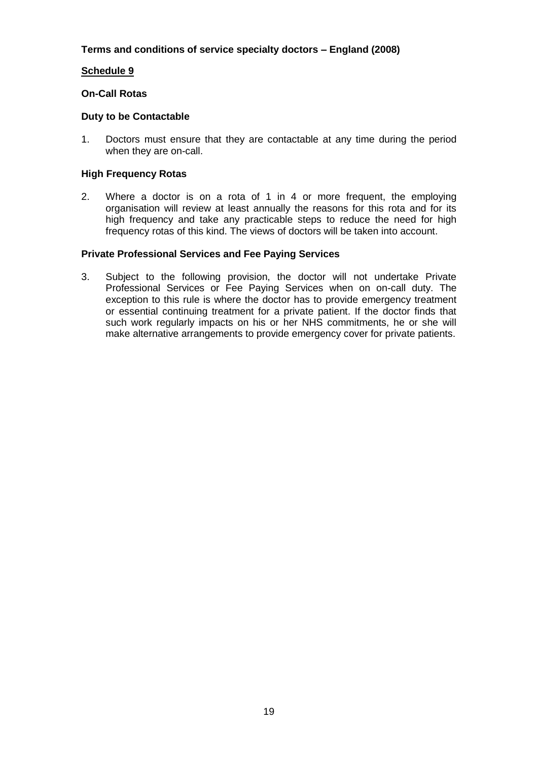#### **Schedule 9**

#### **On-Call Rotas**

#### **Duty to be Contactable**

1. Doctors must ensure that they are contactable at any time during the period when they are on-call.

#### **High Frequency Rotas**

2. Where a doctor is on a rota of 1 in 4 or more frequent, the employing organisation will review at least annually the reasons for this rota and for its high frequency and take any practicable steps to reduce the need for high frequency rotas of this kind. The views of doctors will be taken into account.

#### **Private Professional Services and Fee Paying Services**

3. Subject to the following provision, the doctor will not undertake Private Professional Services or Fee Paying Services when on on-call duty. The exception to this rule is where the doctor has to provide emergency treatment or essential continuing treatment for a private patient. If the doctor finds that such work regularly impacts on his or her NHS commitments, he or she will make alternative arrangements to provide emergency cover for private patients.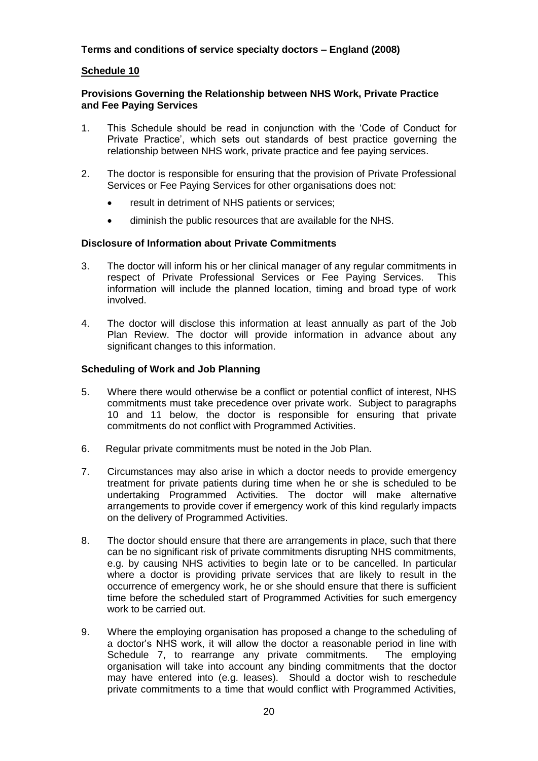#### **Schedule 10**

#### **Provisions Governing the Relationship between NHS Work, Private Practice and Fee Paying Services**

- 1. This Schedule should be read in conjunction with the 'Code of Conduct for Private Practice', which sets out standards of best practice governing the relationship between NHS work, private practice and fee paying services.
- 2. The doctor is responsible for ensuring that the provision of Private Professional Services or Fee Paying Services for other organisations does not:
	- result in detriment of NHS patients or services;
	- diminish the public resources that are available for the NHS.

#### **Disclosure of Information about Private Commitments**

- 3. The doctor will inform his or her clinical manager of any regular commitments in respect of Private Professional Services or Fee Paying Services. This information will include the planned location, timing and broad type of work involved.
- 4. The doctor will disclose this information at least annually as part of the Job Plan Review. The doctor will provide information in advance about any significant changes to this information.

#### **Scheduling of Work and Job Planning**

- 5. Where there would otherwise be a conflict or potential conflict of interest, NHS commitments must take precedence over private work. Subject to paragraphs 10 and 11 below, the doctor is responsible for ensuring that private commitments do not conflict with Programmed Activities.
- 6. Regular private commitments must be noted in the Job Plan.
- 7. Circumstances may also arise in which a doctor needs to provide emergency treatment for private patients during time when he or she is scheduled to be undertaking Programmed Activities. The doctor will make alternative arrangements to provide cover if emergency work of this kind regularly impacts on the delivery of Programmed Activities.
- 8. The doctor should ensure that there are arrangements in place, such that there can be no significant risk of private commitments disrupting NHS commitments, e.g. by causing NHS activities to begin late or to be cancelled. In particular where a doctor is providing private services that are likely to result in the occurrence of emergency work, he or she should ensure that there is sufficient time before the scheduled start of Programmed Activities for such emergency work to be carried out.
- 9. Where the employing organisation has proposed a change to the scheduling of a doctor's NHS work, it will allow the doctor a reasonable period in line with Schedule 7, to rearrange any private commitments. The employing organisation will take into account any binding commitments that the doctor may have entered into (e.g. leases). Should a doctor wish to reschedule private commitments to a time that would conflict with Programmed Activities,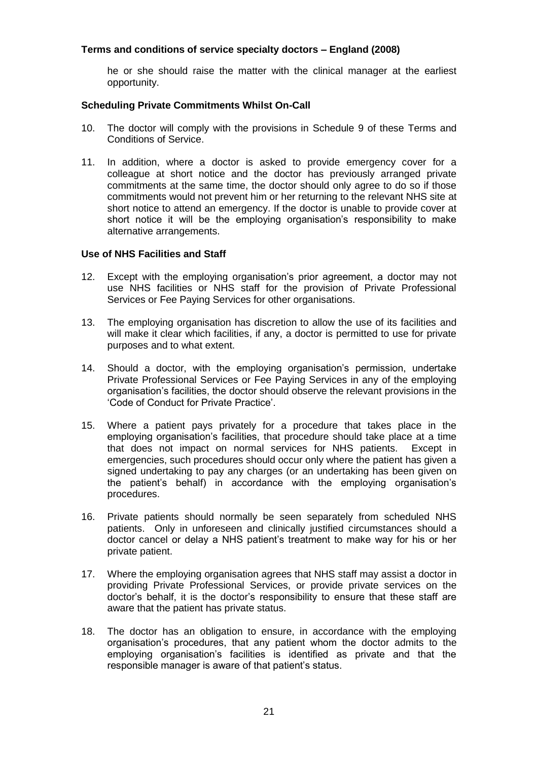he or she should raise the matter with the clinical manager at the earliest opportunity.

#### **Scheduling Private Commitments Whilst On-Call**

- 10. The doctor will comply with the provisions in Schedule 9 of these Terms and Conditions of Service.
- 11. In addition, where a doctor is asked to provide emergency cover for a colleague at short notice and the doctor has previously arranged private commitments at the same time, the doctor should only agree to do so if those commitments would not prevent him or her returning to the relevant NHS site at short notice to attend an emergency. If the doctor is unable to provide cover at short notice it will be the employing organisation's responsibility to make alternative arrangements.

#### **Use of NHS Facilities and Staff**

- 12. Except with the employing organisation's prior agreement, a doctor may not use NHS facilities or NHS staff for the provision of Private Professional Services or Fee Paying Services for other organisations.
- 13. The employing organisation has discretion to allow the use of its facilities and will make it clear which facilities, if any, a doctor is permitted to use for private purposes and to what extent.
- 14. Should a doctor, with the employing organisation's permission, undertake Private Professional Services or Fee Paying Services in any of the employing organisation's facilities, the doctor should observe the relevant provisions in the 'Code of Conduct for Private Practice'.
- 15. Where a patient pays privately for a procedure that takes place in the employing organisation's facilities, that procedure should take place at a time that does not impact on normal services for NHS patients. Except in emergencies, such procedures should occur only where the patient has given a signed undertaking to pay any charges (or an undertaking has been given on the patient's behalf) in accordance with the employing organisation's procedures.
- 16. Private patients should normally be seen separately from scheduled NHS patients. Only in unforeseen and clinically justified circumstances should a doctor cancel or delay a NHS patient's treatment to make way for his or her private patient.
- 17. Where the employing organisation agrees that NHS staff may assist a doctor in providing Private Professional Services, or provide private services on the doctor's behalf, it is the doctor's responsibility to ensure that these staff are aware that the patient has private status.
- 18. The doctor has an obligation to ensure, in accordance with the employing organisation's procedures, that any patient whom the doctor admits to the employing organisation's facilities is identified as private and that the responsible manager is aware of that patient's status.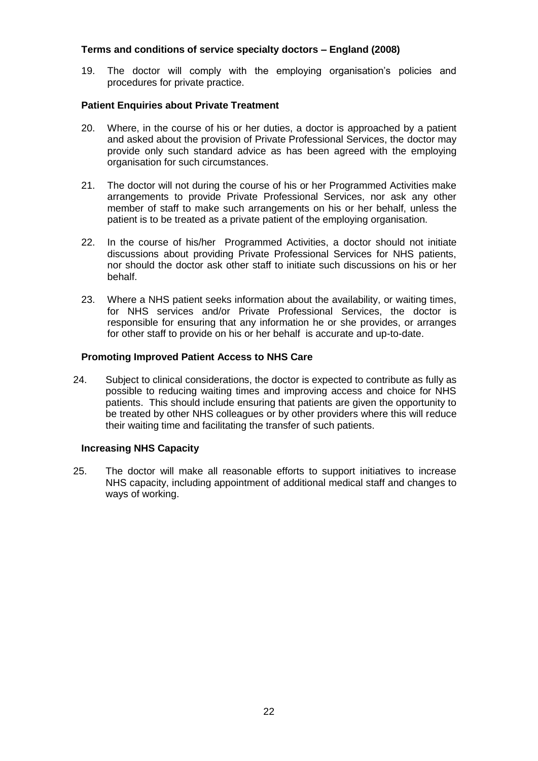19. The doctor will comply with the employing organisation's policies and procedures for private practice.

#### **Patient Enquiries about Private Treatment**

- 20. Where, in the course of his or her duties, a doctor is approached by a patient and asked about the provision of Private Professional Services, the doctor may provide only such standard advice as has been agreed with the employing organisation for such circumstances.
- 21. The doctor will not during the course of his or her Programmed Activities make arrangements to provide Private Professional Services, nor ask any other member of staff to make such arrangements on his or her behalf, unless the patient is to be treated as a private patient of the employing organisation.
- 22. In the course of his/her Programmed Activities, a doctor should not initiate discussions about providing Private Professional Services for NHS patients, nor should the doctor ask other staff to initiate such discussions on his or her behalf.
- 23. Where a NHS patient seeks information about the availability, or waiting times, for NHS services and/or Private Professional Services, the doctor is responsible for ensuring that any information he or she provides, or arranges for other staff to provide on his or her behalf is accurate and up-to-date.

#### **Promoting Improved Patient Access to NHS Care**

24. Subject to clinical considerations, the doctor is expected to contribute as fully as possible to reducing waiting times and improving access and choice for NHS patients. This should include ensuring that patients are given the opportunity to be treated by other NHS colleagues or by other providers where this will reduce their waiting time and facilitating the transfer of such patients.

#### **Increasing NHS Capacity**

25. The doctor will make all reasonable efforts to support initiatives to increase NHS capacity, including appointment of additional medical staff and changes to ways of working.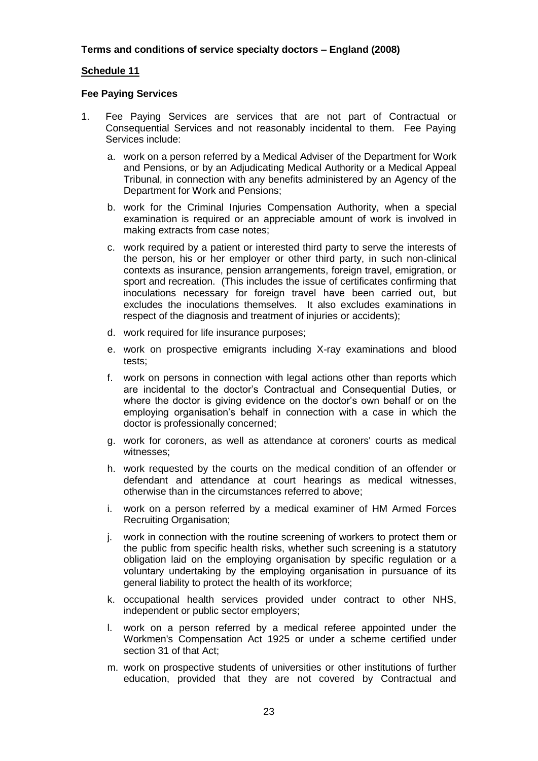#### **Schedule 11**

#### **Fee Paying Services**

- 1. Fee Paying Services are services that are not part of Contractual or Consequential Services and not reasonably incidental to them. Fee Paying Services include:
	- a. work on a person referred by a Medical Adviser of the Department for Work and Pensions, or by an Adjudicating Medical Authority or a Medical Appeal Tribunal, in connection with any benefits administered by an Agency of the Department for Work and Pensions;
	- b. work for the Criminal Injuries Compensation Authority, when a special examination is required or an appreciable amount of work is involved in making extracts from case notes;
	- c. work required by a patient or interested third party to serve the interests of the person, his or her employer or other third party, in such non-clinical contexts as insurance, pension arrangements, foreign travel, emigration, or sport and recreation. (This includes the issue of certificates confirming that inoculations necessary for foreign travel have been carried out, but excludes the inoculations themselves. It also excludes examinations in respect of the diagnosis and treatment of injuries or accidents);
	- d. work required for life insurance purposes;
	- e. work on prospective emigrants including X-ray examinations and blood tests;
	- f. work on persons in connection with legal actions other than reports which are incidental to the doctor's Contractual and Consequential Duties, or where the doctor is giving evidence on the doctor's own behalf or on the employing organisation's behalf in connection with a case in which the doctor is professionally concerned;
	- g. work for coroners, as well as attendance at coroners' courts as medical witnesses;
	- h. work requested by the courts on the medical condition of an offender or defendant and attendance at court hearings as medical witnesses, otherwise than in the circumstances referred to above;
	- i. work on a person referred by a medical examiner of HM Armed Forces Recruiting Organisation;
	- j. work in connection with the routine screening of workers to protect them or the public from specific health risks, whether such screening is a statutory obligation laid on the employing organisation by specific regulation or a voluntary undertaking by the employing organisation in pursuance of its general liability to protect the health of its workforce;
	- k. occupational health services provided under contract to other NHS, independent or public sector employers;
	- l. work on a person referred by a medical referee appointed under the Workmen's Compensation Act 1925 or under a scheme certified under section 31 of that Act;
	- m. work on prospective students of universities or other institutions of further education, provided that they are not covered by Contractual and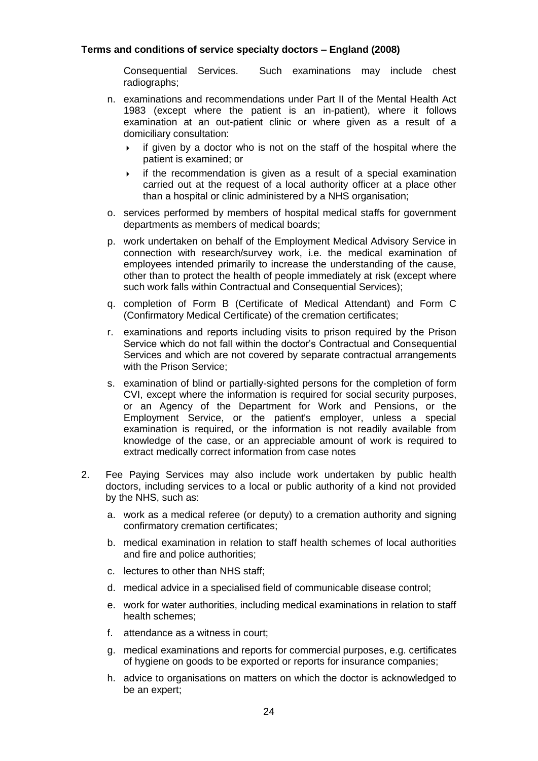Consequential Services. Such examinations may include chest radiographs;

- n. examinations and recommendations under Part II of the Mental Health Act 1983 (except where the patient is an in-patient), where it follows examination at an out-patient clinic or where given as a result of a domiciliary consultation:
	- $\rightarrow$  if given by a doctor who is not on the staff of the hospital where the patient is examined; or
	- $\rightarrow$  if the recommendation is given as a result of a special examination carried out at the request of a local authority officer at a place other than a hospital or clinic administered by a NHS organisation;
- o. services performed by members of hospital medical staffs for government departments as members of medical boards;
- p. work undertaken on behalf of the Employment Medical Advisory Service in connection with research/survey work, i.e. the medical examination of employees intended primarily to increase the understanding of the cause, other than to protect the health of people immediately at risk (except where such work falls within Contractual and Consequential Services);
- q. completion of Form B (Certificate of Medical Attendant) and Form C (Confirmatory Medical Certificate) of the cremation certificates;
- r. examinations and reports including visits to prison required by the Prison Service which do not fall within the doctor's Contractual and Consequential Services and which are not covered by separate contractual arrangements with the Prison Service;
- s. examination of blind or partially-sighted persons for the completion of form CVI, except where the information is required for social security purposes, or an Agency of the Department for Work and Pensions, or the Employment Service, or the patient's employer, unless a special examination is required, or the information is not readily available from knowledge of the case, or an appreciable amount of work is required to extract medically correct information from case notes
- 2. Fee Paying Services may also include work undertaken by public health doctors, including services to a local or public authority of a kind not provided by the NHS, such as:
	- a. work as a medical referee (or deputy) to a cremation authority and signing confirmatory cremation certificates;
	- b. medical examination in relation to staff health schemes of local authorities and fire and police authorities;
	- c. lectures to other than NHS staff;
	- d. medical advice in a specialised field of communicable disease control;
	- e. work for water authorities, including medical examinations in relation to staff health schemes;
	- f. attendance as a witness in court;
	- g. medical examinations and reports for commercial purposes, e.g. certificates of hygiene on goods to be exported or reports for insurance companies;
	- h. advice to organisations on matters on which the doctor is acknowledged to be an expert;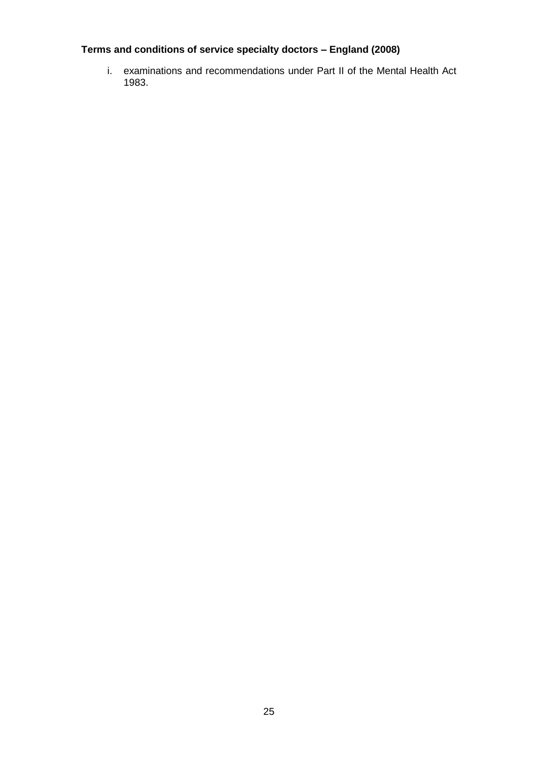i. examinations and recommendations under Part II of the Mental Health Act 1983.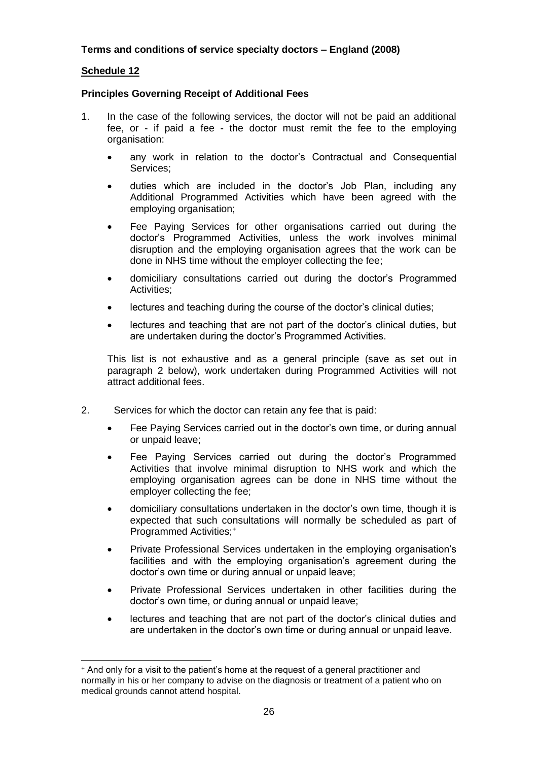# **Schedule 12**

### **Principles Governing Receipt of Additional Fees**

- 1. In the case of the following services, the doctor will not be paid an additional fee, or - if paid a fee - the doctor must remit the fee to the employing organisation:
	- any work in relation to the doctor's Contractual and Consequential Services;
	- duties which are included in the doctor's Job Plan, including any Additional Programmed Activities which have been agreed with the employing organisation;
	- Fee Paying Services for other organisations carried out during the doctor's Programmed Activities, unless the work involves minimal disruption and the employing organisation agrees that the work can be done in NHS time without the employer collecting the fee;
	- domiciliary consultations carried out during the doctor's Programmed Activities;
	- lectures and teaching during the course of the doctor's clinical duties;
	- lectures and teaching that are not part of the doctor's clinical duties, but are undertaken during the doctor's Programmed Activities.

This list is not exhaustive and as a general principle (save as set out in paragraph 2 below), work undertaken during Programmed Activities will not attract additional fees.

- 2. Services for which the doctor can retain any fee that is paid:
	- Fee Paying Services carried out in the doctor's own time, or during annual or unpaid leave;
	- Fee Paying Services carried out during the doctor's Programmed Activities that involve minimal disruption to NHS work and which the employing organisation agrees can be done in NHS time without the employer collecting the fee;
	- domiciliary consultations undertaken in the doctor's own time, though it is expected that such consultations will normally be scheduled as part of Programmed Activities;<sup>+</sup>
	- Private Professional Services undertaken in the employing organisation's facilities and with the employing organisation's agreement during the doctor's own time or during annual or unpaid leave;
	- Private Professional Services undertaken in other facilities during the doctor's own time, or during annual or unpaid leave;
	- lectures and teaching that are not part of the doctor's clinical duties and are undertaken in the doctor's own time or during annual or unpaid leave.

<sup>-</sup><sup>+</sup> And only for a visit to the patient's home at the request of a general practitioner and normally in his or her company to advise on the diagnosis or treatment of a patient who on medical grounds cannot attend hospital.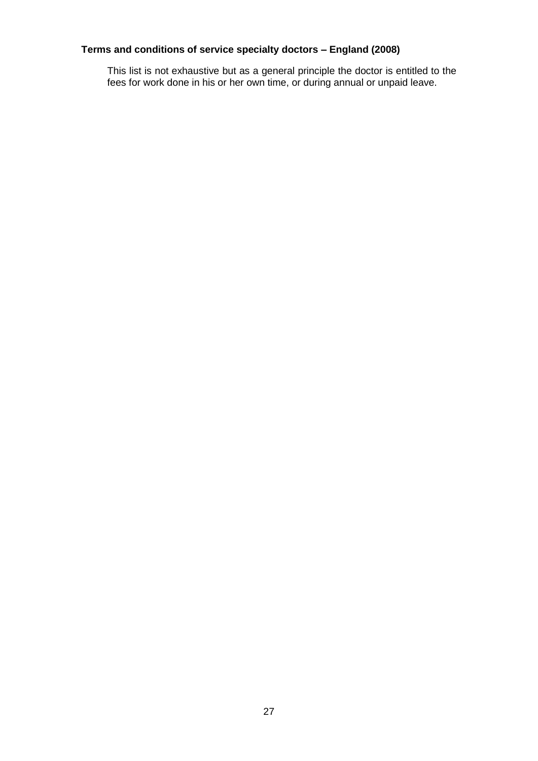This list is not exhaustive but as a general principle the doctor is entitled to the fees for work done in his or her own time, or during annual or unpaid leave.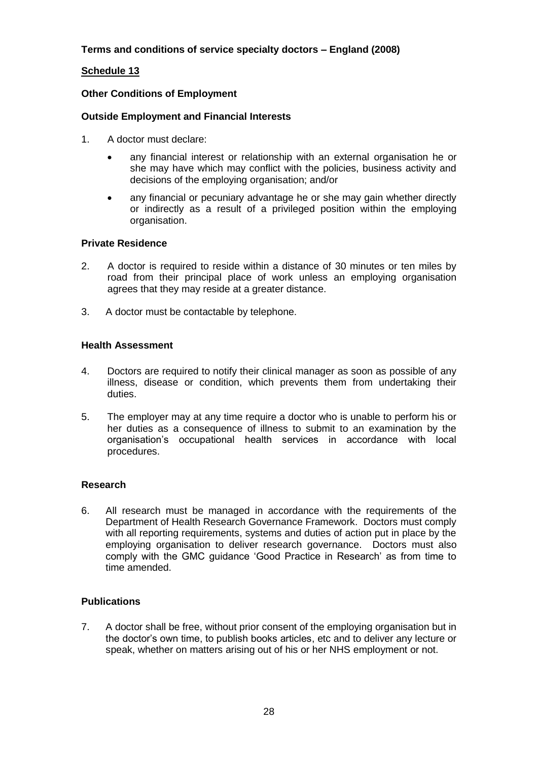# **Schedule 13**

# **Other Conditions of Employment**

# **Outside Employment and Financial Interests**

- 1. A doctor must declare:
	- any financial interest or relationship with an external organisation he or she may have which may conflict with the policies, business activity and decisions of the employing organisation; and/or
	- any financial or pecuniary advantage he or she may gain whether directly or indirectly as a result of a privileged position within the employing organisation.

# **Private Residence**

- 2. A doctor is required to reside within a distance of 30 minutes or ten miles by road from their principal place of work unless an employing organisation agrees that they may reside at a greater distance.
- 3. A doctor must be contactable by telephone.

# **Health Assessment**

- 4. Doctors are required to notify their clinical manager as soon as possible of any illness, disease or condition, which prevents them from undertaking their duties.
- 5. The employer may at any time require a doctor who is unable to perform his or her duties as a consequence of illness to submit to an examination by the organisation's occupational health services in accordance with local procedures.

#### **Research**

6. All research must be managed in accordance with the requirements of the Department of Health Research Governance Framework. Doctors must comply with all reporting requirements, systems and duties of action put in place by the employing organisation to deliver research governance. Doctors must also comply with the GMC guidance 'Good Practice in Research' as from time to time amended.

# **Publications**

7. A doctor shall be free, without prior consent of the employing organisation but in the doctor's own time, to publish books articles, etc and to deliver any lecture or speak, whether on matters arising out of his or her NHS employment or not.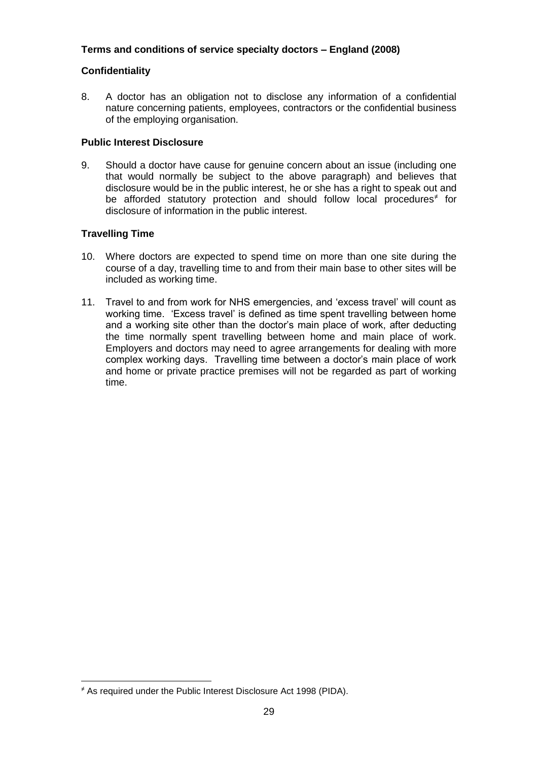# **Confidentiality**

8. A doctor has an obligation not to disclose any information of a confidential nature concerning patients, employees, contractors or the confidential business of the employing organisation.

# **Public Interest Disclosure**

9. Should a doctor have cause for genuine concern about an issue (including one that would normally be subject to the above paragraph) and believes that disclosure would be in the public interest, he or she has a right to speak out and be afforded statutory protection and should follow local procedures<sup>≠</sup> for disclosure of information in the public interest.

# **Travelling Time**

- 10. Where doctors are expected to spend time on more than one site during the course of a day, travelling time to and from their main base to other sites will be included as working time.
- 11. Travel to and from work for NHS emergencies, and 'excess travel' will count as working time. 'Excess travel' is defined as time spent travelling between home and a working site other than the doctor's main place of work, after deducting the time normally spent travelling between home and main place of work. Employers and doctors may need to agree arrangements for dealing with more complex working days. Travelling time between a doctor's main place of work and home or private practice premises will not be regarded as part of working time.

<sup>-</sup><sup>≠</sup> As required under the Public Interest Disclosure Act 1998 (PIDA).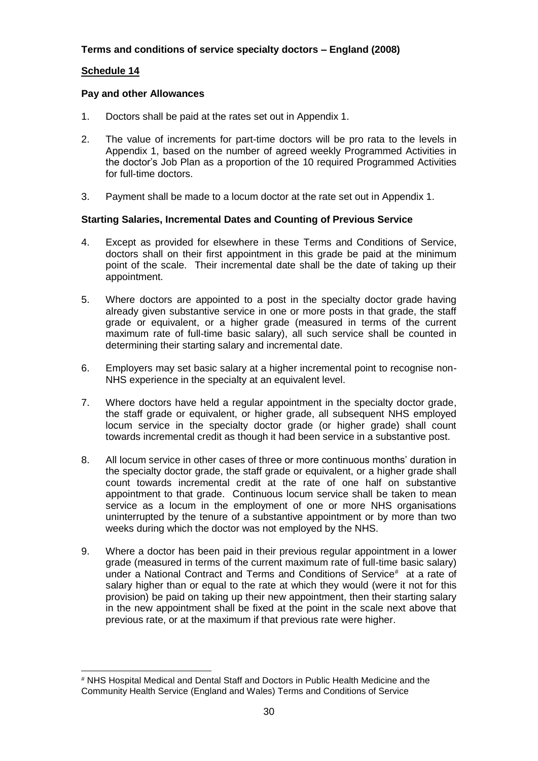# **Schedule 14**

### **Pay and other Allowances**

- 1. Doctors shall be paid at the rates set out in Appendix 1.
- 2. The value of increments for part-time doctors will be pro rata to the levels in Appendix 1, based on the number of agreed weekly Programmed Activities in the doctor's Job Plan as a proportion of the 10 required Programmed Activities for full-time doctors.
- 3. Payment shall be made to a locum doctor at the rate set out in Appendix 1.

# **Starting Salaries, Incremental Dates and Counting of Previous Service**

- 4. Except as provided for elsewhere in these Terms and Conditions of Service, doctors shall on their first appointment in this grade be paid at the minimum point of the scale. Their incremental date shall be the date of taking up their appointment.
- 5. Where doctors are appointed to a post in the specialty doctor grade having already given substantive service in one or more posts in that grade, the staff grade or equivalent, or a higher grade (measured in terms of the current maximum rate of full-time basic salary), all such service shall be counted in determining their starting salary and incremental date.
- 6. Employers may set basic salary at a higher incremental point to recognise non-NHS experience in the specialty at an equivalent level.
- 7. Where doctors have held a regular appointment in the specialty doctor grade, the staff grade or equivalent, or higher grade, all subsequent NHS employed locum service in the specialty doctor grade (or higher grade) shall count towards incremental credit as though it had been service in a substantive post.
- 8. All locum service in other cases of three or more continuous months' duration in the specialty doctor grade, the staff grade or equivalent, or a higher grade shall count towards incremental credit at the rate of one half on substantive appointment to that grade. Continuous locum service shall be taken to mean service as a locum in the employment of one or more NHS organisations uninterrupted by the tenure of a substantive appointment or by more than two weeks during which the doctor was not employed by the NHS.
- 9. Where a doctor has been paid in their previous regular appointment in a lower grade (measured in terms of the current maximum rate of full-time basic salary) under a National Contract and Terms and Conditions of Service<sup>#</sup> at a rate of salary higher than or equal to the rate at which they would (were it not for this provision) be paid on taking up their new appointment, then their starting salary in the new appointment shall be fixed at the point in the scale next above that previous rate, or at the maximum if that previous rate were higher.

<sup>-</sup># NHS Hospital Medical and Dental Staff and Doctors in Public Health Medicine and the Community Health Service (England and Wales) Terms and Conditions of Service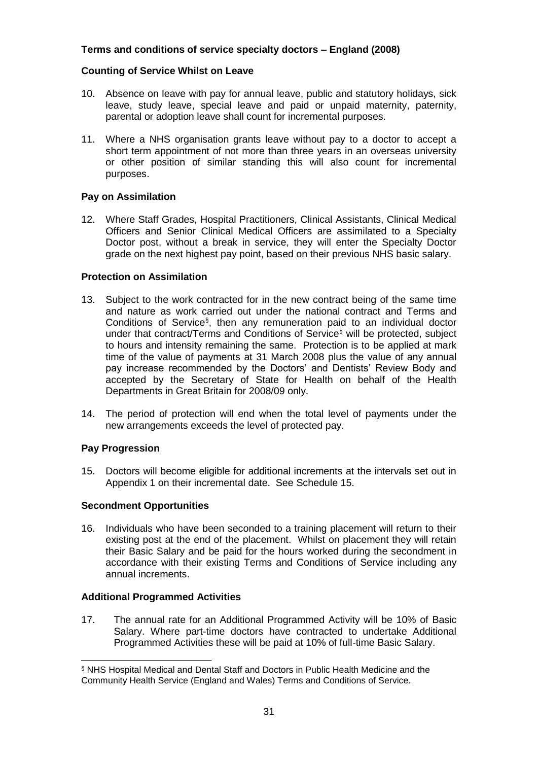#### **Counting of Service Whilst on Leave**

- 10. Absence on leave with pay for annual leave, public and statutory holidays, sick leave, study leave, special leave and paid or unpaid maternity, paternity, parental or adoption leave shall count for incremental purposes.
- 11. Where a NHS organisation grants leave without pay to a doctor to accept a short term appointment of not more than three years in an overseas university or other position of similar standing this will also count for incremental purposes.

#### **Pay on Assimilation**

12. Where Staff Grades, Hospital Practitioners, Clinical Assistants, Clinical Medical Officers and Senior Clinical Medical Officers are assimilated to a Specialty Doctor post, without a break in service, they will enter the Specialty Doctor grade on the next highest pay point, based on their previous NHS basic salary.

#### **Protection on Assimilation**

- 13. Subject to the work contracted for in the new contract being of the same time and nature as work carried out under the national contract and Terms and Conditions of Service<sup>§</sup>, then any remuneration paid to an individual doctor under that contract/Terms and Conditions of Service§ will be protected, subject to hours and intensity remaining the same. Protection is to be applied at mark time of the value of payments at 31 March 2008 plus the value of any annual pay increase recommended by the Doctors' and Dentists' Review Body and accepted by the Secretary of State for Health on behalf of the Health Departments in Great Britain for 2008/09 only.
- 14. The period of protection will end when the total level of payments under the new arrangements exceeds the level of protected pay.

#### **Pay Progression**

15. Doctors will become eligible for additional increments at the intervals set out in Appendix 1 on their incremental date. See Schedule 15.

#### **Secondment Opportunities**

16. Individuals who have been seconded to a training placement will return to their existing post at the end of the placement. Whilst on placement they will retain their Basic Salary and be paid for the hours worked during the secondment in accordance with their existing Terms and Conditions of Service including any annual increments.

#### **Additional Programmed Activities**

17. The annual rate for an Additional Programmed Activity will be 10% of Basic Salary. Where part-time doctors have contracted to undertake Additional Programmed Activities these will be paid at 10% of full-time Basic Salary.

<sup>-</sup>§ NHS Hospital Medical and Dental Staff and Doctors in Public Health Medicine and the Community Health Service (England and Wales) Terms and Conditions of Service.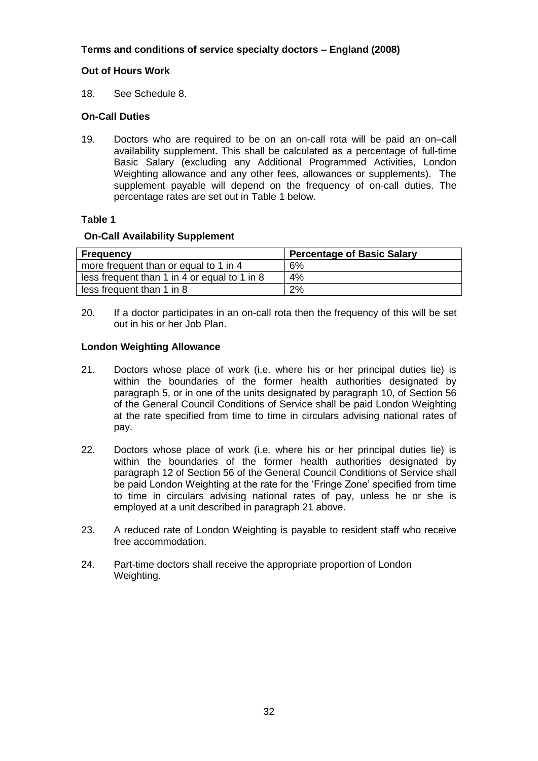#### **Out of Hours Work**

18. See Schedule 8.

# **On-Call Duties**

19. Doctors who are required to be on an on-call rota will be paid an on–call availability supplement. This shall be calculated as a percentage of full-time Basic Salary (excluding any Additional Programmed Activities, London Weighting allowance and any other fees, allowances or supplements). The supplement payable will depend on the frequency of on-call duties. The percentage rates are set out in Table 1 below.

#### **Table 1**

#### **On-Call Availability Supplement**

| ∣ Frequency                                  | Percentage of Basic Salary |
|----------------------------------------------|----------------------------|
| more frequent than or equal to 1 in 4        | 6%                         |
| less frequent than 1 in 4 or equal to 1 in 8 | 4%                         |
| less frequent than 1 in 8                    | 2%                         |

20. If a doctor participates in an on-call rota then the frequency of this will be set out in his or her Job Plan.

#### **London Weighting Allowance**

- 21. Doctors whose place of work (i.e. where his or her principal duties lie) is within the boundaries of the former health authorities designated by paragraph 5, or in one of the units designated by paragraph 10, of Section 56 of the General Council Conditions of Service shall be paid London Weighting at the rate specified from time to time in circulars advising national rates of pay.
- 22. Doctors whose place of work (i.e. where his or her principal duties lie) is within the boundaries of the former health authorities designated by paragraph 12 of Section 56 of the General Council Conditions of Service shall be paid London Weighting at the rate for the 'Fringe Zone' specified from time to time in circulars advising national rates of pay, unless he or she is employed at a unit described in paragraph 21 above.
- 23. A reduced rate of London Weighting is payable to resident staff who receive free accommodation.
- 24. Part-time doctors shall receive the appropriate proportion of London Weighting.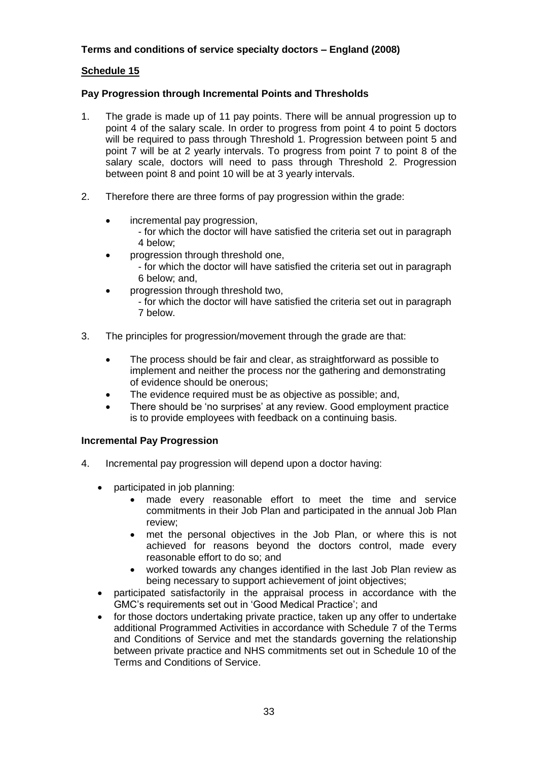# **Schedule 15**

# **Pay Progression through Incremental Points and Thresholds**

- 1. The grade is made up of 11 pay points. There will be annual progression up to point 4 of the salary scale. In order to progress from point 4 to point 5 doctors will be required to pass through Threshold 1. Progression between point 5 and point 7 will be at 2 yearly intervals. To progress from point 7 to point 8 of the salary scale, doctors will need to pass through Threshold 2. Progression between point 8 and point 10 will be at 3 yearly intervals.
- 2. Therefore there are three forms of pay progression within the grade:
	- incremental pay progression,
		- for which the doctor will have satisfied the criteria set out in paragraph 4 below;
	- progression through threshold one,
		- for which the doctor will have satisfied the criteria set out in paragraph 6 below; and,
	- progression through threshold two, - for which the doctor will have satisfied the criteria set out in paragraph 7 below.
- 3. The principles for progression/movement through the grade are that:
	- The process should be fair and clear, as straightforward as possible to implement and neither the process nor the gathering and demonstrating of evidence should be onerous;
	- The evidence required must be as objective as possible; and,
	- There should be 'no surprises' at any review. Good employment practice is to provide employees with feedback on a continuing basis.

#### **Incremental Pay Progression**

- 4. Incremental pay progression will depend upon a doctor having:
	- participated in job planning:
		- made every reasonable effort to meet the time and service commitments in their Job Plan and participated in the annual Job Plan review;
		- met the personal objectives in the Job Plan, or where this is not achieved for reasons beyond the doctors control, made every reasonable effort to do so; and
		- worked towards any changes identified in the last Job Plan review as being necessary to support achievement of joint objectives;
	- participated satisfactorily in the appraisal process in accordance with the GMC's requirements set out in 'Good Medical Practice'; and
	- for those doctors undertaking private practice, taken up any offer to undertake additional Programmed Activities in accordance with Schedule 7 of the Terms and Conditions of Service and met the standards governing the relationship between private practice and NHS commitments set out in Schedule 10 of the Terms and Conditions of Service.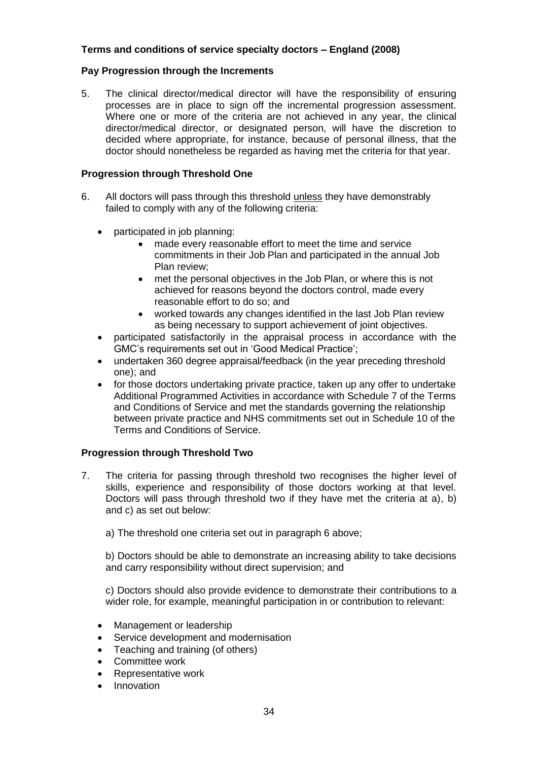#### **Pay Progression through the Increments**

5. The clinical director/medical director will have the responsibility of ensuring processes are in place to sign off the incremental progression assessment. Where one or more of the criteria are not achieved in any year, the clinical director/medical director, or designated person, will have the discretion to decided where appropriate, for instance, because of personal illness, that the doctor should nonetheless be regarded as having met the criteria for that year.

#### **Progression through Threshold One**

- 6. All doctors will pass through this threshold unless they have demonstrably failed to comply with any of the following criteria:
	- participated in job planning:
		- made every reasonable effort to meet the time and service commitments in their Job Plan and participated in the annual Job Plan review;
		- met the personal objectives in the Job Plan, or where this is not achieved for reasons beyond the doctors control, made every reasonable effort to do so; and
		- worked towards any changes identified in the last Job Plan review as being necessary to support achievement of joint objectives.
	- participated satisfactorily in the appraisal process in accordance with the GMC's requirements set out in 'Good Medical Practice';
	- undertaken 360 degree appraisal/feedback (in the year preceding threshold one); and
	- for those doctors undertaking private practice, taken up any offer to undertake Additional Programmed Activities in accordance with Schedule 7 of the Terms and Conditions of Service and met the standards governing the relationship between private practice and NHS commitments set out in Schedule 10 of the Terms and Conditions of Service.

#### **Progression through Threshold Two**

- 7. The criteria for passing through threshold two recognises the higher level of skills, experience and responsibility of those doctors working at that level. Doctors will pass through threshold two if they have met the criteria at a), b) and c) as set out below:
	- a) The threshold one criteria set out in paragraph 6 above;

b) Doctors should be able to demonstrate an increasing ability to take decisions and carry responsibility without direct supervision; and

c) Doctors should also provide evidence to demonstrate their contributions to a wider role, for example, meaningful participation in or contribution to relevant:

- Management or leadership
- Service development and modernisation
- Teaching and training (of others)
- Committee work
- Representative work
- **Innovation**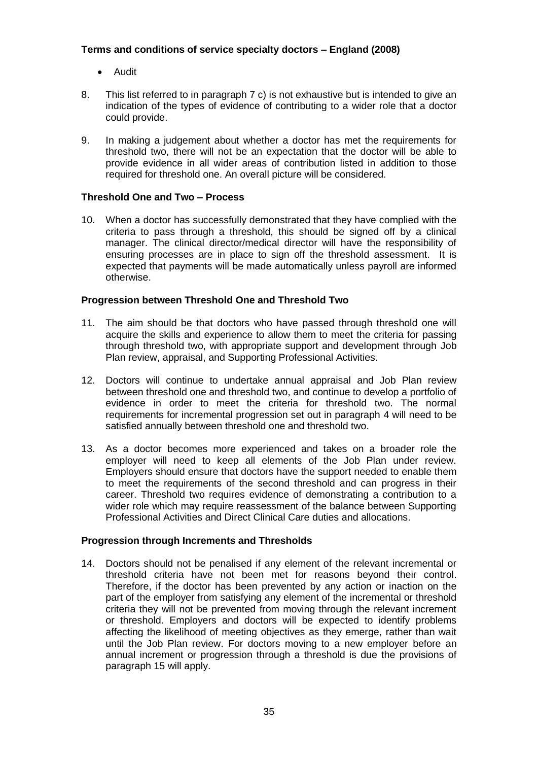- Audit
- 8. This list referred to in paragraph 7 c) is not exhaustive but is intended to give an indication of the types of evidence of contributing to a wider role that a doctor could provide.
- 9. In making a judgement about whether a doctor has met the requirements for threshold two, there will not be an expectation that the doctor will be able to provide evidence in all wider areas of contribution listed in addition to those required for threshold one. An overall picture will be considered.

# **Threshold One and Two – Process**

10. When a doctor has successfully demonstrated that they have complied with the criteria to pass through a threshold, this should be signed off by a clinical manager. The clinical director/medical director will have the responsibility of ensuring processes are in place to sign off the threshold assessment. It is expected that payments will be made automatically unless payroll are informed otherwise.

# **Progression between Threshold One and Threshold Two**

- 11. The aim should be that doctors who have passed through threshold one will acquire the skills and experience to allow them to meet the criteria for passing through threshold two, with appropriate support and development through Job Plan review, appraisal, and Supporting Professional Activities.
- 12. Doctors will continue to undertake annual appraisal and Job Plan review between threshold one and threshold two, and continue to develop a portfolio of evidence in order to meet the criteria for threshold two. The normal requirements for incremental progression set out in paragraph 4 will need to be satisfied annually between threshold one and threshold two.
- 13. As a doctor becomes more experienced and takes on a broader role the employer will need to keep all elements of the Job Plan under review. Employers should ensure that doctors have the support needed to enable them to meet the requirements of the second threshold and can progress in their career. Threshold two requires evidence of demonstrating a contribution to a wider role which may require reassessment of the balance between Supporting Professional Activities and Direct Clinical Care duties and allocations.

#### **Progression through Increments and Thresholds**

14. Doctors should not be penalised if any element of the relevant incremental or threshold criteria have not been met for reasons beyond their control. Therefore, if the doctor has been prevented by any action or inaction on the part of the employer from satisfying any element of the incremental or threshold criteria they will not be prevented from moving through the relevant increment or threshold. Employers and doctors will be expected to identify problems affecting the likelihood of meeting objectives as they emerge, rather than wait until the Job Plan review. For doctors moving to a new employer before an annual increment or progression through a threshold is due the provisions of paragraph 15 will apply.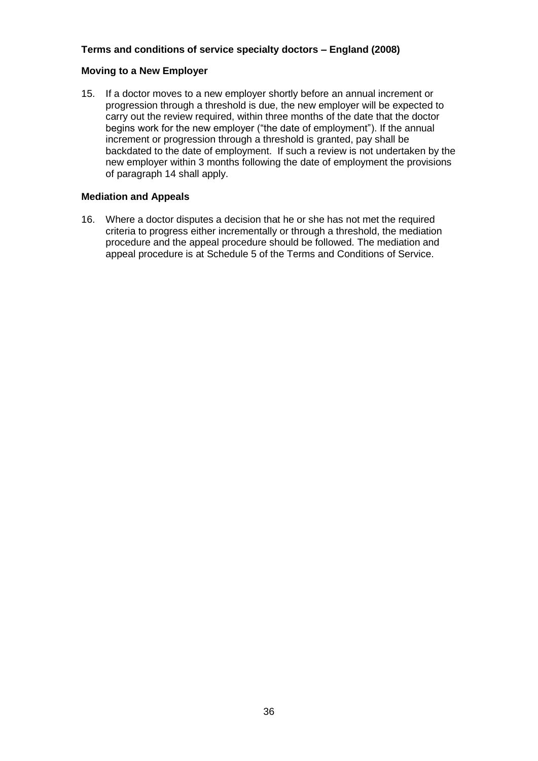#### **Moving to a New Employer**

15. If a doctor moves to a new employer shortly before an annual increment or progression through a threshold is due, the new employer will be expected to carry out the review required, within three months of the date that the doctor begins work for the new employer ("the date of employment"). If the annual increment or progression through a threshold is granted, pay shall be backdated to the date of employment. If such a review is not undertaken by the new employer within 3 months following the date of employment the provisions of paragraph 14 shall apply.

#### **Mediation and Appeals**

16. Where a doctor disputes a decision that he or she has not met the required criteria to progress either incrementally or through a threshold, the mediation procedure and the appeal procedure should be followed. The mediation and appeal procedure is at Schedule 5 of the Terms and Conditions of Service.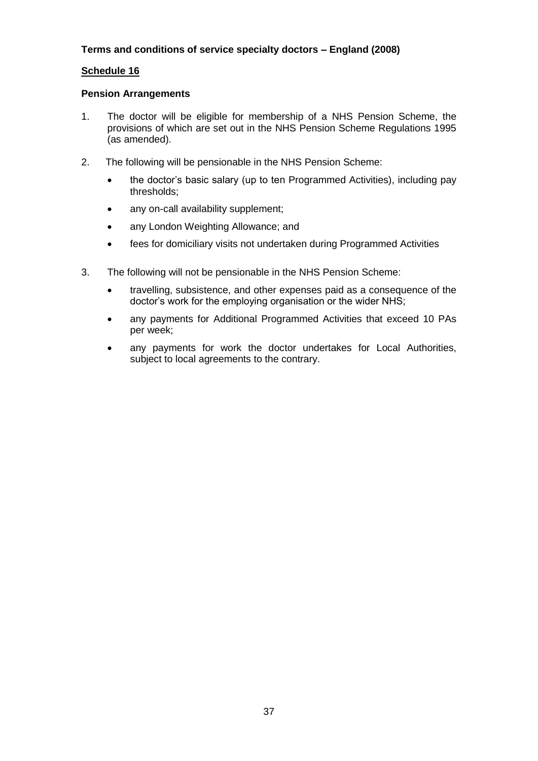### **Schedule 16**

### **Pension Arrangements**

- 1. The doctor will be eligible for membership of a NHS Pension Scheme, the provisions of which are set out in the NHS Pension Scheme Regulations 1995 (as amended).
- 2. The following will be pensionable in the NHS Pension Scheme:
	- the doctor's basic salary (up to ten Programmed Activities), including pay thresholds;
	- any on-call availability supplement;
	- any London Weighting Allowance; and
	- fees for domiciliary visits not undertaken during Programmed Activities
- 3. The following will not be pensionable in the NHS Pension Scheme:
	- travelling, subsistence, and other expenses paid as a consequence of the doctor's work for the employing organisation or the wider NHS;
	- any payments for Additional Programmed Activities that exceed 10 PAs per week;
	- any payments for work the doctor undertakes for Local Authorities, subject to local agreements to the contrary.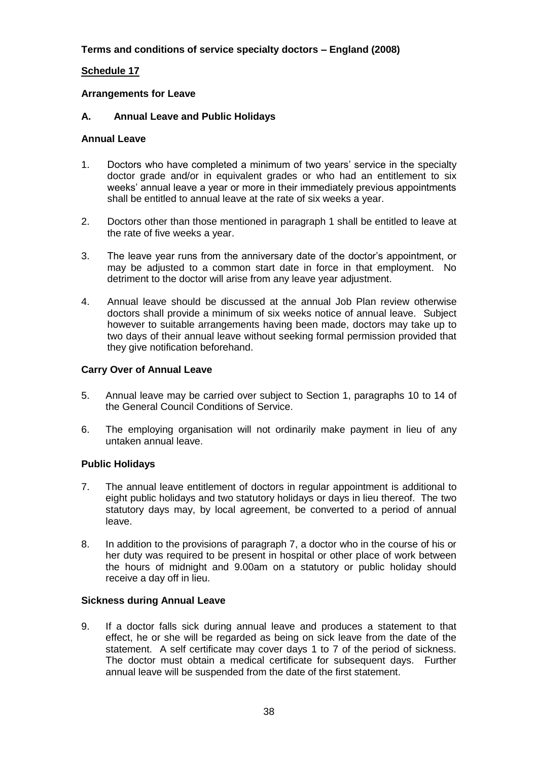### **Schedule 17**

### **Arrangements for Leave**

### **A. Annual Leave and Public Holidays**

### **Annual Leave**

- 1. Doctors who have completed a minimum of two years' service in the specialty doctor grade and/or in equivalent grades or who had an entitlement to six weeks' annual leave a year or more in their immediately previous appointments shall be entitled to annual leave at the rate of six weeks a year.
- 2. Doctors other than those mentioned in paragraph 1 shall be entitled to leave at the rate of five weeks a year.
- 3. The leave year runs from the anniversary date of the doctor's appointment, or may be adjusted to a common start date in force in that employment. No detriment to the doctor will arise from any leave year adjustment.
- 4. Annual leave should be discussed at the annual Job Plan review otherwise doctors shall provide a minimum of six weeks notice of annual leave. Subject however to suitable arrangements having been made, doctors may take up to two days of their annual leave without seeking formal permission provided that they give notification beforehand.

### **Carry Over of Annual Leave**

- 5. Annual leave may be carried over subject to Section 1, paragraphs 10 to 14 of the General Council Conditions of Service.
- 6. The employing organisation will not ordinarily make payment in lieu of any untaken annual leave.

### **Public Holidays**

- 7. The annual leave entitlement of doctors in regular appointment is additional to eight public holidays and two statutory holidays or days in lieu thereof. The two statutory days may, by local agreement, be converted to a period of annual leave.
- 8. In addition to the provisions of paragraph 7, a doctor who in the course of his or her duty was required to be present in hospital or other place of work between the hours of midnight and 9.00am on a statutory or public holiday should receive a day off in lieu.

### **Sickness during Annual Leave**

9. If a doctor falls sick during annual leave and produces a statement to that effect, he or she will be regarded as being on sick leave from the date of the statement. A self certificate may cover days 1 to 7 of the period of sickness. The doctor must obtain a medical certificate for subsequent days. Further annual leave will be suspended from the date of the first statement.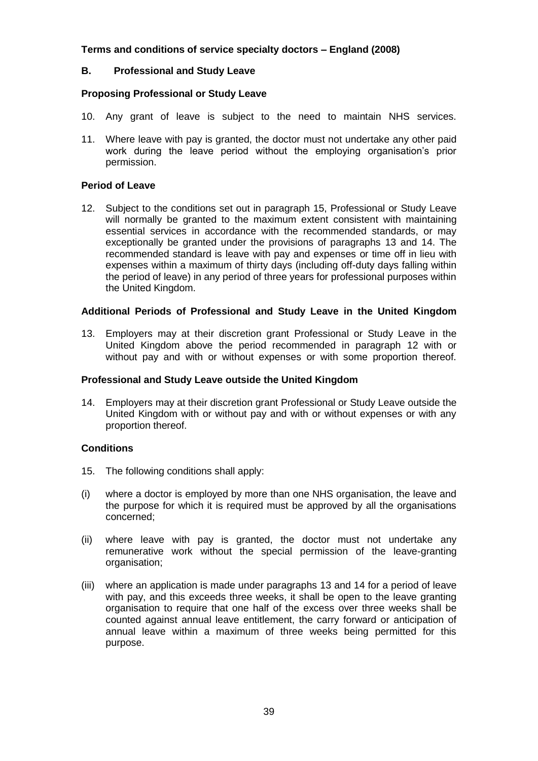### **B. Professional and Study Leave**

### **Proposing Professional or Study Leave**

- 10. Any grant of leave is subject to the need to maintain NHS services.
- 11. Where leave with pay is granted, the doctor must not undertake any other paid work during the leave period without the employing organisation's prior permission.

### **Period of Leave**

12. Subject to the conditions set out in paragraph 15, Professional or Study Leave will normally be granted to the maximum extent consistent with maintaining essential services in accordance with the recommended standards, or may exceptionally be granted under the provisions of paragraphs 13 and 14. The recommended standard is leave with pay and expenses or time off in lieu with expenses within a maximum of thirty days (including off-duty days falling within the period of leave) in any period of three years for professional purposes within the United Kingdom.

#### **Additional Periods of Professional and Study Leave in the United Kingdom**

13. Employers may at their discretion grant Professional or Study Leave in the United Kingdom above the period recommended in paragraph 12 with or without pay and with or without expenses or with some proportion thereof.

#### **Professional and Study Leave outside the United Kingdom**

14. Employers may at their discretion grant Professional or Study Leave outside the United Kingdom with or without pay and with or without expenses or with any proportion thereof.

### **Conditions**

- 15. The following conditions shall apply:
- (i) where a doctor is employed by more than one NHS organisation, the leave and the purpose for which it is required must be approved by all the organisations concerned;
- (ii) where leave with pay is granted, the doctor must not undertake any remunerative work without the special permission of the leave-granting organisation;
- (iii) where an application is made under paragraphs 13 and 14 for a period of leave with pay, and this exceeds three weeks, it shall be open to the leave granting organisation to require that one half of the excess over three weeks shall be counted against annual leave entitlement, the carry forward or anticipation of annual leave within a maximum of three weeks being permitted for this purpose.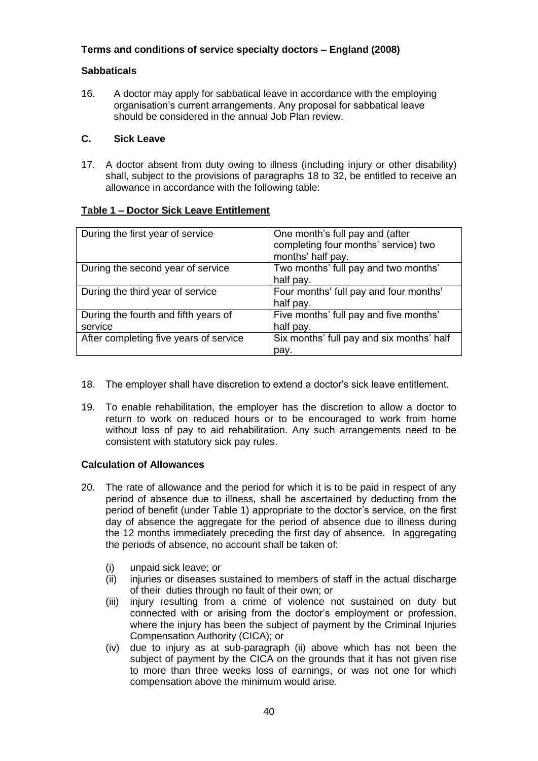### **Sabbaticals**

16. A doctor may apply for sabbatical leave in accordance with the employing organisation's current arrangements. Any proposal for sabbatical leave should be considered in the annual Job Plan review.

### **C. Sick Leave**

17. A doctor absent from duty owing to illness (including injury or other disability) shall, subject to the provisions of paragraphs 18 to 32, be entitled to receive an allowance in accordance with the following table:

### **Table 1 – Doctor Sick Leave Entitlement**

| During the first year of service                | One month's full pay and (after<br>completing four months' service) two<br>months' half pay. |
|-------------------------------------------------|----------------------------------------------------------------------------------------------|
| During the second year of service               | Two months' full pay and two months'<br>half pay.                                            |
| During the third year of service                | Four months' full pay and four months'<br>half pay.                                          |
| During the fourth and fifth years of<br>service | Five months' full pay and five months'<br>half pay.                                          |
| After completing five years of service          | Six months' full pay and six months' half<br>pay.                                            |

- 18. The employer shall have discretion to extend a doctor's sick leave entitlement.
- 19. To enable rehabilitation, the employer has the discretion to allow a doctor to return to work on reduced hours or to be encouraged to work from home without loss of pay to aid rehabilitation. Any such arrangements need to be consistent with statutory sick pay rules.

### **Calculation of Allowances**

- 20. The rate of allowance and the period for which it is to be paid in respect of any period of absence due to illness, shall be ascertained by deducting from the period of benefit (under Table 1) appropriate to the doctor's service, on the first day of absence the aggregate for the period of absence due to illness during the 12 months immediately preceding the first day of absence. In aggregating the periods of absence, no account shall be taken of:
	- (i) unpaid sick leave; or
	- (ii) injuries or diseases sustained to members of staff in the actual discharge of their duties through no fault of their own; or
	- (iii) injury resulting from a crime of violence not sustained on duty but connected with or arising from the doctor's employment or profession, where the injury has been the subject of payment by the Criminal Injuries Compensation Authority (CICA); or
	- (iv) due to injury as at sub-paragraph (ii) above which has not been the subject of payment by the CICA on the grounds that it has not given rise to more than three weeks loss of earnings, or was not one for which compensation above the minimum would arise.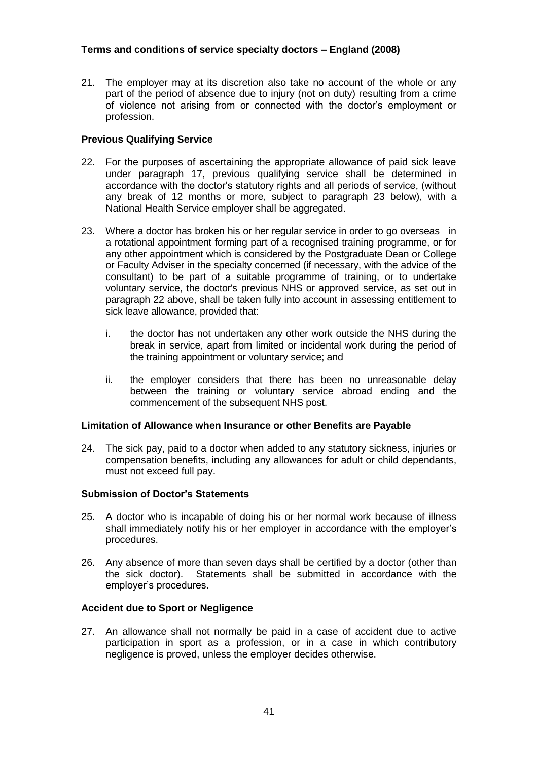21. The employer may at its discretion also take no account of the whole or any part of the period of absence due to injury (not on duty) resulting from a crime of violence not arising from or connected with the doctor's employment or profession.

### **Previous Qualifying Service**

- 22. For the purposes of ascertaining the appropriate allowance of paid sick leave under paragraph 17, previous qualifying service shall be determined in accordance with the doctor's statutory rights and all periods of service, (without any break of 12 months or more, subject to paragraph 23 below), with a National Health Service employer shall be aggregated.
- 23. Where a doctor has broken his or her regular service in order to go overseas in a rotational appointment forming part of a recognised training programme, or for any other appointment which is considered by the Postgraduate Dean or College or Faculty Adviser in the specialty concerned (if necessary, with the advice of the consultant) to be part of a suitable programme of training, or to undertake voluntary service, the doctor's previous NHS or approved service, as set out in paragraph 22 above, shall be taken fully into account in assessing entitlement to sick leave allowance, provided that:
	- i. the doctor has not undertaken any other work outside the NHS during the break in service, apart from limited or incidental work during the period of the training appointment or voluntary service; and
	- ii. the employer considers that there has been no unreasonable delay between the training or voluntary service abroad ending and the commencement of the subsequent NHS post.

### **Limitation of Allowance when Insurance or other Benefits are Payable**

24. The sick pay, paid to a doctor when added to any statutory sickness, injuries or compensation benefits, including any allowances for adult or child dependants, must not exceed full pay.

### **Submission of Doctor's Statements**

- 25. A doctor who is incapable of doing his or her normal work because of illness shall immediately notify his or her employer in accordance with the employer's procedures.
- 26. Any absence of more than seven days shall be certified by a doctor (other than the sick doctor). Statements shall be submitted in accordance with the employer's procedures.

#### **Accident due to Sport or Negligence**

27. An allowance shall not normally be paid in a case of accident due to active participation in sport as a profession, or in a case in which contributory negligence is proved, unless the employer decides otherwise.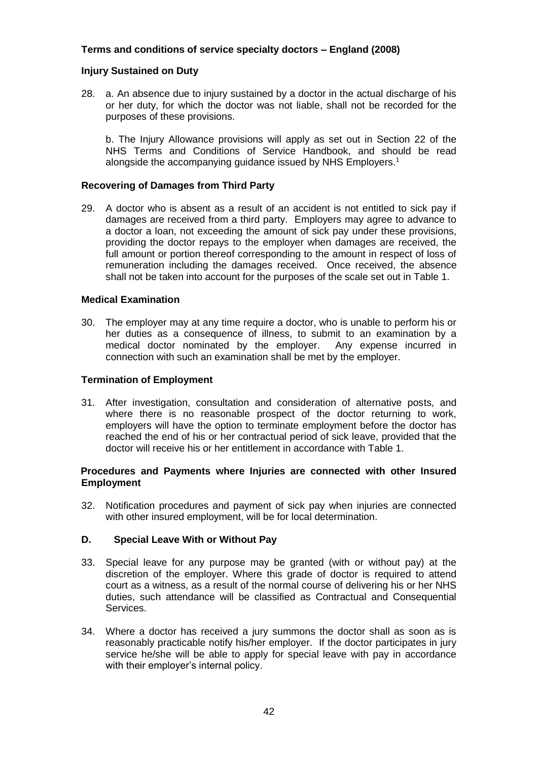### **Injury Sustained on Duty**

28. a. An absence due to injury sustained by a doctor in the actual discharge of his or her duty, for which the doctor was not liable, shall not be recorded for the purposes of these provisions.

b. The Injury Allowance provisions will apply as set out in Section 22 of the NHS Terms and Conditions of Service Handbook, and should be read alongside the accompanying guidance issued by NHS Employers.<sup>1</sup>

### **Recovering of Damages from Third Party**

29. A doctor who is absent as a result of an accident is not entitled to sick pay if damages are received from a third party. Employers may agree to advance to a doctor a loan, not exceeding the amount of sick pay under these provisions, providing the doctor repays to the employer when damages are received, the full amount or portion thereof corresponding to the amount in respect of loss of remuneration including the damages received. Once received, the absence shall not be taken into account for the purposes of the scale set out in Table 1.

#### **Medical Examination**

30. The employer may at any time require a doctor, who is unable to perform his or her duties as a consequence of illness, to submit to an examination by a medical doctor nominated by the employer. Any expense incurred in connection with such an examination shall be met by the employer.

#### **Termination of Employment**

31. After investigation, consultation and consideration of alternative posts, and where there is no reasonable prospect of the doctor returning to work, employers will have the option to terminate employment before the doctor has reached the end of his or her contractual period of sick leave, provided that the doctor will receive his or her entitlement in accordance with Table 1.

#### **Procedures and Payments where Injuries are connected with other Insured Employment**

32. Notification procedures and payment of sick pay when injuries are connected with other insured employment, will be for local determination.

#### **D. Special Leave With or Without Pay**

- 33. Special leave for any purpose may be granted (with or without pay) at the discretion of the employer. Where this grade of doctor is required to attend court as a witness, as a result of the normal course of delivering his or her NHS duties, such attendance will be classified as Contractual and Consequential Services.
- 34. Where a doctor has received a jury summons the doctor shall as soon as is reasonably practicable notify his/her employer. If the doctor participates in jury service he/she will be able to apply for special leave with pay in accordance with their employer's internal policy.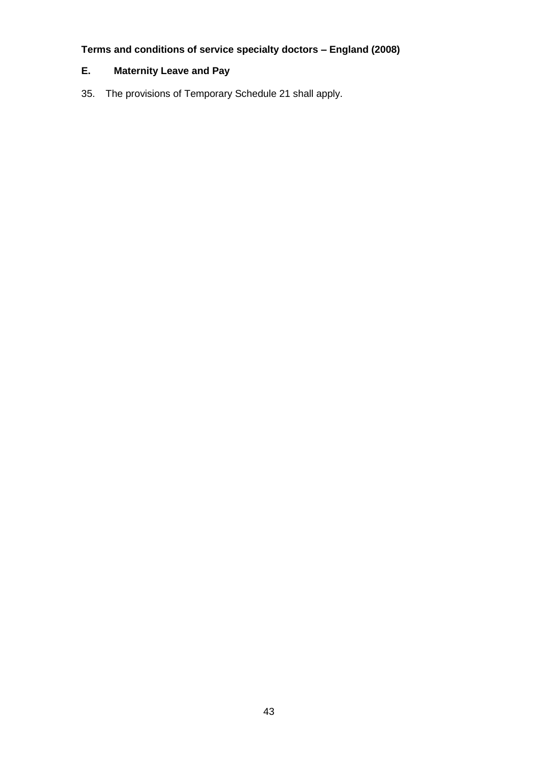# **E. Maternity Leave and Pay**

35. The provisions of Temporary Schedule 21 shall apply.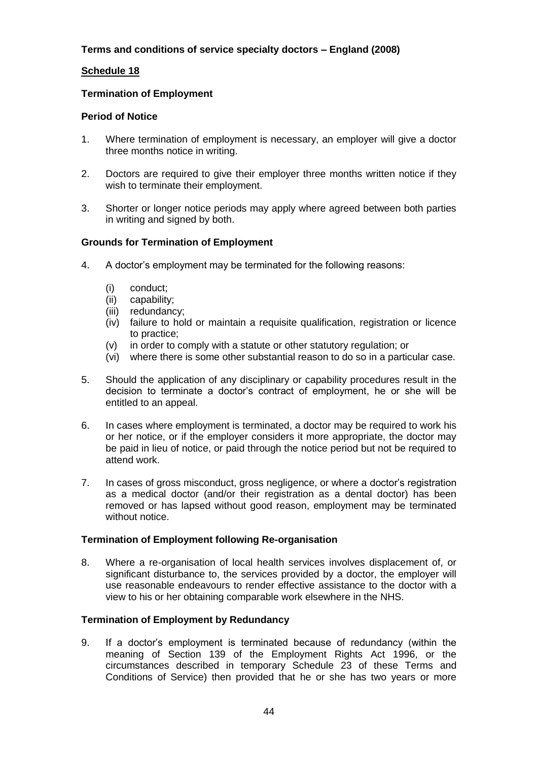### **Schedule 18**

### **Termination of Employment**

## **Period of Notice**

- 1. Where termination of employment is necessary, an employer will give a doctor three months notice in writing.
- 2. Doctors are required to give their employer three months written notice if they wish to terminate their employment.
- 3. Shorter or longer notice periods may apply where agreed between both parties in writing and signed by both.

### **Grounds for Termination of Employment**

- 4. A doctor's employment may be terminated for the following reasons:
	- (i) conduct;
	- (ii) capability;
	- (iii) redundancy;
	- (iv) failure to hold or maintain a requisite qualification, registration or licence to practice;
	- (v) in order to comply with a statute or other statutory regulation; or
	- (vi) where there is some other substantial reason to do so in a particular case.
- 5. Should the application of any disciplinary or capability procedures result in the decision to terminate a doctor's contract of employment, he or she will be entitled to an appeal.
- 6. In cases where employment is terminated, a doctor may be required to work his or her notice, or if the employer considers it more appropriate, the doctor may be paid in lieu of notice, or paid through the notice period but not be required to attend work.
- 7. In cases of gross misconduct, gross negligence, or where a doctor's registration as a medical doctor (and/or their registration as a dental doctor) has been removed or has lapsed without good reason, employment may be terminated without notice.

### **Termination of Employment following Re-organisation**

8. Where a re-organisation of local health services involves displacement of, or significant disturbance to, the services provided by a doctor, the employer will use reasonable endeavours to render effective assistance to the doctor with a view to his or her obtaining comparable work elsewhere in the NHS.

### **Termination of Employment by Redundancy**

9. If a doctor's employment is terminated because of redundancy (within the meaning of Section 139 of the Employment Rights Act 1996, or the circumstances described in temporary Schedule 23 of these Terms and Conditions of Service) then provided that he or she has two years or more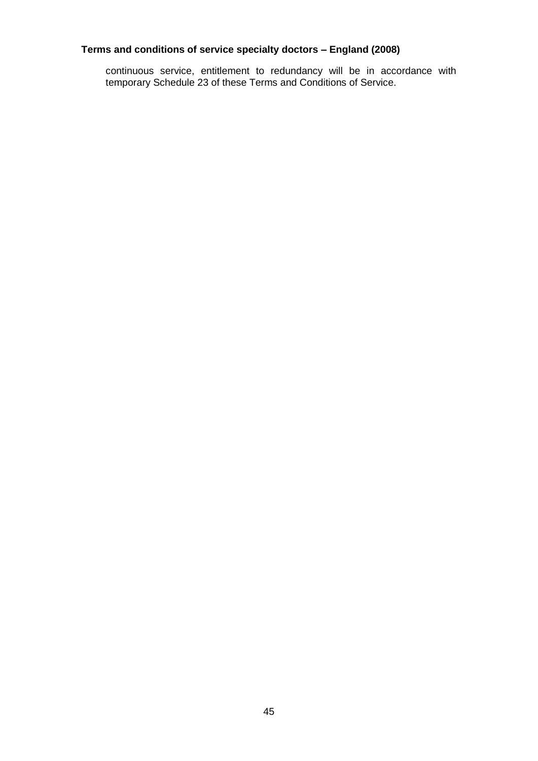continuous service, entitlement to redundancy will be in accordance with temporary Schedule 23 of these Terms and Conditions of Service.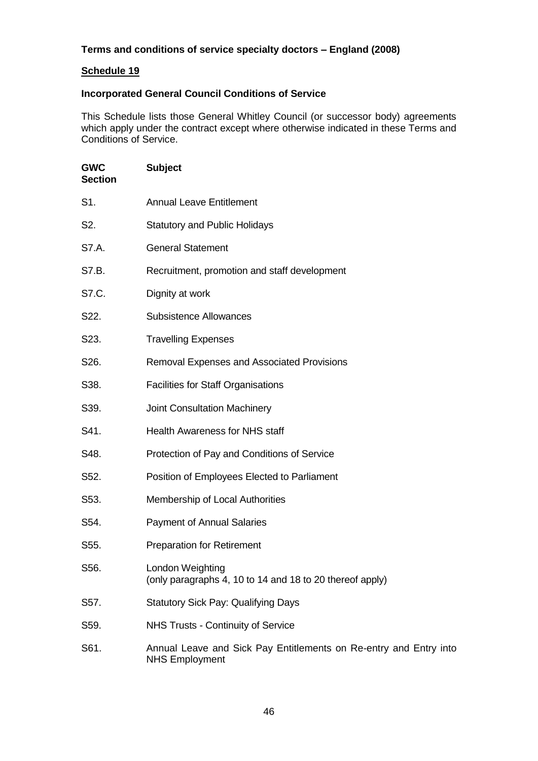## **Schedule 19**

### **Incorporated General Council Conditions of Service**

This Schedule lists those General Whitley Council (or successor body) agreements which apply under the contract except where otherwise indicated in these Terms and Conditions of Service.

| <b>GWC</b><br><b>Section</b> | <b>Subject</b>                                                                             |
|------------------------------|--------------------------------------------------------------------------------------------|
| S1.                          | <b>Annual Leave Entitlement</b>                                                            |
| S2.                          | <b>Statutory and Public Holidays</b>                                                       |
| S7.A.                        | <b>General Statement</b>                                                                   |
| S7.B.                        | Recruitment, promotion and staff development                                               |
| S7.C.                        | Dignity at work                                                                            |
| S22.                         | <b>Subsistence Allowances</b>                                                              |
| S <sub>23</sub> .            | <b>Travelling Expenses</b>                                                                 |
| S26.                         | Removal Expenses and Associated Provisions                                                 |
| S38.                         | <b>Facilities for Staff Organisations</b>                                                  |
| S39.                         | Joint Consultation Machinery                                                               |
| S41.                         | <b>Health Awareness for NHS staff</b>                                                      |
| S48.                         | Protection of Pay and Conditions of Service                                                |
| S52.                         | Position of Employees Elected to Parliament                                                |
| S53.                         | Membership of Local Authorities                                                            |
| S54.                         | <b>Payment of Annual Salaries</b>                                                          |
| S55.                         | <b>Preparation for Retirement</b>                                                          |
| S56.                         | London Weighting<br>(only paragraphs 4, 10 to 14 and 18 to 20 thereof apply)               |
| S57.                         | <b>Statutory Sick Pay: Qualifying Days</b>                                                 |
| S59.                         | NHS Trusts - Continuity of Service                                                         |
| S61.                         | Annual Leave and Sick Pay Entitlements on Re-entry and Entry into<br><b>NHS Employment</b> |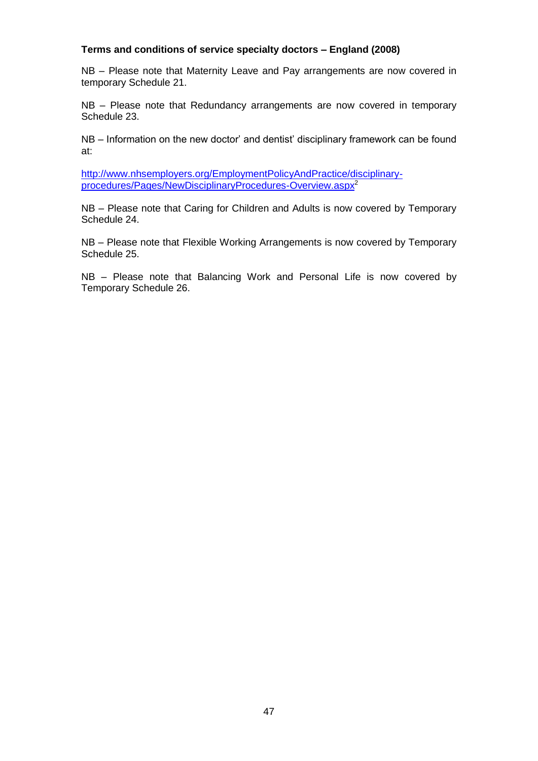NB – Please note that Maternity Leave and Pay arrangements are now covered in temporary Schedule 21.

NB – Please note that Redundancy arrangements are now covered in temporary Schedule 23.

NB – Information on the new doctor' and dentist' disciplinary framework can be found at:

[http://www.nhsemployers.org/EmploymentPolicyAndPractice/disciplinary](http://www.nhsemployers.org/EmploymentPolicyAndPractice/disciplinary-procedures/Pages/NewDisciplinaryProcedures-Overview.aspx)[procedures/Pages/NewDisciplinaryProcedures-Overview.aspx](http://www.nhsemployers.org/EmploymentPolicyAndPractice/disciplinary-procedures/Pages/NewDisciplinaryProcedures-Overview.aspx)<sup>2</sup>

NB – Please note that Caring for Children and Adults is now covered by Temporary Schedule 24.

NB – Please note that Flexible Working Arrangements is now covered by Temporary Schedule 25.

NB – Please note that Balancing Work and Personal Life is now covered by Temporary Schedule 26.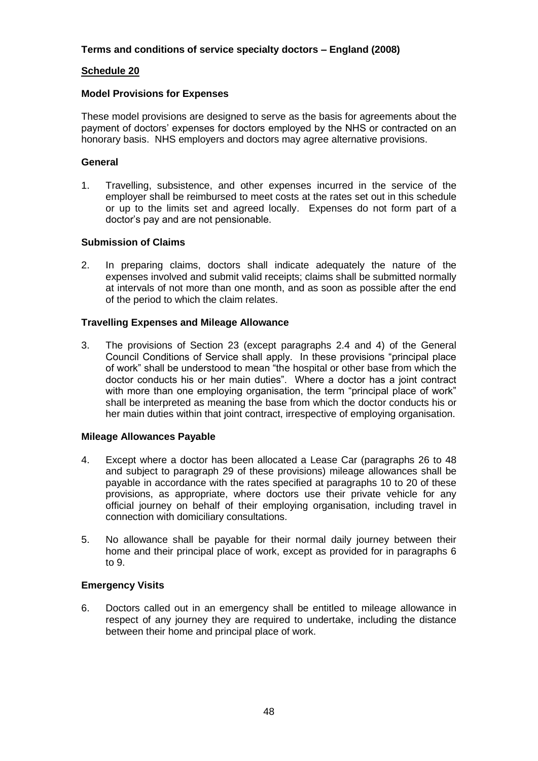### **Schedule 20**

### **Model Provisions for Expenses**

These model provisions are designed to serve as the basis for agreements about the payment of doctors' expenses for doctors employed by the NHS or contracted on an honorary basis. NHS employers and doctors may agree alternative provisions.

#### **General**

1. Travelling, subsistence, and other expenses incurred in the service of the employer shall be reimbursed to meet costs at the rates set out in this schedule or up to the limits set and agreed locally. Expenses do not form part of a doctor's pay and are not pensionable.

### **Submission of Claims**

2. In preparing claims, doctors shall indicate adequately the nature of the expenses involved and submit valid receipts; claims shall be submitted normally at intervals of not more than one month, and as soon as possible after the end of the period to which the claim relates.

#### **Travelling Expenses and Mileage Allowance**

3. The provisions of Section 23 (except paragraphs 2.4 and 4) of the General Council Conditions of Service shall apply. In these provisions "principal place of work" shall be understood to mean "the hospital or other base from which the doctor conducts his or her main duties". Where a doctor has a joint contract with more than one employing organisation, the term "principal place of work" shall be interpreted as meaning the base from which the doctor conducts his or her main duties within that joint contract, irrespective of employing organisation.

### **Mileage Allowances Payable**

- 4. Except where a doctor has been allocated a Lease Car (paragraphs 26 to 48 and subject to paragraph 29 of these provisions) mileage allowances shall be payable in accordance with the rates specified at paragraphs 10 to 20 of these provisions, as appropriate, where doctors use their private vehicle for any official journey on behalf of their employing organisation, including travel in connection with domiciliary consultations.
- 5. No allowance shall be payable for their normal daily journey between their home and their principal place of work, except as provided for in paragraphs 6 to 9.

### **Emergency Visits**

6. Doctors called out in an emergency shall be entitled to mileage allowance in respect of any journey they are required to undertake, including the distance between their home and principal place of work.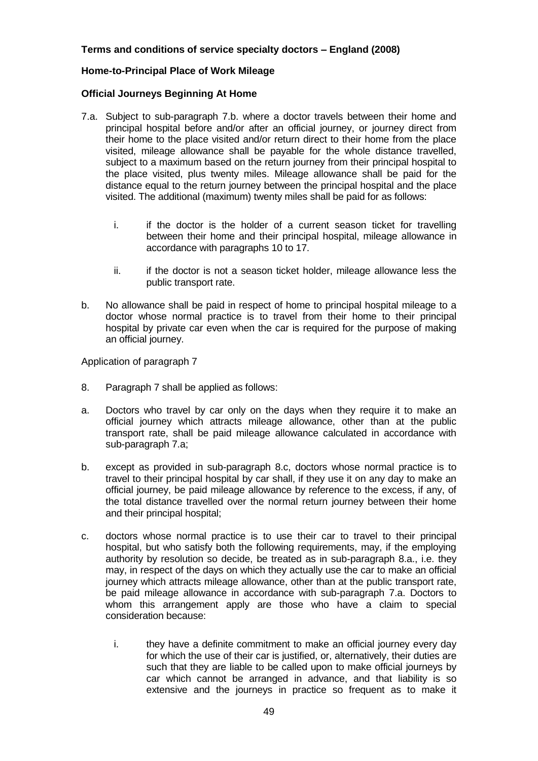### **Home-to-Principal Place of Work Mileage**

#### **Official Journeys Beginning At Home**

- 7.a. Subject to sub-paragraph 7.b. where a doctor travels between their home and principal hospital before and/or after an official journey, or journey direct from their home to the place visited and/or return direct to their home from the place visited, mileage allowance shall be payable for the whole distance travelled, subject to a maximum based on the return journey from their principal hospital to the place visited, plus twenty miles. Mileage allowance shall be paid for the distance equal to the return journey between the principal hospital and the place visited. The additional (maximum) twenty miles shall be paid for as follows:
	- i. if the doctor is the holder of a current season ticket for travelling between their home and their principal hospital, mileage allowance in accordance with paragraphs 10 to 17.
	- ii. if the doctor is not a season ticket holder, mileage allowance less the public transport rate.
- b. No allowance shall be paid in respect of home to principal hospital mileage to a doctor whose normal practice is to travel from their home to their principal hospital by private car even when the car is required for the purpose of making an official journey.

Application of paragraph 7

- 8. Paragraph 7 shall be applied as follows:
- a. Doctors who travel by car only on the days when they require it to make an official journey which attracts mileage allowance, other than at the public transport rate, shall be paid mileage allowance calculated in accordance with sub-paragraph 7.a;
- b. except as provided in sub-paragraph 8.c, doctors whose normal practice is to travel to their principal hospital by car shall, if they use it on any day to make an official journey, be paid mileage allowance by reference to the excess, if any, of the total distance travelled over the normal return journey between their home and their principal hospital;
- c. doctors whose normal practice is to use their car to travel to their principal hospital, but who satisfy both the following requirements, may, if the employing authority by resolution so decide, be treated as in sub-paragraph 8.a., i.e. they may, in respect of the days on which they actually use the car to make an official journey which attracts mileage allowance, other than at the public transport rate, be paid mileage allowance in accordance with sub-paragraph 7.a. Doctors to whom this arrangement apply are those who have a claim to special consideration because:
	- i. they have a definite commitment to make an official journey every day for which the use of their car is justified, or, alternatively, their duties are such that they are liable to be called upon to make official journeys by car which cannot be arranged in advance, and that liability is so extensive and the journeys in practice so frequent as to make it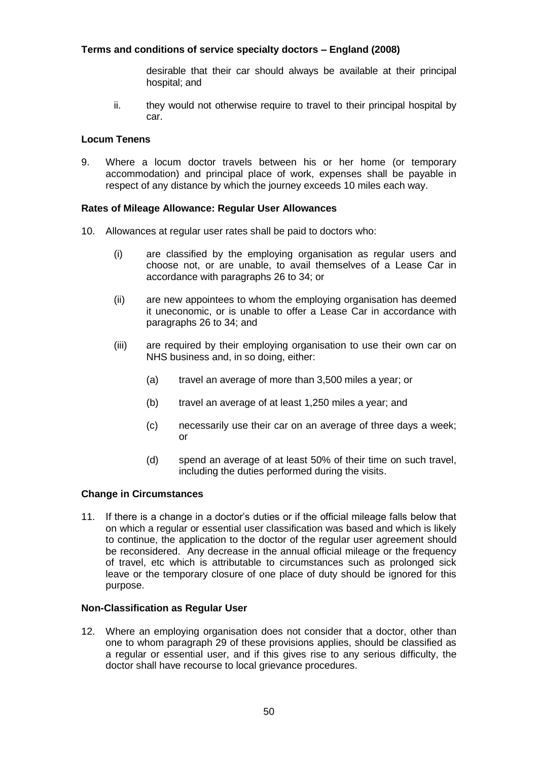desirable that their car should always be available at their principal hospital; and

ii. they would not otherwise require to travel to their principal hospital by car.

### **Locum Tenens**

9. Where a locum doctor travels between his or her home (or temporary accommodation) and principal place of work, expenses shall be payable in respect of any distance by which the journey exceeds 10 miles each way.

#### **Rates of Mileage Allowance: Regular User Allowances**

- 10. Allowances at regular user rates shall be paid to doctors who:
	- (i) are classified by the employing organisation as regular users and choose not, or are unable, to avail themselves of a Lease Car in accordance with paragraphs 26 to 34; or
	- (ii) are new appointees to whom the employing organisation has deemed it uneconomic, or is unable to offer a Lease Car in accordance with paragraphs 26 to 34; and
	- (iii) are required by their employing organisation to use their own car on NHS business and, in so doing, either:
		- (a) travel an average of more than 3,500 miles a year; or
		- (b) travel an average of at least 1,250 miles a year; and
		- (c) necessarily use their car on an average of three days a week; or
		- (d) spend an average of at least 50% of their time on such travel, including the duties performed during the visits.

### **Change in Circumstances**

11. If there is a change in a doctor's duties or if the official mileage falls below that on which a regular or essential user classification was based and which is likely to continue, the application to the doctor of the regular user agreement should be reconsidered. Any decrease in the annual official mileage or the frequency of travel, etc which is attributable to circumstances such as prolonged sick leave or the temporary closure of one place of duty should be ignored for this purpose.

#### **Non-Classification as Regular User**

12. Where an employing organisation does not consider that a doctor, other than one to whom paragraph 29 of these provisions applies, should be classified as a regular or essential user, and if this gives rise to any serious difficulty, the doctor shall have recourse to local grievance procedures.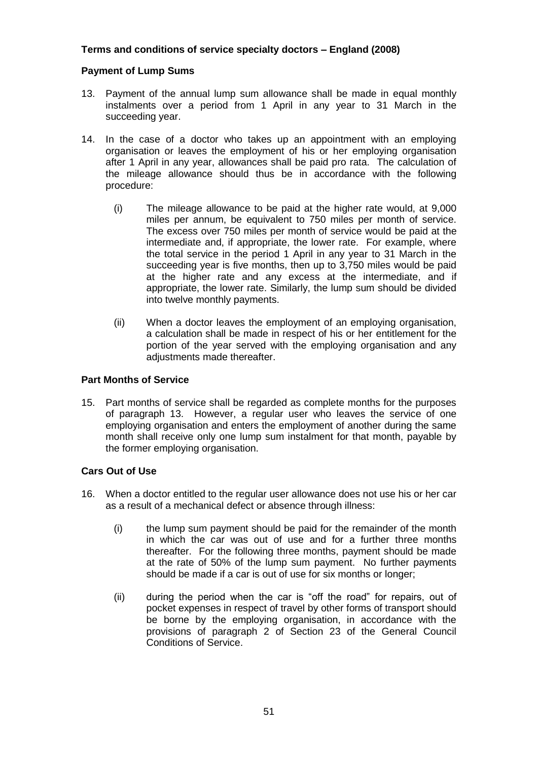### **Payment of Lump Sums**

- 13. Payment of the annual lump sum allowance shall be made in equal monthly instalments over a period from 1 April in any year to 31 March in the succeeding year.
- 14. In the case of a doctor who takes up an appointment with an employing organisation or leaves the employment of his or her employing organisation after 1 April in any year, allowances shall be paid pro rata. The calculation of the mileage allowance should thus be in accordance with the following procedure:
	- (i) The mileage allowance to be paid at the higher rate would, at 9,000 miles per annum, be equivalent to 750 miles per month of service. The excess over 750 miles per month of service would be paid at the intermediate and, if appropriate, the lower rate. For example, where the total service in the period 1 April in any year to 31 March in the succeeding year is five months, then up to 3,750 miles would be paid at the higher rate and any excess at the intermediate, and if appropriate, the lower rate. Similarly, the lump sum should be divided into twelve monthly payments.
	- (ii) When a doctor leaves the employment of an employing organisation, a calculation shall be made in respect of his or her entitlement for the portion of the year served with the employing organisation and any adjustments made thereafter.

### **Part Months of Service**

15. Part months of service shall be regarded as complete months for the purposes of paragraph 13. However, a regular user who leaves the service of one employing organisation and enters the employment of another during the same month shall receive only one lump sum instalment for that month, payable by the former employing organisation.

### **Cars Out of Use**

- 16. When a doctor entitled to the regular user allowance does not use his or her car as a result of a mechanical defect or absence through illness:
	- (i) the lump sum payment should be paid for the remainder of the month in which the car was out of use and for a further three months thereafter. For the following three months, payment should be made at the rate of 50% of the lump sum payment. No further payments should be made if a car is out of use for six months or longer;
	- (ii) during the period when the car is "off the road" for repairs, out of pocket expenses in respect of travel by other forms of transport should be borne by the employing organisation, in accordance with the provisions of paragraph 2 of Section 23 of the General Council Conditions of Service.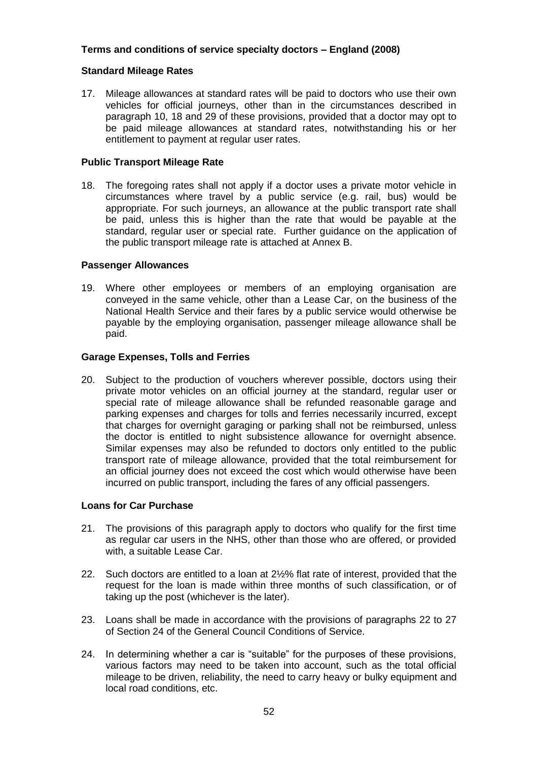### **Standard Mileage Rates**

17. Mileage allowances at standard rates will be paid to doctors who use their own vehicles for official journeys, other than in the circumstances described in paragraph 10, 18 and 29 of these provisions, provided that a doctor may opt to be paid mileage allowances at standard rates, notwithstanding his or her entitlement to payment at regular user rates.

### **Public Transport Mileage Rate**

18. The foregoing rates shall not apply if a doctor uses a private motor vehicle in circumstances where travel by a public service (e.g. rail, bus) would be appropriate. For such journeys, an allowance at the public transport rate shall be paid, unless this is higher than the rate that would be payable at the standard, regular user or special rate. Further guidance on the application of the public transport mileage rate is attached at Annex B.

#### **Passenger Allowances**

19. Where other employees or members of an employing organisation are conveyed in the same vehicle, other than a Lease Car, on the business of the National Health Service and their fares by a public service would otherwise be payable by the employing organisation, passenger mileage allowance shall be paid.

#### **Garage Expenses, Tolls and Ferries**

20. Subject to the production of vouchers wherever possible, doctors using their private motor vehicles on an official journey at the standard, regular user or special rate of mileage allowance shall be refunded reasonable garage and parking expenses and charges for tolls and ferries necessarily incurred, except that charges for overnight garaging or parking shall not be reimbursed, unless the doctor is entitled to night subsistence allowance for overnight absence. Similar expenses may also be refunded to doctors only entitled to the public transport rate of mileage allowance, provided that the total reimbursement for an official journey does not exceed the cost which would otherwise have been incurred on public transport, including the fares of any official passengers.

### **Loans for Car Purchase**

- 21. The provisions of this paragraph apply to doctors who qualify for the first time as regular car users in the NHS, other than those who are offered, or provided with, a suitable Lease Car.
- 22. Such doctors are entitled to a loan at 2½% flat rate of interest, provided that the request for the loan is made within three months of such classification, or of taking up the post (whichever is the later).
- 23. Loans shall be made in accordance with the provisions of paragraphs 22 to 27 of Section 24 of the General Council Conditions of Service.
- 24. In determining whether a car is "suitable" for the purposes of these provisions, various factors may need to be taken into account, such as the total official mileage to be driven, reliability, the need to carry heavy or bulky equipment and local road conditions, etc.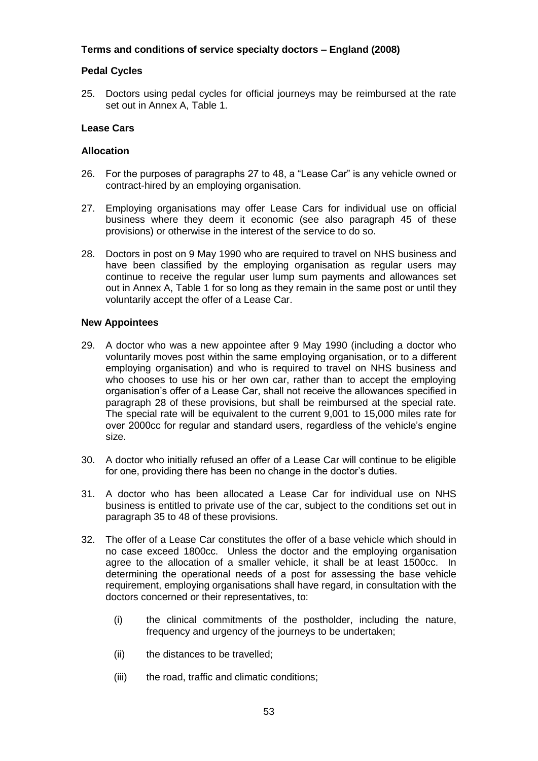### **Pedal Cycles**

25. Doctors using pedal cycles for official journeys may be reimbursed at the rate set out in Annex A, Table 1.

### **Lease Cars**

### **Allocation**

- 26. For the purposes of paragraphs 27 to 48, a "Lease Car" is any vehicle owned or contract-hired by an employing organisation.
- 27. Employing organisations may offer Lease Cars for individual use on official business where they deem it economic (see also paragraph 45 of these provisions) or otherwise in the interest of the service to do so.
- 28. Doctors in post on 9 May 1990 who are required to travel on NHS business and have been classified by the employing organisation as regular users may continue to receive the regular user lump sum payments and allowances set out in Annex A, Table 1 for so long as they remain in the same post or until they voluntarily accept the offer of a Lease Car.

### **New Appointees**

- 29. A doctor who was a new appointee after 9 May 1990 (including a doctor who voluntarily moves post within the same employing organisation, or to a different employing organisation) and who is required to travel on NHS business and who chooses to use his or her own car, rather than to accept the employing organisation's offer of a Lease Car, shall not receive the allowances specified in paragraph 28 of these provisions, but shall be reimbursed at the special rate. The special rate will be equivalent to the current 9,001 to 15,000 miles rate for over 2000cc for regular and standard users, regardless of the vehicle's engine size.
- 30. A doctor who initially refused an offer of a Lease Car will continue to be eligible for one, providing there has been no change in the doctor's duties.
- 31. A doctor who has been allocated a Lease Car for individual use on NHS business is entitled to private use of the car, subject to the conditions set out in paragraph 35 to 48 of these provisions.
- 32. The offer of a Lease Car constitutes the offer of a base vehicle which should in no case exceed 1800cc. Unless the doctor and the employing organisation agree to the allocation of a smaller vehicle, it shall be at least 1500cc. In determining the operational needs of a post for assessing the base vehicle requirement, employing organisations shall have regard, in consultation with the doctors concerned or their representatives, to:
	- (i) the clinical commitments of the postholder, including the nature, frequency and urgency of the journeys to be undertaken;
	- (ii) the distances to be travelled;
	- (iii) the road, traffic and climatic conditions;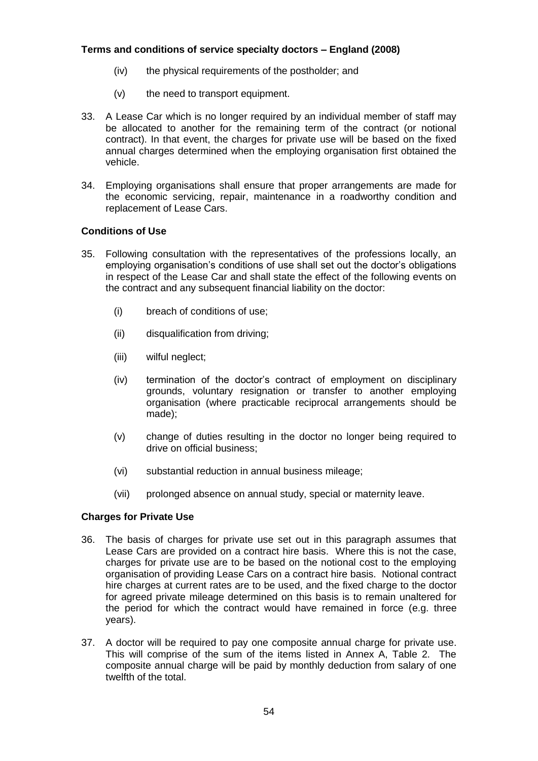- (iv) the physical requirements of the postholder; and
- (v) the need to transport equipment.
- 33. A Lease Car which is no longer required by an individual member of staff may be allocated to another for the remaining term of the contract (or notional contract). In that event, the charges for private use will be based on the fixed annual charges determined when the employing organisation first obtained the vehicle.
- 34. Employing organisations shall ensure that proper arrangements are made for the economic servicing, repair, maintenance in a roadworthy condition and replacement of Lease Cars.

### **Conditions of Use**

- 35. Following consultation with the representatives of the professions locally, an employing organisation's conditions of use shall set out the doctor's obligations in respect of the Lease Car and shall state the effect of the following events on the contract and any subsequent financial liability on the doctor:
	- (i) breach of conditions of use;
	- (ii) disqualification from driving;
	- (iii) wilful neglect;
	- (iv) termination of the doctor's contract of employment on disciplinary grounds, voluntary resignation or transfer to another employing organisation (where practicable reciprocal arrangements should be made);
	- (v) change of duties resulting in the doctor no longer being required to drive on official business;
	- (vi) substantial reduction in annual business mileage;
	- (vii) prolonged absence on annual study, special or maternity leave.

### **Charges for Private Use**

- 36. The basis of charges for private use set out in this paragraph assumes that Lease Cars are provided on a contract hire basis. Where this is not the case, charges for private use are to be based on the notional cost to the employing organisation of providing Lease Cars on a contract hire basis. Notional contract hire charges at current rates are to be used, and the fixed charge to the doctor for agreed private mileage determined on this basis is to remain unaltered for the period for which the contract would have remained in force (e.g. three years).
- 37. A doctor will be required to pay one composite annual charge for private use. This will comprise of the sum of the items listed in Annex A, Table 2. The composite annual charge will be paid by monthly deduction from salary of one twelfth of the total.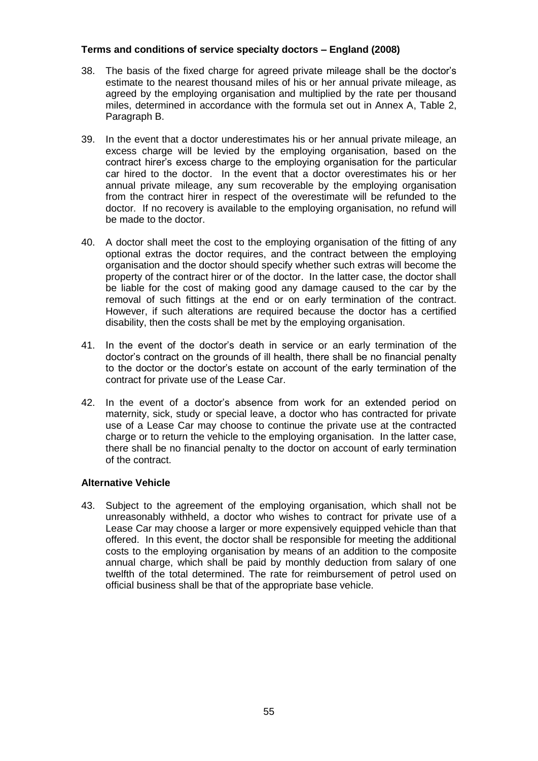- 38. The basis of the fixed charge for agreed private mileage shall be the doctor's estimate to the nearest thousand miles of his or her annual private mileage, as agreed by the employing organisation and multiplied by the rate per thousand miles, determined in accordance with the formula set out in Annex A, Table 2, Paragraph B.
- 39. In the event that a doctor underestimates his or her annual private mileage, an excess charge will be levied by the employing organisation, based on the contract hirer's excess charge to the employing organisation for the particular car hired to the doctor. In the event that a doctor overestimates his or her annual private mileage, any sum recoverable by the employing organisation from the contract hirer in respect of the overestimate will be refunded to the doctor. If no recovery is available to the employing organisation, no refund will be made to the doctor.
- 40. A doctor shall meet the cost to the employing organisation of the fitting of any optional extras the doctor requires, and the contract between the employing organisation and the doctor should specify whether such extras will become the property of the contract hirer or of the doctor. In the latter case, the doctor shall be liable for the cost of making good any damage caused to the car by the removal of such fittings at the end or on early termination of the contract. However, if such alterations are required because the doctor has a certified disability, then the costs shall be met by the employing organisation.
- 41. In the event of the doctor's death in service or an early termination of the doctor's contract on the grounds of ill health, there shall be no financial penalty to the doctor or the doctor's estate on account of the early termination of the contract for private use of the Lease Car.
- 42. In the event of a doctor's absence from work for an extended period on maternity, sick, study or special leave, a doctor who has contracted for private use of a Lease Car may choose to continue the private use at the contracted charge or to return the vehicle to the employing organisation. In the latter case, there shall be no financial penalty to the doctor on account of early termination of the contract.

### **Alternative Vehicle**

43. Subject to the agreement of the employing organisation, which shall not be unreasonably withheld, a doctor who wishes to contract for private use of a Lease Car may choose a larger or more expensively equipped vehicle than that offered. In this event, the doctor shall be responsible for meeting the additional costs to the employing organisation by means of an addition to the composite annual charge, which shall be paid by monthly deduction from salary of one twelfth of the total determined. The rate for reimbursement of petrol used on official business shall be that of the appropriate base vehicle.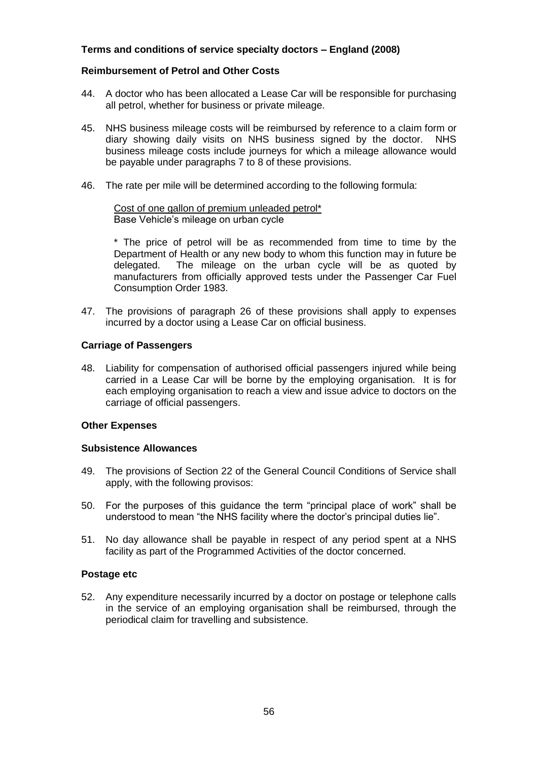### **Reimbursement of Petrol and Other Costs**

- 44. A doctor who has been allocated a Lease Car will be responsible for purchasing all petrol, whether for business or private mileage.
- 45. NHS business mileage costs will be reimbursed by reference to a claim form or diary showing daily visits on NHS business signed by the doctor. NHS business mileage costs include journeys for which a mileage allowance would be payable under paragraphs 7 to 8 of these provisions.
- 46. The rate per mile will be determined according to the following formula:

#### Cost of one gallon of premium unleaded petrol\* Base Vehicle's mileage on urban cycle

\* The price of petrol will be as recommended from time to time by the Department of Health or any new body to whom this function may in future be delegated. The mileage on the urban cycle will be as quoted by manufacturers from officially approved tests under the Passenger Car Fuel Consumption Order 1983.

47. The provisions of paragraph 26 of these provisions shall apply to expenses incurred by a doctor using a Lease Car on official business.

#### **Carriage of Passengers**

48. Liability for compensation of authorised official passengers injured while being carried in a Lease Car will be borne by the employing organisation. It is for each employing organisation to reach a view and issue advice to doctors on the carriage of official passengers.

#### **Other Expenses**

#### **Subsistence Allowances**

- 49. The provisions of Section 22 of the General Council Conditions of Service shall apply, with the following provisos:
- 50. For the purposes of this guidance the term "principal place of work" shall be understood to mean "the NHS facility where the doctor's principal duties lie".
- 51. No day allowance shall be payable in respect of any period spent at a NHS facility as part of the Programmed Activities of the doctor concerned.

### **Postage etc**

52. Any expenditure necessarily incurred by a doctor on postage or telephone calls in the service of an employing organisation shall be reimbursed, through the periodical claim for travelling and subsistence.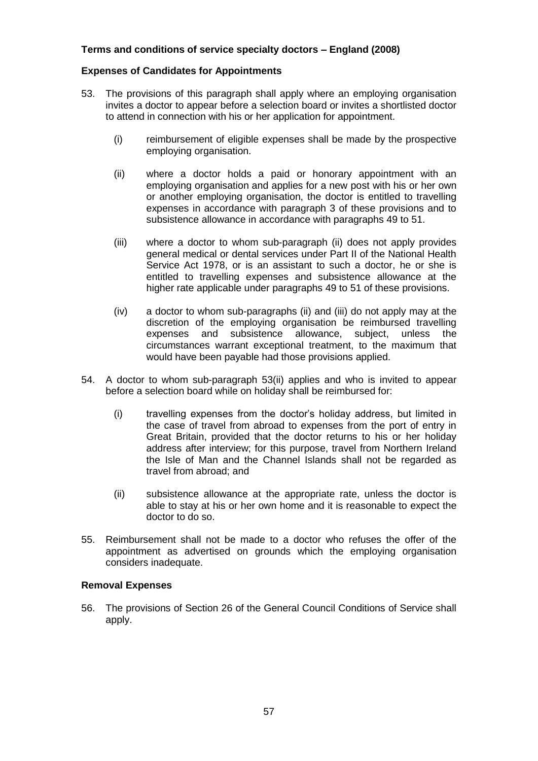### **Expenses of Candidates for Appointments**

- 53. The provisions of this paragraph shall apply where an employing organisation invites a doctor to appear before a selection board or invites a shortlisted doctor to attend in connection with his or her application for appointment.
	- (i) reimbursement of eligible expenses shall be made by the prospective employing organisation.
	- (ii) where a doctor holds a paid or honorary appointment with an employing organisation and applies for a new post with his or her own or another employing organisation, the doctor is entitled to travelling expenses in accordance with paragraph 3 of these provisions and to subsistence allowance in accordance with paragraphs 49 to 51.
	- (iii) where a doctor to whom sub-paragraph (ii) does not apply provides general medical or dental services under Part II of the National Health Service Act 1978, or is an assistant to such a doctor, he or she is entitled to travelling expenses and subsistence allowance at the higher rate applicable under paragraphs 49 to 51 of these provisions.
	- (iv) a doctor to whom sub-paragraphs (ii) and (iii) do not apply may at the discretion of the employing organisation be reimbursed travelling expenses and subsistence allowance, subject, unless the circumstances warrant exceptional treatment, to the maximum that would have been payable had those provisions applied.
- 54. A doctor to whom sub-paragraph 53(ii) applies and who is invited to appear before a selection board while on holiday shall be reimbursed for:
	- (i) travelling expenses from the doctor's holiday address, but limited in the case of travel from abroad to expenses from the port of entry in Great Britain, provided that the doctor returns to his or her holiday address after interview; for this purpose, travel from Northern Ireland the Isle of Man and the Channel Islands shall not be regarded as travel from abroad; and
	- (ii) subsistence allowance at the appropriate rate, unless the doctor is able to stay at his or her own home and it is reasonable to expect the doctor to do so.
- 55. Reimbursement shall not be made to a doctor who refuses the offer of the appointment as advertised on grounds which the employing organisation considers inadequate.

#### **Removal Expenses**

56. The provisions of Section 26 of the General Council Conditions of Service shall apply.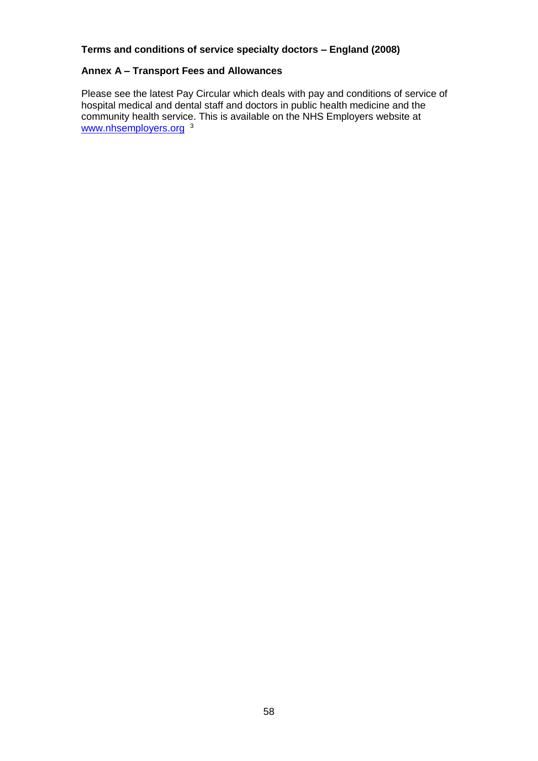### **Annex A – Transport Fees and Allowances**

Please see the latest Pay Circular which deals with pay and conditions of service of hospital medical and dental staff and doctors in public health medicine and the community health service. This is available on the NHS Employers website at [www.nhsemployers.org](../../AppData/Local/Microsoft/Windows/INetCache/Content.Outlook/T4JQTSCJ/www.nhsemployers.org/PayAndContracts/Pay%20circulars/Pages/PayCirculars.aspx) 3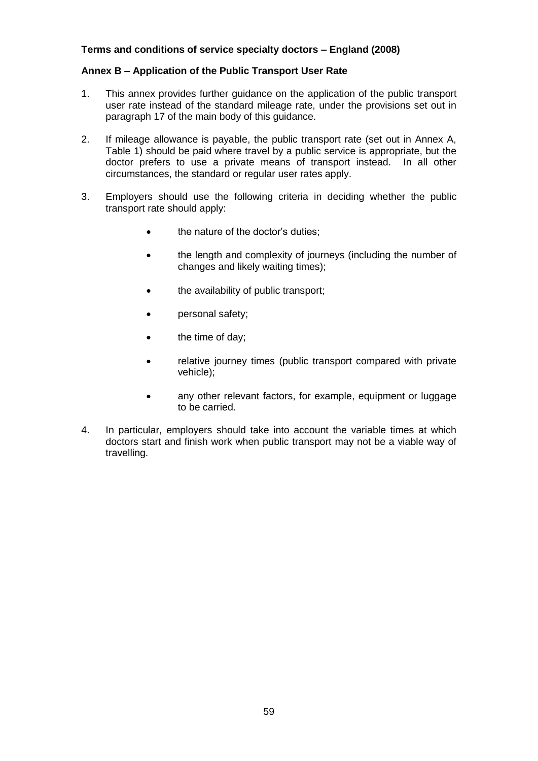### **Annex B – Application of the Public Transport User Rate**

- 1. This annex provides further guidance on the application of the public transport user rate instead of the standard mileage rate, under the provisions set out in paragraph 17 of the main body of this guidance.
- 2. If mileage allowance is payable, the public transport rate (set out in Annex A, Table 1) should be paid where travel by a public service is appropriate, but the doctor prefers to use a private means of transport instead. In all other circumstances, the standard or regular user rates apply.
- 3. Employers should use the following criteria in deciding whether the public transport rate should apply:
	- the nature of the doctor's duties;
	- the length and complexity of journeys (including the number of changes and likely waiting times);
	- the availability of public transport;
	- personal safety;
	- the time of day;
	- relative journey times (public transport compared with private vehicle);
	- any other relevant factors, for example, equipment or luggage to be carried.
- 4. In particular, employers should take into account the variable times at which doctors start and finish work when public transport may not be a viable way of travelling.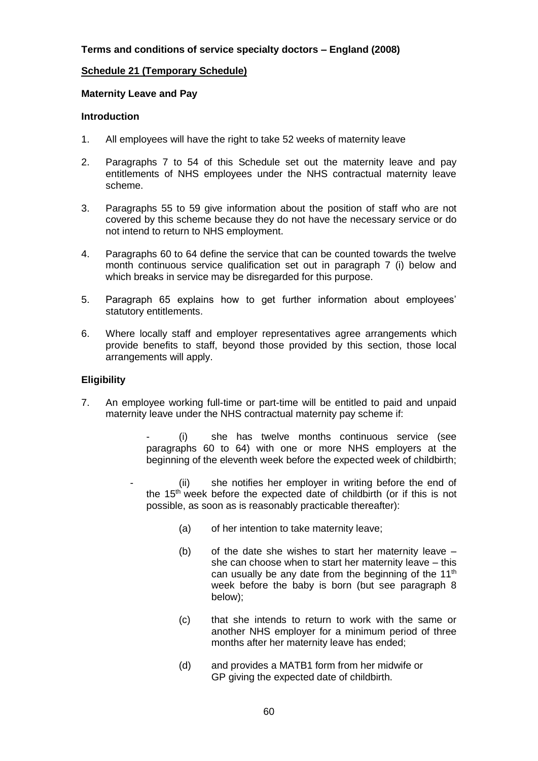### **Schedule 21 (Temporary Schedule)**

### **Maternity Leave and Pay**

### **Introduction**

- 1. All employees will have the right to take 52 weeks of maternity leave
- 2. Paragraphs 7 to 54 of this Schedule set out the maternity leave and pay entitlements of NHS employees under the NHS contractual maternity leave scheme.
- 3. Paragraphs 55 to 59 give information about the position of staff who are not covered by this scheme because they do not have the necessary service or do not intend to return to NHS employment.
- 4. Paragraphs 60 to 64 define the service that can be counted towards the twelve month continuous service qualification set out in paragraph 7 (i) below and which breaks in service may be disregarded for this purpose.
- 5. Paragraph 65 explains how to get further information about employees' statutory entitlements.
- 6. Where locally staff and employer representatives agree arrangements which provide benefits to staff, beyond those provided by this section, those local arrangements will apply.

### **Eligibility**

7. An employee working full-time or part-time will be entitled to paid and unpaid maternity leave under the NHS contractual maternity pay scheme if:

> (i) she has twelve months continuous service (see paragraphs 60 to 64) with one or more NHS employers at the beginning of the eleventh week before the expected week of childbirth;

- (ii) she notifies her emplover in writing before the end of the 15<sup>th</sup> week before the expected date of childbirth (or if this is not possible, as soon as is reasonably practicable thereafter):
	- (a) of her intention to take maternity leave;
	- (b) of the date she wishes to start her maternity leave  $$ she can choose when to start her maternity leave – this can usually be any date from the beginning of the  $11<sup>th</sup>$ week before the baby is born (but see paragraph 8 below);
	- (c) that she intends to return to work with the same or another NHS employer for a minimum period of three months after her maternity leave has ended;
	- (d) and provides a MATB1 form from her midwife or GP giving the expected date of childbirth.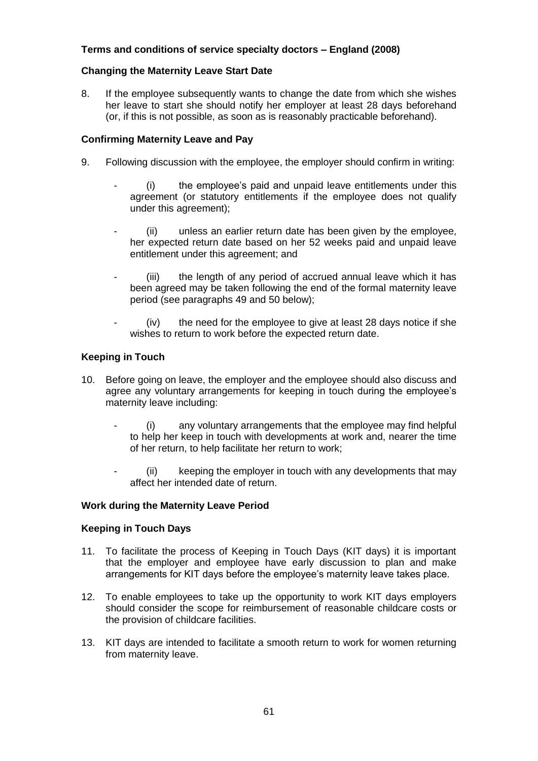### **Changing the Maternity Leave Start Date**

8. If the employee subsequently wants to change the date from which she wishes her leave to start she should notify her employer at least 28 days beforehand (or, if this is not possible, as soon as is reasonably practicable beforehand).

### **Confirming Maternity Leave and Pay**

- 9. Following discussion with the employee, the employer should confirm in writing:
	- $(i)$  the employee's paid and unpaid leave entitlements under this agreement (or statutory entitlements if the employee does not qualify under this agreement);
	- (ii) unless an earlier return date has been given by the employee, her expected return date based on her 52 weeks paid and unpaid leave entitlement under this agreement; and
	- (iii) the length of any period of accrued annual leave which it has been agreed may be taken following the end of the formal maternity leave period (see paragraphs 49 and 50 below);
	- $(iv)$  the need for the employee to give at least 28 days notice if she wishes to return to work before the expected return date.

### **Keeping in Touch**

- 10. Before going on leave, the employer and the employee should also discuss and agree any voluntary arrangements for keeping in touch during the employee's maternity leave including:
	- $(i)$  any voluntary arrangements that the employee may find helpful to help her keep in touch with developments at work and, nearer the time of her return, to help facilitate her return to work;
	- (ii) keeping the employer in touch with any developments that may affect her intended date of return.

### **Work during the Maternity Leave Period**

### **Keeping in Touch Days**

- 11. To facilitate the process of Keeping in Touch Days (KIT days) it is important that the employer and employee have early discussion to plan and make arrangements for KIT days before the employee's maternity leave takes place.
- 12. To enable employees to take up the opportunity to work KIT days employers should consider the scope for reimbursement of reasonable childcare costs or the provision of childcare facilities.
- 13. KIT days are intended to facilitate a smooth return to work for women returning from maternity leave.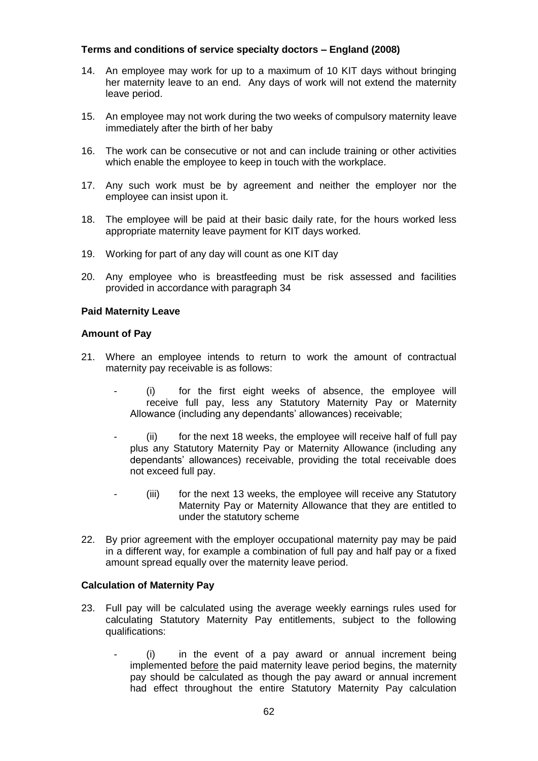- 14. An employee may work for up to a maximum of 10 KIT days without bringing her maternity leave to an end. Any days of work will not extend the maternity leave period.
- 15. An employee may not work during the two weeks of compulsory maternity leave immediately after the birth of her baby
- 16. The work can be consecutive or not and can include training or other activities which enable the employee to keep in touch with the workplace.
- 17. Any such work must be by agreement and neither the employer nor the employee can insist upon it.
- 18. The employee will be paid at their basic daily rate, for the hours worked less appropriate maternity leave payment for KIT days worked.
- 19. Working for part of any day will count as one KIT day
- 20. Any employee who is breastfeeding must be risk assessed and facilities provided in accordance with paragraph 34

#### **Paid Maternity Leave**

#### **Amount of Pay**

- 21. Where an employee intends to return to work the amount of contractual maternity pay receivable is as follows:
	- (i) for the first eight weeks of absence, the employee will receive full pay, less any Statutory Maternity Pay or Maternity Allowance (including any dependants' allowances) receivable;
	- (ii) for the next 18 weeks, the employee will receive half of full pay plus any Statutory Maternity Pay or Maternity Allowance (including any dependants' allowances) receivable, providing the total receivable does not exceed full pay.
	- (iii) for the next 13 weeks, the employee will receive any Statutory Maternity Pay or Maternity Allowance that they are entitled to under the statutory scheme
- 22. By prior agreement with the employer occupational maternity pay may be paid in a different way, for example a combination of full pay and half pay or a fixed amount spread equally over the maternity leave period.

### **Calculation of Maternity Pay**

- 23. Full pay will be calculated using the average weekly earnings rules used for calculating Statutory Maternity Pay entitlements, subject to the following qualifications:
	- $(i)$  in the event of a pay award or annual increment being implemented before the paid maternity leave period begins, the maternity pay should be calculated as though the pay award or annual increment had effect throughout the entire Statutory Maternity Pay calculation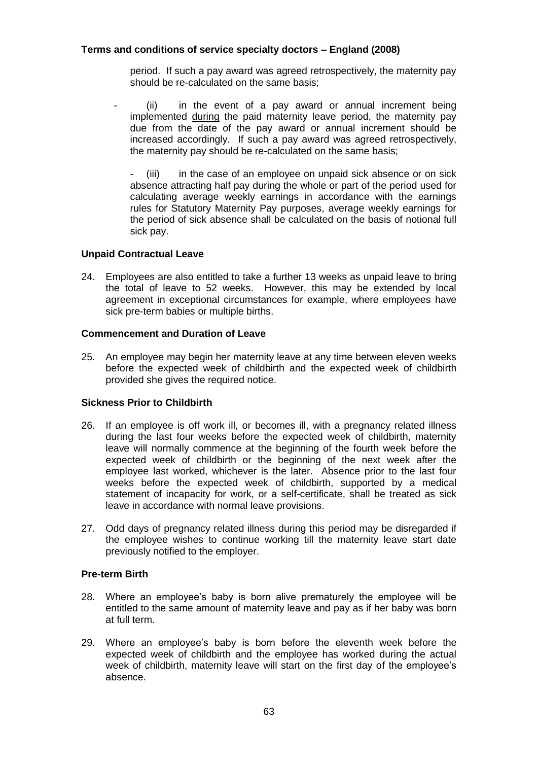period. If such a pay award was agreed retrospectively, the maternity pay should be re-calculated on the same basis;

 $(ii)$  in the event of a pay award or annual increment being implemented during the paid maternity leave period, the maternity pay due from the date of the pay award or annual increment should be increased accordingly. If such a pay award was agreed retrospectively, the maternity pay should be re-calculated on the same basis;

- (iii) in the case of an employee on unpaid sick absence or on sick absence attracting half pay during the whole or part of the period used for calculating average weekly earnings in accordance with the earnings rules for Statutory Maternity Pay purposes, average weekly earnings for the period of sick absence shall be calculated on the basis of notional full sick pay.

### **Unpaid Contractual Leave**

24. Employees are also entitled to take a further 13 weeks as unpaid leave to bring the total of leave to 52 weeks. However, this may be extended by local agreement in exceptional circumstances for example, where employees have sick pre-term babies or multiple births.

### **Commencement and Duration of Leave**

25. An employee may begin her maternity leave at any time between eleven weeks before the expected week of childbirth and the expected week of childbirth provided she gives the required notice.

### **Sickness Prior to Childbirth**

- 26. If an employee is off work ill, or becomes ill, with a pregnancy related illness during the last four weeks before the expected week of childbirth, maternity leave will normally commence at the beginning of the fourth week before the expected week of childbirth or the beginning of the next week after the employee last worked, whichever is the later. Absence prior to the last four weeks before the expected week of childbirth, supported by a medical statement of incapacity for work, or a self-certificate, shall be treated as sick leave in accordance with normal leave provisions.
- 27. Odd days of pregnancy related illness during this period may be disregarded if the employee wishes to continue working till the maternity leave start date previously notified to the employer.

### **Pre-term Birth**

- 28. Where an employee's baby is born alive prematurely the employee will be entitled to the same amount of maternity leave and pay as if her baby was born at full term.
- 29. Where an employee's baby is born before the eleventh week before the expected week of childbirth and the employee has worked during the actual week of childbirth, maternity leave will start on the first day of the employee's absence.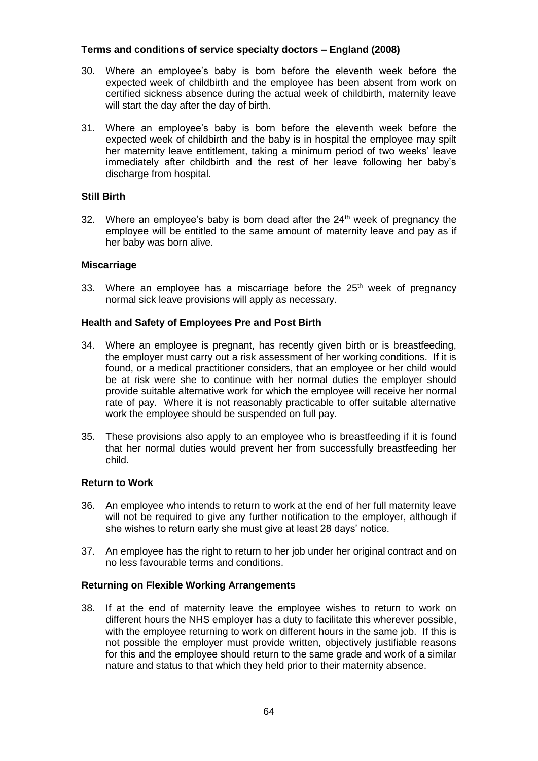- 30. Where an employee's baby is born before the eleventh week before the expected week of childbirth and the employee has been absent from work on certified sickness absence during the actual week of childbirth, maternity leave will start the day after the day of birth.
- 31. Where an employee's baby is born before the eleventh week before the expected week of childbirth and the baby is in hospital the employee may spilt her maternity leave entitlement, taking a minimum period of two weeks' leave immediately after childbirth and the rest of her leave following her baby's discharge from hospital.

### **Still Birth**

32. Where an employee's baby is born dead after the  $24<sup>th</sup>$  week of pregnancy the employee will be entitled to the same amount of maternity leave and pay as if her baby was born alive.

### **Miscarriage**

33. Where an employee has a miscarriage before the  $25<sup>th</sup>$  week of pregnancy normal sick leave provisions will apply as necessary.

### **Health and Safety of Employees Pre and Post Birth**

- 34. Where an employee is pregnant, has recently given birth or is breastfeeding, the employer must carry out a risk assessment of her working conditions. If it is found, or a medical practitioner considers, that an employee or her child would be at risk were she to continue with her normal duties the employer should provide suitable alternative work for which the employee will receive her normal rate of pay. Where it is not reasonably practicable to offer suitable alternative work the employee should be suspended on full pay.
- 35. These provisions also apply to an employee who is breastfeeding if it is found that her normal duties would prevent her from successfully breastfeeding her child.

### **Return to Work**

- 36. An employee who intends to return to work at the end of her full maternity leave will not be required to give any further notification to the employer, although if she wishes to return early she must give at least 28 days' notice.
- 37. An employee has the right to return to her job under her original contract and on no less favourable terms and conditions.

### **Returning on Flexible Working Arrangements**

38. If at the end of maternity leave the employee wishes to return to work on different hours the NHS employer has a duty to facilitate this wherever possible, with the employee returning to work on different hours in the same job. If this is not possible the employer must provide written, objectively justifiable reasons for this and the employee should return to the same grade and work of a similar nature and status to that which they held prior to their maternity absence.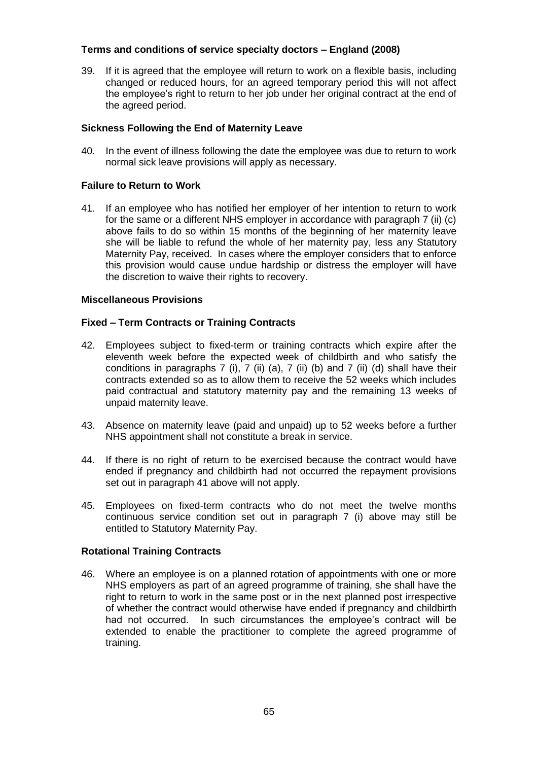39. If it is agreed that the employee will return to work on a flexible basis, including changed or reduced hours, for an agreed temporary period this will not affect the employee's right to return to her job under her original contract at the end of the agreed period.

### **Sickness Following the End of Maternity Leave**

40. In the event of illness following the date the employee was due to return to work normal sick leave provisions will apply as necessary.

### **Failure to Return to Work**

41. If an employee who has notified her employer of her intention to return to work for the same or a different NHS employer in accordance with paragraph 7 (ii) (c) above fails to do so within 15 months of the beginning of her maternity leave she will be liable to refund the whole of her maternity pay, less any Statutory Maternity Pay, received. In cases where the employer considers that to enforce this provision would cause undue hardship or distress the employer will have the discretion to waive their rights to recovery.

#### **Miscellaneous Provisions**

### **Fixed – Term Contracts or Training Contracts**

- 42. Employees subject to fixed-term or training contracts which expire after the eleventh week before the expected week of childbirth and who satisfy the conditions in paragraphs 7 (i), 7 (ii) (a), 7 (ii) (b) and 7 (ii) (d) shall have their contracts extended so as to allow them to receive the 52 weeks which includes paid contractual and statutory maternity pay and the remaining 13 weeks of unpaid maternity leave.
- 43. Absence on maternity leave (paid and unpaid) up to 52 weeks before a further NHS appointment shall not constitute a break in service.
- 44. If there is no right of return to be exercised because the contract would have ended if pregnancy and childbirth had not occurred the repayment provisions set out in paragraph 41 above will not apply.
- 45. Employees on fixed-term contracts who do not meet the twelve months continuous service condition set out in paragraph 7 (i) above may still be entitled to Statutory Maternity Pay.

### **Rotational Training Contracts**

46. Where an employee is on a planned rotation of appointments with one or more NHS employers as part of an agreed programme of training, she shall have the right to return to work in the same post or in the next planned post irrespective of whether the contract would otherwise have ended if pregnancy and childbirth had not occurred. In such circumstances the employee's contract will be extended to enable the practitioner to complete the agreed programme of training.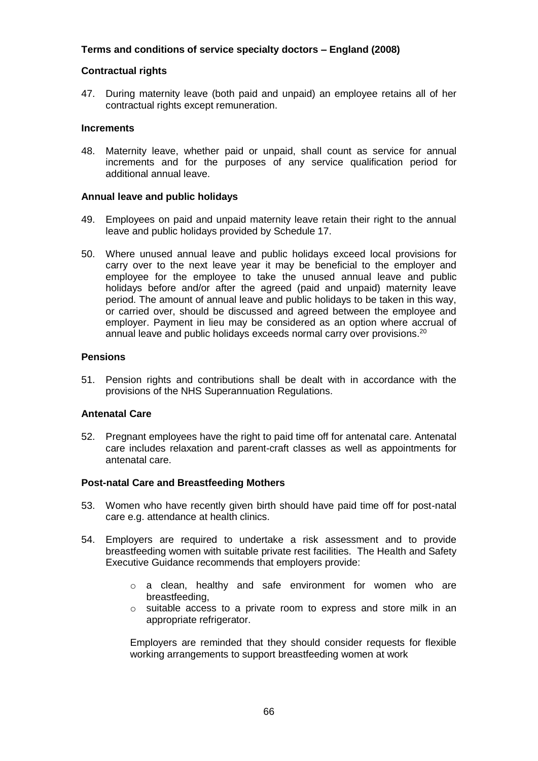### **Contractual rights**

47. During maternity leave (both paid and unpaid) an employee retains all of her contractual rights except remuneration.

#### **Increments**

48. Maternity leave, whether paid or unpaid, shall count as service for annual increments and for the purposes of any service qualification period for additional annual leave.

#### **Annual leave and public holidays**

- 49. Employees on paid and unpaid maternity leave retain their right to the annual leave and public holidays provided by Schedule 17.
- 50. Where unused annual leave and public holidays exceed local provisions for carry over to the next leave year it may be beneficial to the employer and employee for the employee to take the unused annual leave and public holidays before and/or after the agreed (paid and unpaid) maternity leave period. The amount of annual leave and public holidays to be taken in this way, or carried over, should be discussed and agreed between the employee and employer. Payment in lieu may be considered as an option where accrual of annual leave and public holidays exceeds normal carry over provisions.<sup>20</sup>

#### **Pensions**

51. Pension rights and contributions shall be dealt with in accordance with the provisions of the NHS Superannuation Regulations.

#### **Antenatal Care**

52. Pregnant employees have the right to paid time off for antenatal care. Antenatal care includes relaxation and parent-craft classes as well as appointments for antenatal care.

#### **Post-natal Care and Breastfeeding Mothers**

- 53. Women who have recently given birth should have paid time off for post-natal care e.g. attendance at health clinics.
- 54. Employers are required to undertake a risk assessment and to provide breastfeeding women with suitable private rest facilities. The Health and Safety Executive Guidance recommends that employers provide:
	- o a clean, healthy and safe environment for women who are breastfeeding,
	- o suitable access to a private room to express and store milk in an appropriate refrigerator.

Employers are reminded that they should consider requests for flexible working arrangements to support breastfeeding women at work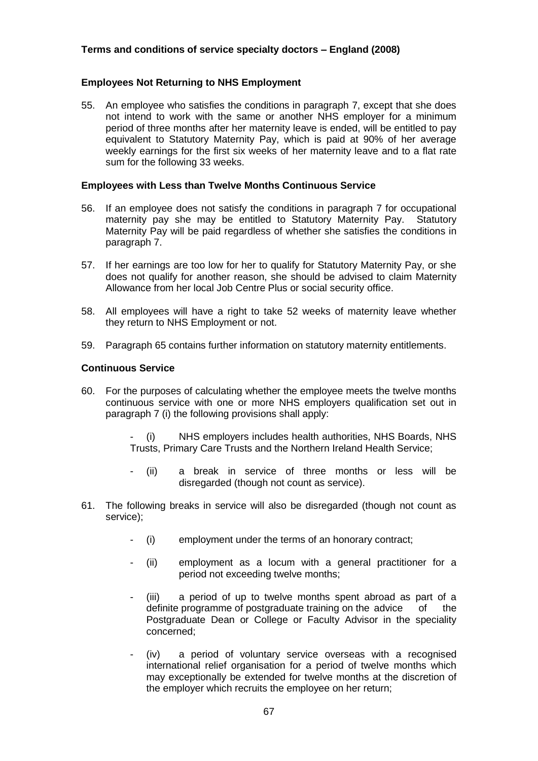### **Employees Not Returning to NHS Employment**

55. An employee who satisfies the conditions in paragraph 7, except that she does not intend to work with the same or another NHS employer for a minimum period of three months after her maternity leave is ended, will be entitled to pay equivalent to Statutory Maternity Pay, which is paid at 90% of her average weekly earnings for the first six weeks of her maternity leave and to a flat rate sum for the following 33 weeks.

#### **Employees with Less than Twelve Months Continuous Service**

- 56. If an employee does not satisfy the conditions in paragraph 7 for occupational maternity pay she may be entitled to Statutory Maternity Pay. Statutory Maternity Pay will be paid regardless of whether she satisfies the conditions in paragraph 7.
- 57. If her earnings are too low for her to qualify for Statutory Maternity Pay, or she does not qualify for another reason, she should be advised to claim Maternity Allowance from her local Job Centre Plus or social security office.
- 58. All employees will have a right to take 52 weeks of maternity leave whether they return to NHS Employment or not.
- 59. Paragraph 65 contains further information on statutory maternity entitlements.

#### **Continuous Service**

60. For the purposes of calculating whether the employee meets the twelve months continuous service with one or more NHS employers qualification set out in paragraph 7 (i) the following provisions shall apply:

> - (i) NHS employers includes health authorities, NHS Boards, NHS Trusts, Primary Care Trusts and the Northern Ireland Health Service;

- (ii) a break in service of three months or less will be disregarded (though not count as service).
- 61. The following breaks in service will also be disregarded (though not count as service);
	- (i) employment under the terms of an honorary contract;
	- (ii) employment as a locum with a general practitioner for a period not exceeding twelve months;
	- (iii) a period of up to twelve months spent abroad as part of a definite programme of postgraduate training on the advice of the Postgraduate Dean or College or Faculty Advisor in the speciality concerned;
	- (iv) a period of voluntary service overseas with a recognised international relief organisation for a period of twelve months which may exceptionally be extended for twelve months at the discretion of the employer which recruits the employee on her return;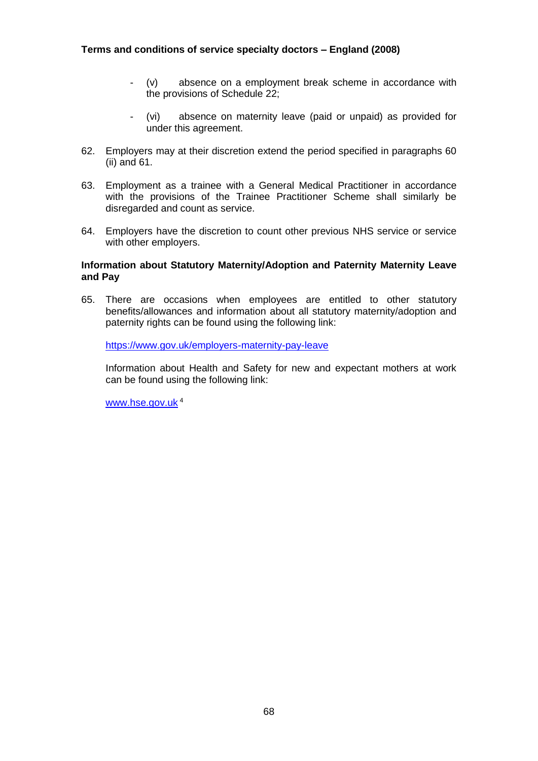- (v) absence on a employment break scheme in accordance with the provisions of Schedule 22;
- (vi) absence on maternity leave (paid or unpaid) as provided for under this agreement.
- 62. Employers may at their discretion extend the period specified in paragraphs 60 (ii) and 61.
- 63. Employment as a trainee with a General Medical Practitioner in accordance with the provisions of the Trainee Practitioner Scheme shall similarly be disregarded and count as service.
- 64. Employers have the discretion to count other previous NHS service or service with other employers.

#### **Information about Statutory Maternity/Adoption and Paternity Maternity Leave and Pay**

65. There are occasions when employees are entitled to other statutory benefits/allowances and information about all statutory maternity/adoption and paternity rights can be found using the following link:

<https://www.gov.uk/employers-maternity-pay-leave>

Information about Health and Safety for new and expectant mothers at work can be found using the following link:

[www.hse.gov.uk](http://www.hse.gov.uk/) <sup>4</sup>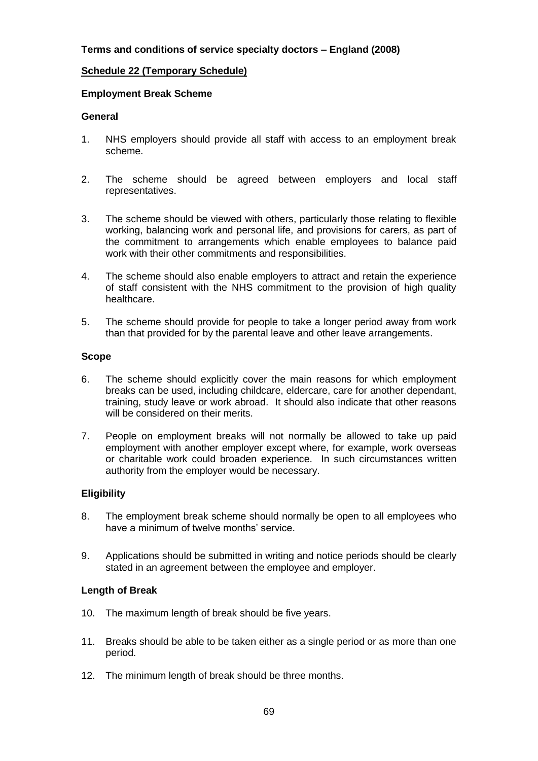### **Schedule 22 (Temporary Schedule)**

#### **Employment Break Scheme**

#### **General**

- 1. NHS employers should provide all staff with access to an employment break scheme.
- 2. The scheme should be agreed between employers and local staff representatives.
- 3. The scheme should be viewed with others, particularly those relating to flexible working, balancing work and personal life, and provisions for carers, as part of the commitment to arrangements which enable employees to balance paid work with their other commitments and responsibilities.
- 4. The scheme should also enable employers to attract and retain the experience of staff consistent with the NHS commitment to the provision of high quality healthcare.
- 5. The scheme should provide for people to take a longer period away from work than that provided for by the parental leave and other leave arrangements.

#### **Scope**

- 6. The scheme should explicitly cover the main reasons for which employment breaks can be used, including childcare, eldercare, care for another dependant, training, study leave or work abroad. It should also indicate that other reasons will be considered on their merits.
- 7. People on employment breaks will not normally be allowed to take up paid employment with another employer except where, for example, work overseas or charitable work could broaden experience. In such circumstances written authority from the employer would be necessary.

### **Eligibility**

- 8. The employment break scheme should normally be open to all employees who have a minimum of twelve months' service.
- 9. Applications should be submitted in writing and notice periods should be clearly stated in an agreement between the employee and employer.

### **Length of Break**

- 10. The maximum length of break should be five years.
- 11. Breaks should be able to be taken either as a single period or as more than one period.
- 12. The minimum length of break should be three months.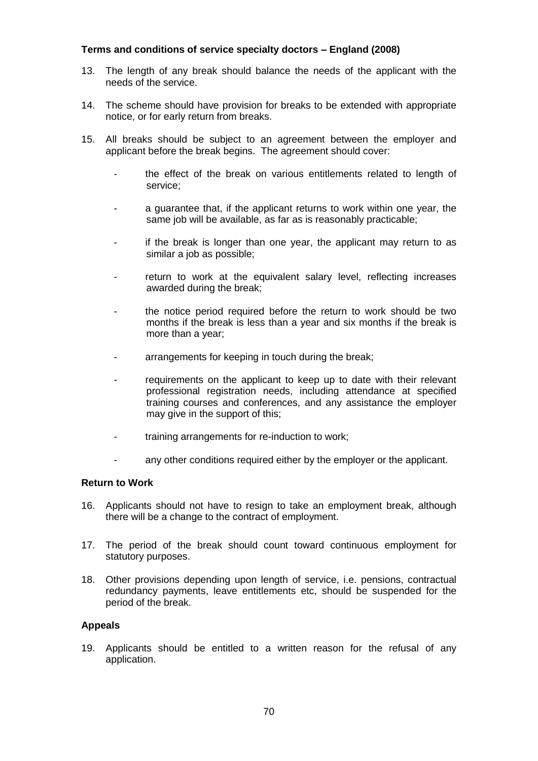- 13. The length of any break should balance the needs of the applicant with the needs of the service.
- 14. The scheme should have provision for breaks to be extended with appropriate notice, or for early return from breaks.
- 15. All breaks should be subject to an agreement between the employer and applicant before the break begins. The agreement should cover:
	- the effect of the break on various entitlements related to length of service;
	- a quarantee that, if the applicant returns to work within one year, the same job will be available, as far as is reasonably practicable;
	- if the break is longer than one year, the applicant may return to as similar a job as possible;
	- return to work at the equivalent salary level, reflecting increases awarded during the break;
	- the notice period required before the return to work should be two months if the break is less than a year and six months if the break is more than a year;
	- arrangements for keeping in touch during the break;
	- requirements on the applicant to keep up to date with their relevant professional registration needs, including attendance at specified training courses and conferences, and any assistance the employer may give in the support of this;
	- training arrangements for re-induction to work;
	- any other conditions required either by the employer or the applicant.

#### **Return to Work**

- 16. Applicants should not have to resign to take an employment break, although there will be a change to the contract of employment.
- 17. The period of the break should count toward continuous employment for statutory purposes.
- 18. Other provisions depending upon length of service, i.e. pensions, contractual redundancy payments, leave entitlements etc, should be suspended for the period of the break.

#### **Appeals**

19. Applicants should be entitled to a written reason for the refusal of any application.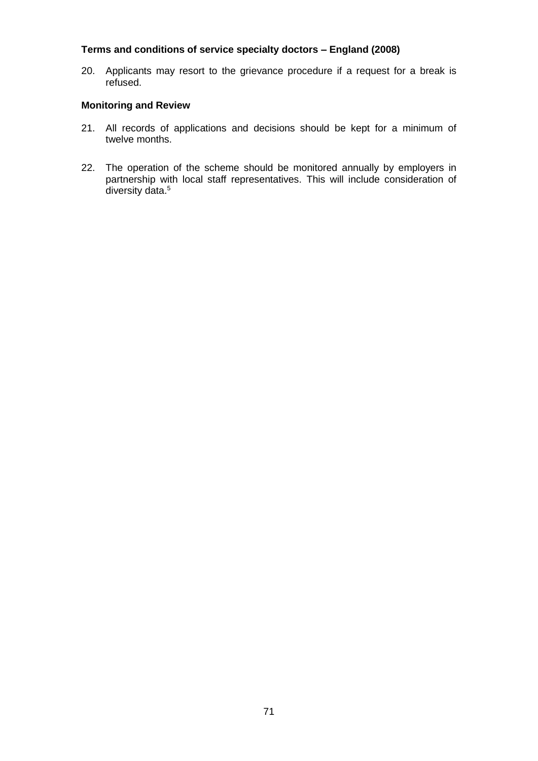20. Applicants may resort to the grievance procedure if a request for a break is refused.

### **Monitoring and Review**

- 21. All records of applications and decisions should be kept for a minimum of twelve months.
- 22. The operation of the scheme should be monitored annually by employers in partnership with local staff representatives. This will include consideration of diversity data.<sup>5</sup>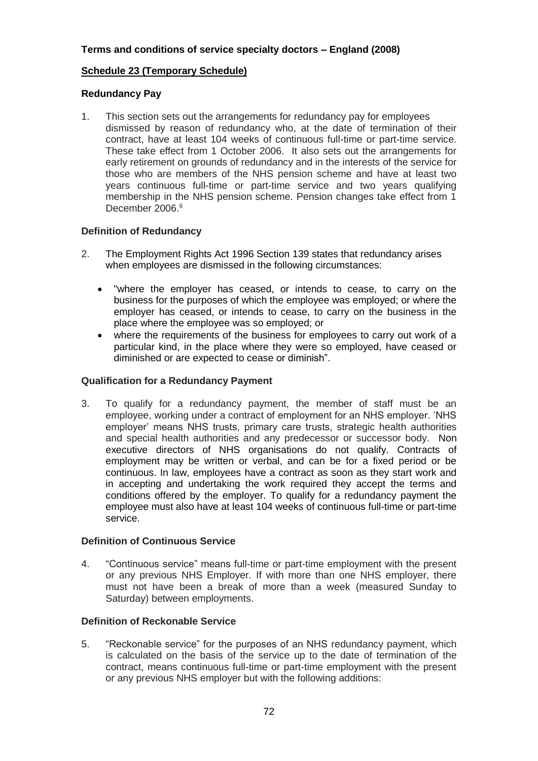### **Schedule 23 (Temporary Schedule)**

### **Redundancy Pay**

1. This section sets out the arrangements for redundancy pay for employees dismissed by reason of redundancy who, at the date of termination of their contract, have at least 104 weeks of continuous full-time or part-time service. These take effect from 1 October 2006. It also sets out the arrangements for early retirement on grounds of redundancy and in the interests of the service for those who are members of the NHS pension scheme and have at least two years continuous full-time or part-time service and two years qualifying membership in the NHS pension scheme. Pension changes take effect from 1 December 2006.<sup>6</sup>

### **Definition of Redundancy**

- 2. The Employment Rights Act 1996 Section 139 states that redundancy arises when employees are dismissed in the following circumstances:
	- "where the employer has ceased, or intends to cease, to carry on the business for the purposes of which the employee was employed; or where the employer has ceased, or intends to cease, to carry on the business in the place where the employee was so employed; or
	- where the requirements of the business for employees to carry out work of a particular kind, in the place where they were so employed, have ceased or diminished or are expected to cease or diminish".

### **Qualification for a Redundancy Payment**

3. To qualify for a redundancy payment, the member of staff must be an employee, working under a contract of employment for an NHS employer. 'NHS employer' means NHS trusts, primary care trusts, strategic health authorities and special health authorities and any predecessor or successor body. Non executive directors of NHS organisations do not qualify. Contracts of employment may be written or verbal, and can be for a fixed period or be continuous. In law, employees have a contract as soon as they start work and in accepting and undertaking the work required they accept the terms and conditions offered by the employer. To qualify for a redundancy payment the employee must also have at least 104 weeks of continuous full-time or part-time service.

### **Definition of Continuous Service**

4. "Continuous service" means full-time or part-time employment with the present or any previous NHS Employer. If with more than one NHS employer, there must not have been a break of more than a week (measured Sunday to Saturday) between employments.

### **Definition of Reckonable Service**

5. "Reckonable service" for the purposes of an NHS redundancy payment, which is calculated on the basis of the service up to the date of termination of the contract, means continuous full-time or part-time employment with the present or any previous NHS employer but with the following additions: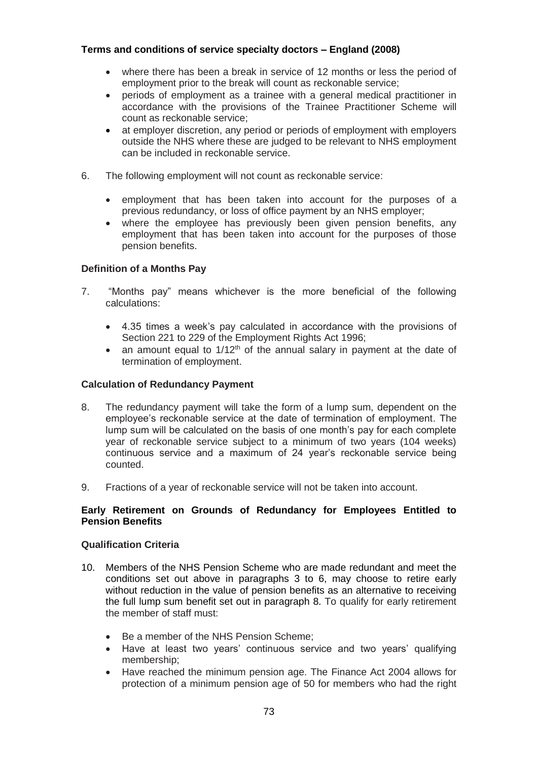- where there has been a break in service of 12 months or less the period of employment prior to the break will count as reckonable service;
- periods of employment as a trainee with a general medical practitioner in accordance with the provisions of the Trainee Practitioner Scheme will count as reckonable service;
- at employer discretion, any period or periods of employment with employers outside the NHS where these are judged to be relevant to NHS employment can be included in reckonable service.
- 6. The following employment will not count as reckonable service:
	- employment that has been taken into account for the purposes of a previous redundancy, or loss of office payment by an NHS employer;
	- where the employee has previously been given pension benefits, any employment that has been taken into account for the purposes of those pension benefits.

# **Definition of a Months Pay**

- 7. "Months pay" means whichever is the more beneficial of the following calculations:
	- 4.35 times a week's pay calculated in accordance with the provisions of Section 221 to 229 of the Employment Rights Act 1996;
	- an amount equal to  $1/12<sup>th</sup>$  of the annual salary in payment at the date of termination of employment.

## **Calculation of Redundancy Payment**

- 8. The redundancy payment will take the form of a lump sum, dependent on the employee's reckonable service at the date of termination of employment. The lump sum will be calculated on the basis of one month's pay for each complete year of reckonable service subject to a minimum of two years (104 weeks) continuous service and a maximum of 24 year's reckonable service being counted.
- 9. Fractions of a year of reckonable service will not be taken into account.

#### **Early Retirement on Grounds of Redundancy for Employees Entitled to Pension Benefits**

#### **Qualification Criteria**

- 10. Members of the NHS Pension Scheme who are made redundant and meet the conditions set out above in paragraphs 3 to 6, may choose to retire early without reduction in the value of pension benefits as an alternative to receiving the full lump sum benefit set out in paragraph 8. To qualify for early retirement the member of staff must:
	- Be a member of the NHS Pension Scheme;
	- Have at least two years' continuous service and two years' qualifying membership;
	- Have reached the minimum pension age. The Finance Act 2004 allows for protection of a minimum pension age of 50 for members who had the right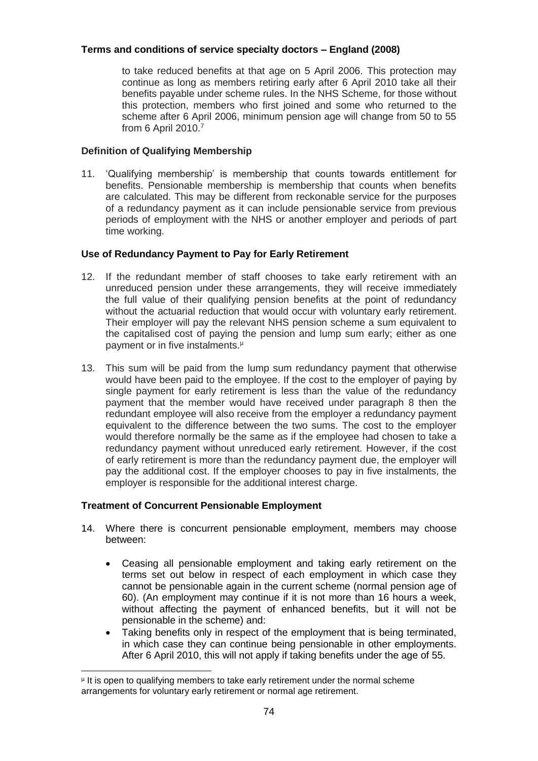to take reduced benefits at that age on 5 April 2006. This protection may continue as long as members retiring early after 6 April 2010 take all their benefits payable under scheme rules. In the NHS Scheme, for those without this protection, members who first joined and some who returned to the scheme after 6 April 2006, minimum pension age will change from 50 to 55 from 6 April 2010. $7$ 

# **Definition of Qualifying Membership**

11. 'Qualifying membership' is membership that counts towards entitlement for benefits. Pensionable membership is membership that counts when benefits are calculated. This may be different from reckonable service for the purposes of a redundancy payment as it can include pensionable service from previous periods of employment with the NHS or another employer and periods of part time working.

# **Use of Redundancy Payment to Pay for Early Retirement**

- 12. If the redundant member of staff chooses to take early retirement with an unreduced pension under these arrangements, they will receive immediately the full value of their qualifying pension benefits at the point of redundancy without the actuarial reduction that would occur with voluntary early retirement. Their employer will pay the relevant NHS pension scheme a sum equivalent to the capitalised cost of paying the pension and lump sum early; either as one payment or in five instalments.<sup>µ</sup>
- 13. This sum will be paid from the lump sum redundancy payment that otherwise would have been paid to the employee. If the cost to the employer of paying by single payment for early retirement is less than the value of the redundancy payment that the member would have received under paragraph 8 then the redundant employee will also receive from the employer a redundancy payment equivalent to the difference between the two sums. The cost to the employer would therefore normally be the same as if the employee had chosen to take a redundancy payment without unreduced early retirement. However, if the cost of early retirement is more than the redundancy payment due, the employer will pay the additional cost. If the employer chooses to pay in five instalments, the employer is responsible for the additional interest charge.

# **Treatment of Concurrent Pensionable Employment**

-

- 14. Where there is concurrent pensionable employment, members may choose between:
	- Ceasing all pensionable employment and taking early retirement on the terms set out below in respect of each employment in which case they cannot be pensionable again in the current scheme (normal pension age of 60). (An employment may continue if it is not more than 16 hours a week, without affecting the payment of enhanced benefits, but it will not be pensionable in the scheme) and:
	- Taking benefits only in respect of the employment that is being terminated, in which case they can continue being pensionable in other employments. After 6 April 2010, this will not apply if taking benefits under the age of 55.

µ It is open to qualifying members to take early retirement under the normal scheme arrangements for voluntary early retirement or normal age retirement.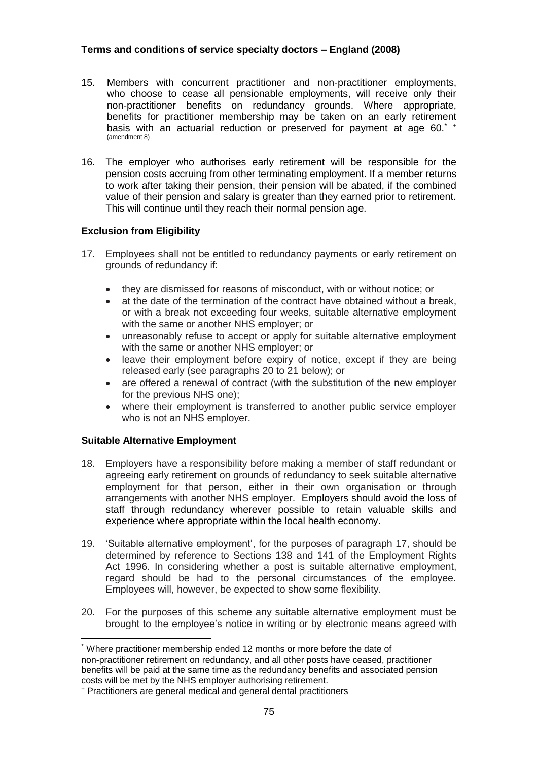- 15. Members with concurrent practitioner and non-practitioner employments, who choose to cease all pensionable employments, will receive only their non-practitioner benefits on redundancy grounds. Where appropriate, benefits for practitioner membership may be taken on an early retirement basis with an actuarial reduction or preserved for payment at age 60.\* + (amendment 8)
- 16. The employer who authorises early retirement will be responsible for the pension costs accruing from other terminating employment. If a member returns to work after taking their pension, their pension will be abated, if the combined value of their pension and salary is greater than they earned prior to retirement. This will continue until they reach their normal pension age.

# **Exclusion from Eligibility**

- 17. Employees shall not be entitled to redundancy payments or early retirement on grounds of redundancy if:
	- they are dismissed for reasons of misconduct, with or without notice; or
	- at the date of the termination of the contract have obtained without a break, or with a break not exceeding four weeks, suitable alternative employment with the same or another NHS employer; or
	- unreasonably refuse to accept or apply for suitable alternative employment with the same or another NHS employer; or
	- leave their employment before expiry of notice, except if they are being released early (see paragraphs 20 to 21 below); or
	- are offered a renewal of contract (with the substitution of the new employer for the previous NHS one);
	- where their employment is transferred to another public service employer who is not an NHS employer.

## **Suitable Alternative Employment**

-

- 18. Employers have a responsibility before making a member of staff redundant or agreeing early retirement on grounds of redundancy to seek suitable alternative employment for that person, either in their own organisation or through arrangements with another NHS employer.Employers should avoid the loss of staff through redundancy wherever possible to retain valuable skills and experience where appropriate within the local health economy.
- 19. 'Suitable alternative employment', for the purposes of paragraph 17, should be determined by reference to Sections 138 and 141 of the Employment Rights Act 1996. In considering whether a post is suitable alternative employment, regard should be had to the personal circumstances of the employee. Employees will, however, be expected to show some flexibility.
- 20. For the purposes of this scheme any suitable alternative employment must be brought to the employee's notice in writing or by electronic means agreed with

<sup>\*</sup> Where practitioner membership ended 12 months or more before the date of non-practitioner retirement on redundancy, and all other posts have ceased, practitioner benefits will be paid at the same time as the redundancy benefits and associated pension

costs will be met by the NHS employer authorising retirement.

<sup>+</sup> Practitioners are general medical and general dental practitioners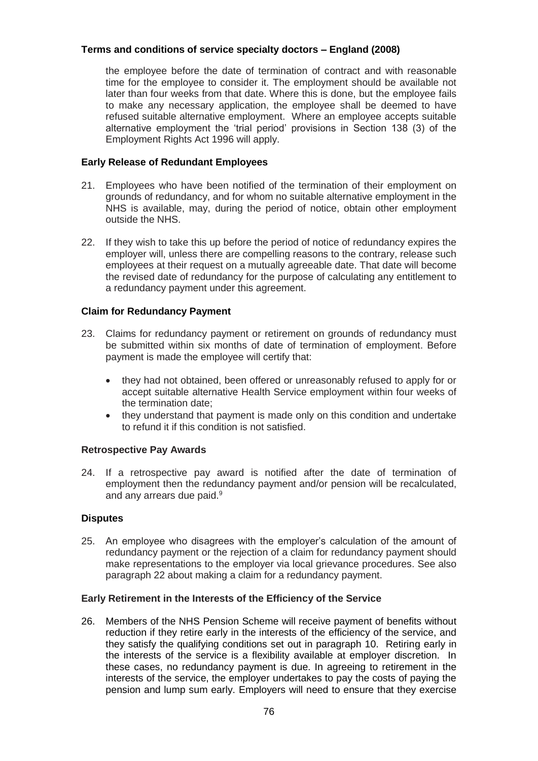the employee before the date of termination of contract and with reasonable time for the employee to consider it. The employment should be available not later than four weeks from that date. Where this is done, but the employee fails to make any necessary application, the employee shall be deemed to have refused suitable alternative employment. Where an employee accepts suitable alternative employment the 'trial period' provisions in Section 138 (3) of the Employment Rights Act 1996 will apply.

## **Early Release of Redundant Employees**

- 21. Employees who have been notified of the termination of their employment on grounds of redundancy, and for whom no suitable alternative employment in the NHS is available, may, during the period of notice, obtain other employment outside the NHS.
- 22. If they wish to take this up before the period of notice of redundancy expires the employer will, unless there are compelling reasons to the contrary, release such employees at their request on a mutually agreeable date. That date will become the revised date of redundancy for the purpose of calculating any entitlement to a redundancy payment under this agreement.

## **Claim for Redundancy Payment**

- 23. Claims for redundancy payment or retirement on grounds of redundancy must be submitted within six months of date of termination of employment. Before payment is made the employee will certify that:
	- they had not obtained, been offered or unreasonably refused to apply for or accept suitable alternative Health Service employment within four weeks of the termination date;
	- they understand that payment is made only on this condition and undertake to refund it if this condition is not satisfied.

## **Retrospective Pay Awards**

24. If a retrospective pay award is notified after the date of termination of employment then the redundancy payment and/or pension will be recalculated, and any arrears due paid. 9

## **Disputes**

25. An employee who disagrees with the employer's calculation of the amount of redundancy payment or the rejection of a claim for redundancy payment should make representations to the employer via local grievance procedures. See also paragraph 22 about making a claim for a redundancy payment.

## **Early Retirement in the Interests of the Efficiency of the Service**

26. Members of the NHS Pension Scheme will receive payment of benefits without reduction if they retire early in the interests of the efficiency of the service, and they satisfy the qualifying conditions set out in paragraph 10. Retiring early in the interests of the service is a flexibility available at employer discretion. In these cases, no redundancy payment is due. In agreeing to retirement in the interests of the service, the employer undertakes to pay the costs of paying the pension and lump sum early. Employers will need to ensure that they exercise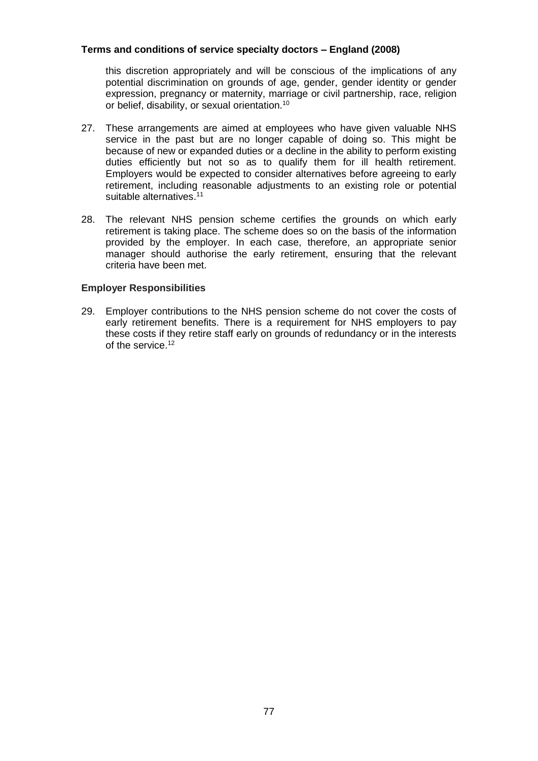this discretion appropriately and will be conscious of the implications of any potential discrimination on grounds of age, gender, gender identity or gender expression, pregnancy or maternity, marriage or civil partnership, race, religion or belief, disability, or sexual orientation.<sup>10</sup>

- 27. These arrangements are aimed at employees who have given valuable NHS service in the past but are no longer capable of doing so. This might be because of new or expanded duties or a decline in the ability to perform existing duties efficiently but not so as to qualify them for ill health retirement. Employers would be expected to consider alternatives before agreeing to early retirement, including reasonable adjustments to an existing role or potential suitable alternatives.<sup>11</sup>
- 28. The relevant NHS pension scheme certifies the grounds on which early retirement is taking place. The scheme does so on the basis of the information provided by the employer. In each case, therefore, an appropriate senior manager should authorise the early retirement, ensuring that the relevant criteria have been met.

#### **Employer Responsibilities**

29. Employer contributions to the NHS pension scheme do not cover the costs of early retirement benefits. There is a requirement for NHS employers to pay these costs if they retire staff early on grounds of redundancy or in the interests of the service.<sup>12</sup>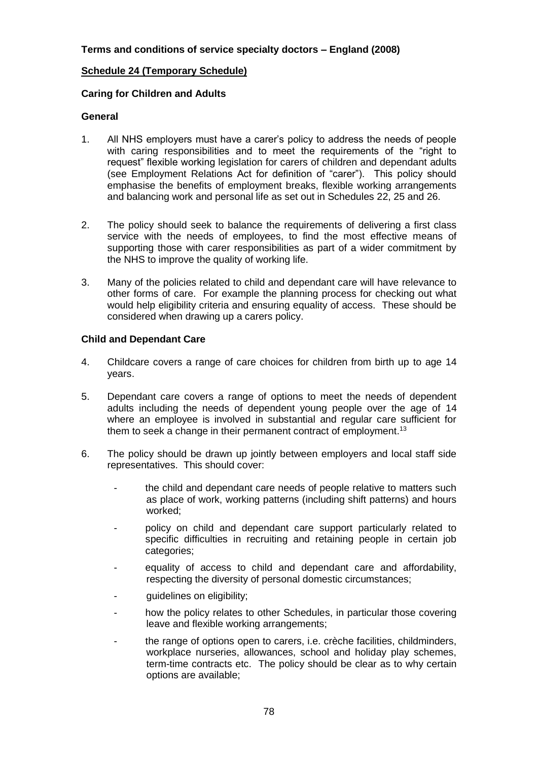## **Schedule 24 (Temporary Schedule)**

#### **Caring for Children and Adults**

#### **General**

- 1. All NHS employers must have a carer's policy to address the needs of people with caring responsibilities and to meet the requirements of the "right to request" flexible working legislation for carers of children and dependant adults (see Employment Relations Act for definition of "carer"). This policy should emphasise the benefits of employment breaks, flexible working arrangements and balancing work and personal life as set out in Schedules 22, 25 and 26.
- 2. The policy should seek to balance the requirements of delivering a first class service with the needs of employees, to find the most effective means of supporting those with carer responsibilities as part of a wider commitment by the NHS to improve the quality of working life.
- 3. Many of the policies related to child and dependant care will have relevance to other forms of care. For example the planning process for checking out what would help eligibility criteria and ensuring equality of access. These should be considered when drawing up a carers policy.

#### **Child and Dependant Care**

- 4. Childcare covers a range of care choices for children from birth up to age 14 years.
- 5. Dependant care covers a range of options to meet the needs of dependent adults including the needs of dependent young people over the age of 14 where an employee is involved in substantial and regular care sufficient for them to seek a change in their permanent contract of employment.<sup>13</sup>
- 6. The policy should be drawn up jointly between employers and local staff side representatives. This should cover:
	- the child and dependant care needs of people relative to matters such as place of work, working patterns (including shift patterns) and hours worked;
	- policy on child and dependant care support particularly related to specific difficulties in recruiting and retaining people in certain job categories;
	- equality of access to child and dependant care and affordability, respecting the diversity of personal domestic circumstances;
	- quidelines on eligibility;
	- how the policy relates to other Schedules, in particular those covering leave and flexible working arrangements;
	- the range of options open to carers, i.e. crèche facilities, childminders, workplace nurseries, allowances, school and holiday play schemes, term-time contracts etc. The policy should be clear as to why certain options are available;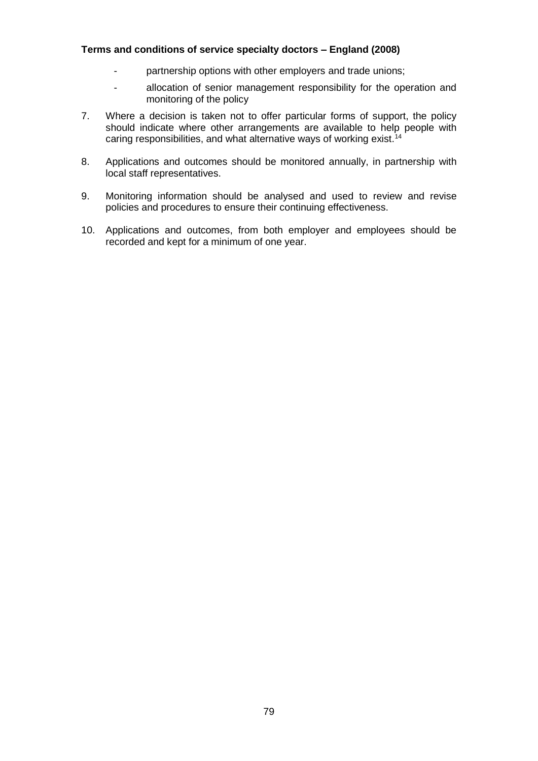- partnership options with other employers and trade unions;
- allocation of senior management responsibility for the operation and monitoring of the policy
- 7. Where a decision is taken not to offer particular forms of support, the policy should indicate where other arrangements are available to help people with caring responsibilities, and what alternative ways of working exist.<sup>14</sup>
- 8. Applications and outcomes should be monitored annually, in partnership with local staff representatives.
- 9. Monitoring information should be analysed and used to review and revise policies and procedures to ensure their continuing effectiveness.
- 10. Applications and outcomes, from both employer and employees should be recorded and kept for a minimum of one year.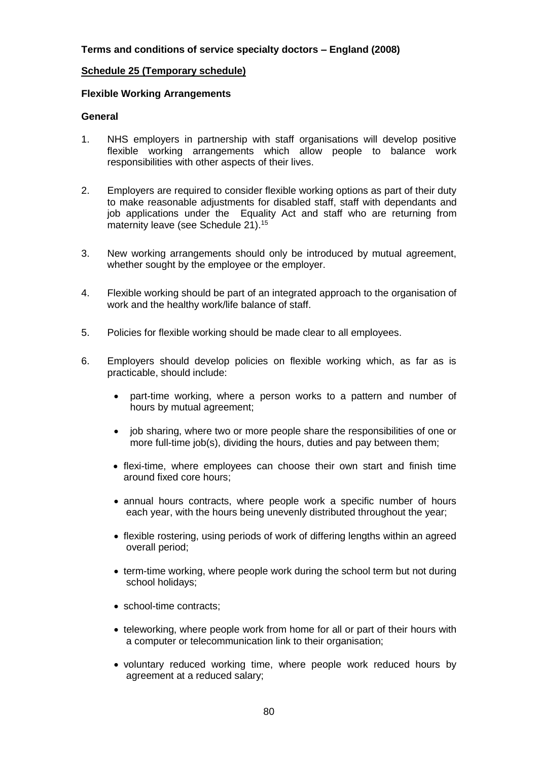#### **Schedule 25 (Temporary schedule)**

#### **Flexible Working Arrangements**

#### **General**

- 1. NHS employers in partnership with staff organisations will develop positive flexible working arrangements which allow people to balance work responsibilities with other aspects of their lives.
- 2. Employers are required to consider flexible working options as part of their duty to make reasonable adjustments for disabled staff, staff with dependants and job applications under the Equality Act and staff who are returning from maternity leave (see Schedule 21).<sup>15</sup>
- 3. New working arrangements should only be introduced by mutual agreement, whether sought by the employee or the employer.
- 4. Flexible working should be part of an integrated approach to the organisation of work and the healthy work/life balance of staff.
- 5. Policies for flexible working should be made clear to all employees.
- 6. Employers should develop policies on flexible working which, as far as is practicable, should include:
	- part-time working, where a person works to a pattern and number of hours by mutual agreement;
	- job sharing, where two or more people share the responsibilities of one or more full-time job(s), dividing the hours, duties and pay between them;
	- flexi-time, where employees can choose their own start and finish time around fixed core hours;
	- annual hours contracts, where people work a specific number of hours each year, with the hours being unevenly distributed throughout the year;
	- flexible rostering, using periods of work of differing lengths within an agreed overall period;
	- term-time working, where people work during the school term but not during school holidays;
	- school-time contracts:
	- teleworking, where people work from home for all or part of their hours with a computer or telecommunication link to their organisation;
	- voluntary reduced working time, where people work reduced hours by agreement at a reduced salary;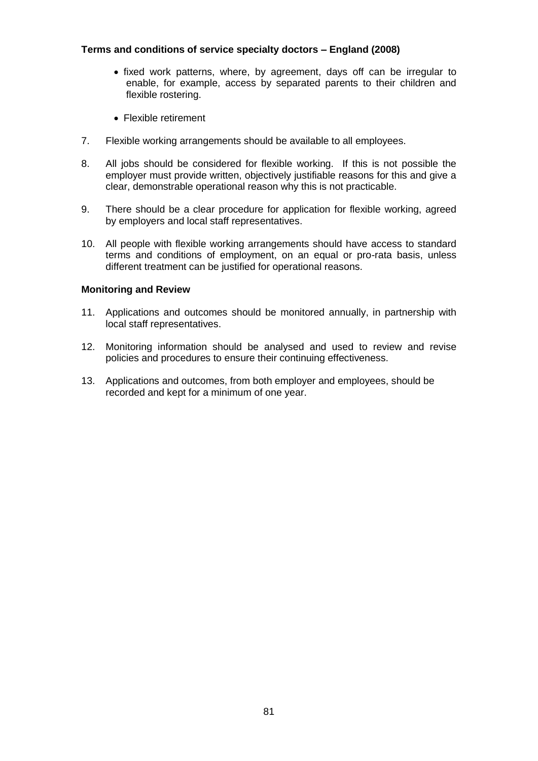- fixed work patterns, where, by agreement, days off can be irregular to enable, for example, access by separated parents to their children and flexible rostering.
- Flexible retirement
- 7. Flexible working arrangements should be available to all employees.
- 8. All jobs should be considered for flexible working. If this is not possible the employer must provide written, objectively justifiable reasons for this and give a clear, demonstrable operational reason why this is not practicable.
- 9. There should be a clear procedure for application for flexible working, agreed by employers and local staff representatives.
- 10. All people with flexible working arrangements should have access to standard terms and conditions of employment, on an equal or pro-rata basis, unless different treatment can be justified for operational reasons.

## **Monitoring and Review**

- 11. Applications and outcomes should be monitored annually, in partnership with local staff representatives.
- 12. Monitoring information should be analysed and used to review and revise policies and procedures to ensure their continuing effectiveness.
- 13. Applications and outcomes, from both employer and employees, should be recorded and kept for a minimum of one year.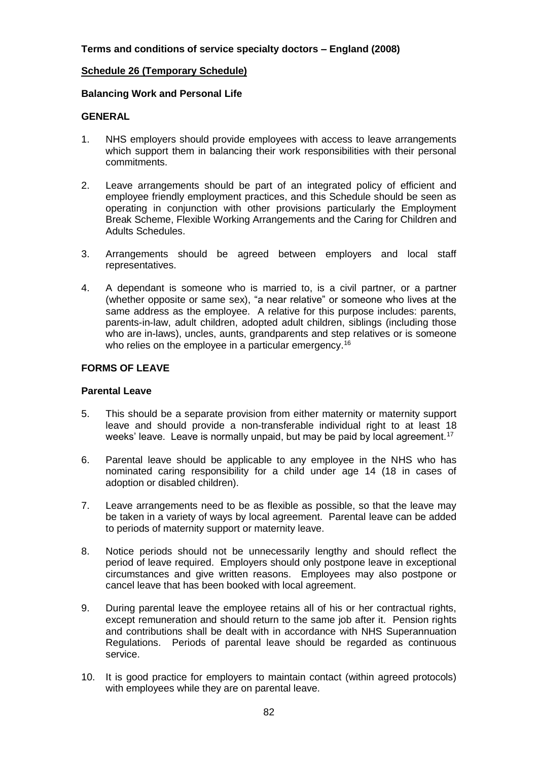## **Schedule 26 (Temporary Schedule)**

## **Balancing Work and Personal Life**

# **GENERAL**

- 1. NHS employers should provide employees with access to leave arrangements which support them in balancing their work responsibilities with their personal commitments.
- 2. Leave arrangements should be part of an integrated policy of efficient and employee friendly employment practices, and this Schedule should be seen as operating in conjunction with other provisions particularly the Employment Break Scheme, Flexible Working Arrangements and the Caring for Children and Adults Schedules.
- 3. Arrangements should be agreed between employers and local staff representatives.
- 4. A dependant is someone who is married to, is a civil partner, or a partner (whether opposite or same sex), "a near relative" or someone who lives at the same address as the employee. A relative for this purpose includes: parents, parents-in-law, adult children, adopted adult children, siblings (including those who are in-laws), uncles, aunts, grandparents and step relatives or is someone who relies on the employee in a particular emergency.<sup>16</sup>

## **FORMS OF LEAVE**

## **Parental Leave**

- 5. This should be a separate provision from either maternity or maternity support leave and should provide a non-transferable individual right to at least 18 weeks' leave. Leave is normally unpaid, but may be paid by local agreement.<sup>17</sup>
- 6. Parental leave should be applicable to any employee in the NHS who has nominated caring responsibility for a child under age 14 (18 in cases of adoption or disabled children).
- 7. Leave arrangements need to be as flexible as possible, so that the leave may be taken in a variety of ways by local agreement. Parental leave can be added to periods of maternity support or maternity leave.
- 8. Notice periods should not be unnecessarily lengthy and should reflect the period of leave required. Employers should only postpone leave in exceptional circumstances and give written reasons. Employees may also postpone or cancel leave that has been booked with local agreement.
- 9. During parental leave the employee retains all of his or her contractual rights, except remuneration and should return to the same job after it. Pension rights and contributions shall be dealt with in accordance with NHS Superannuation Regulations. Periods of parental leave should be regarded as continuous service.
- 10. It is good practice for employers to maintain contact (within agreed protocols) with employees while they are on parental leave.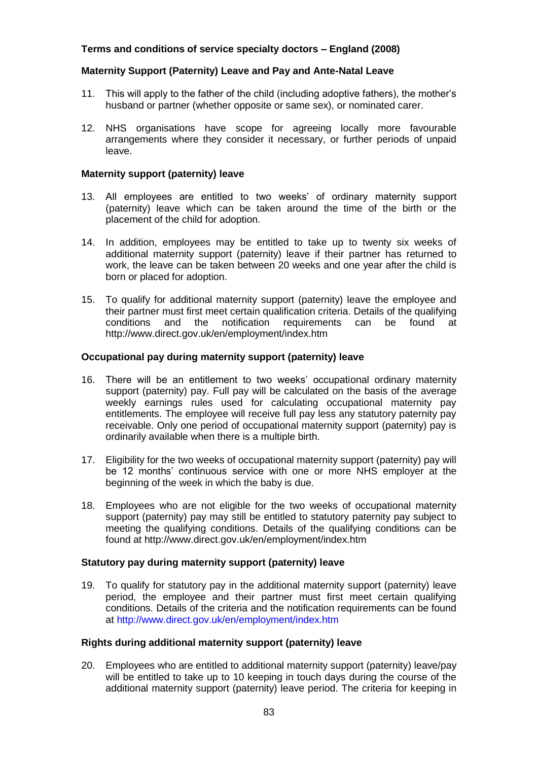#### **Maternity Support (Paternity) Leave and Pay and Ante-Natal Leave**

- 11. This will apply to the father of the child (including adoptive fathers), the mother's husband or partner (whether opposite or same sex), or nominated carer.
- 12. NHS organisations have scope for agreeing locally more favourable arrangements where they consider it necessary, or further periods of unpaid leave.

#### **Maternity support (paternity) leave**

- 13. All employees are entitled to two weeks' of ordinary maternity support (paternity) leave which can be taken around the time of the birth or the placement of the child for adoption.
- 14. In addition, employees may be entitled to take up to twenty six weeks of additional maternity support (paternity) leave if their partner has returned to work, the leave can be taken between 20 weeks and one year after the child is born or placed for adoption.
- 15. To qualify for additional maternity support (paternity) leave the employee and their partner must first meet certain qualification criteria. Details of the qualifying conditions and the notification requirements can be found at http://www.direct.gov.uk/en/employment/index.htm

#### **Occupational pay during maternity support (paternity) leave**

- 16. There will be an entitlement to two weeks' occupational ordinary maternity support (paternity) pay. Full pay will be calculated on the basis of the average weekly earnings rules used for calculating occupational maternity pay entitlements. The employee will receive full pay less any statutory paternity pay receivable. Only one period of occupational maternity support (paternity) pay is ordinarily available when there is a multiple birth.
- 17. Eligibility for the two weeks of occupational maternity support (paternity) pay will be 12 months' continuous service with one or more NHS employer at the beginning of the week in which the baby is due.
- 18. Employees who are not eligible for the two weeks of occupational maternity support (paternity) pay may still be entitled to statutory paternity pay subject to meeting the qualifying conditions. Details of the qualifying conditions can be found at http://www.direct.gov.uk/en/employment/index.htm

#### **Statutory pay during maternity support (paternity) leave**

19. To qualify for statutory pay in the additional maternity support (paternity) leave period, the employee and their partner must first meet certain qualifying conditions. Details of the criteria and the notification requirements can be found at http://www.direct.gov.uk/en/employment/index.htm

#### **Rights during additional maternity support (paternity) leave**

20. Employees who are entitled to additional maternity support (paternity) leave/pay will be entitled to take up to 10 keeping in touch days during the course of the additional maternity support (paternity) leave period. The criteria for keeping in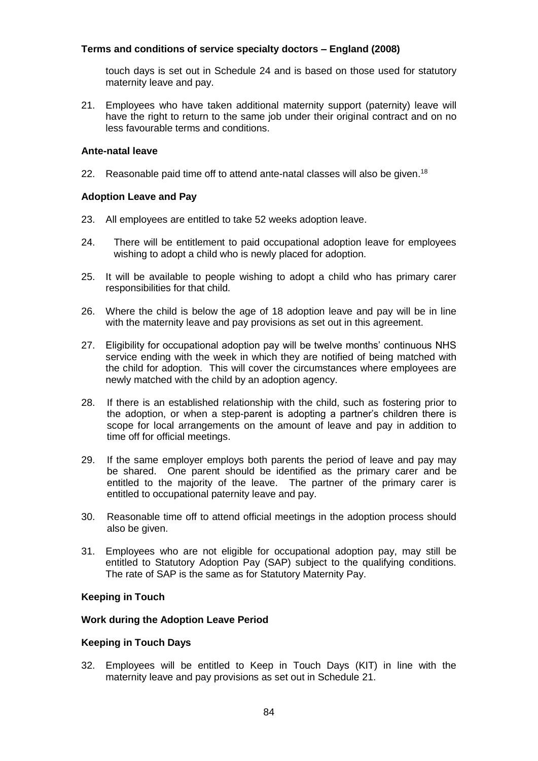touch days is set out in Schedule 24 and is based on those used for statutory maternity leave and pay.

21. Employees who have taken additional maternity support (paternity) leave will have the right to return to the same job under their original contract and on no less favourable terms and conditions.

#### **Ante-natal leave**

22. Reasonable paid time off to attend ante-natal classes will also be given.<sup>18</sup>

#### **Adoption Leave and Pay**

- 23. All employees are entitled to take 52 weeks adoption leave.
- 24. There will be entitlement to paid occupational adoption leave for employees wishing to adopt a child who is newly placed for adoption.
- 25. It will be available to people wishing to adopt a child who has primary carer responsibilities for that child.
- 26. Where the child is below the age of 18 adoption leave and pay will be in line with the maternity leave and pay provisions as set out in this agreement.
- 27. Eligibility for occupational adoption pay will be twelve months' continuous NHS service ending with the week in which they are notified of being matched with the child for adoption. This will cover the circumstances where employees are newly matched with the child by an adoption agency.
- 28. If there is an established relationship with the child, such as fostering prior to the adoption, or when a step-parent is adopting a partner's children there is scope for local arrangements on the amount of leave and pay in addition to time off for official meetings.
- 29. If the same employer employs both parents the period of leave and pay may be shared. One parent should be identified as the primary carer and be entitled to the majority of the leave. The partner of the primary carer is entitled to occupational paternity leave and pay.
- 30. Reasonable time off to attend official meetings in the adoption process should also be given.
- 31. Employees who are not eligible for occupational adoption pay, may still be entitled to Statutory Adoption Pay (SAP) subject to the qualifying conditions. The rate of SAP is the same as for Statutory Maternity Pay.

#### **Keeping in Touch**

### **Work during the Adoption Leave Period**

## **Keeping in Touch Days**

32. Employees will be entitled to Keep in Touch Days (KIT) in line with the maternity leave and pay provisions as set out in Schedule 21.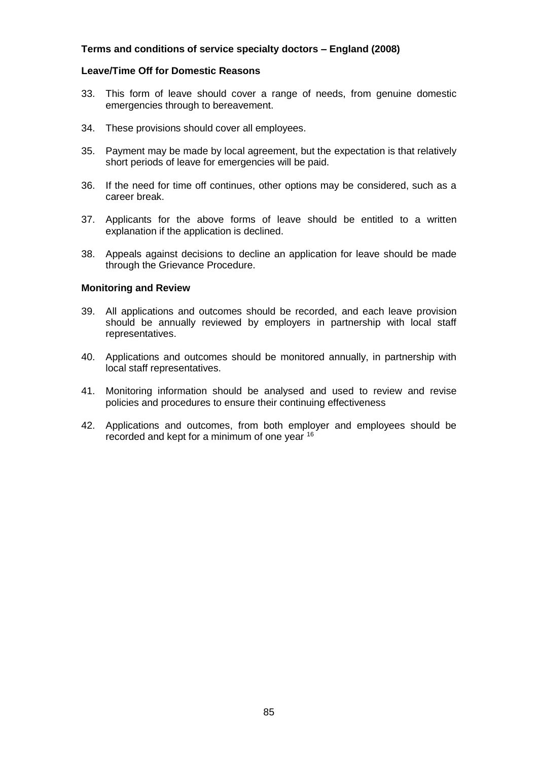#### **Leave/Time Off for Domestic Reasons**

- 33. This form of leave should cover a range of needs, from genuine domestic emergencies through to bereavement.
- 34. These provisions should cover all employees.
- 35. Payment may be made by local agreement, but the expectation is that relatively short periods of leave for emergencies will be paid.
- 36. If the need for time off continues, other options may be considered, such as a career break.
- 37. Applicants for the above forms of leave should be entitled to a written explanation if the application is declined.
- 38. Appeals against decisions to decline an application for leave should be made through the Grievance Procedure.

#### **Monitoring and Review**

- 39. All applications and outcomes should be recorded, and each leave provision should be annually reviewed by employers in partnership with local staff representatives.
- 40. Applications and outcomes should be monitored annually, in partnership with local staff representatives.
- 41. Monitoring information should be analysed and used to review and revise policies and procedures to ensure their continuing effectiveness
- 42. Applications and outcomes, from both employer and employees should be recorded and kept for a minimum of one year 16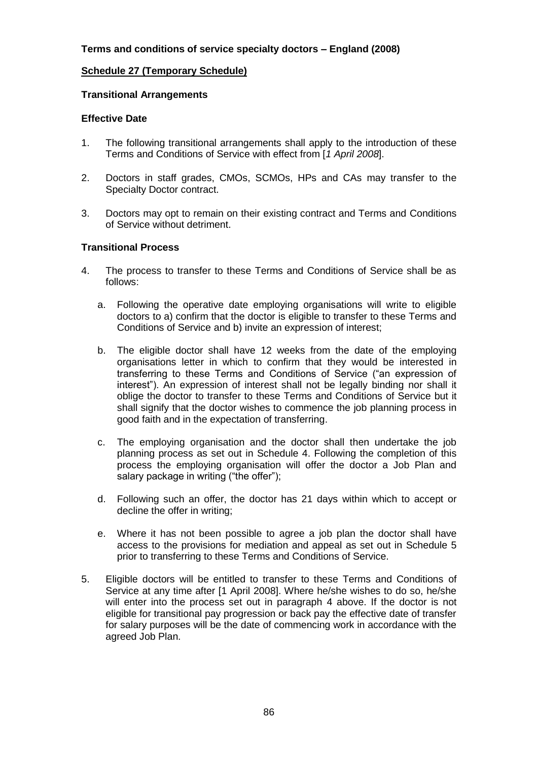#### **Schedule 27 (Temporary Schedule)**

#### **Transitional Arrangements**

#### **Effective Date**

- 1. The following transitional arrangements shall apply to the introduction of these Terms and Conditions of Service with effect from [*1 April 2008*].
- 2. Doctors in staff grades, CMOs, SCMOs, HPs and CAs may transfer to the Specialty Doctor contract.
- 3. Doctors may opt to remain on their existing contract and Terms and Conditions of Service without detriment.

#### **Transitional Process**

- 4. The process to transfer to these Terms and Conditions of Service shall be as follows:
	- a. Following the operative date employing organisations will write to eligible doctors to a) confirm that the doctor is eligible to transfer to these Terms and Conditions of Service and b) invite an expression of interest;
	- b. The eligible doctor shall have 12 weeks from the date of the employing organisations letter in which to confirm that they would be interested in transferring to these Terms and Conditions of Service ("an expression of interest"). An expression of interest shall not be legally binding nor shall it oblige the doctor to transfer to these Terms and Conditions of Service but it shall signify that the doctor wishes to commence the job planning process in good faith and in the expectation of transferring.
	- c. The employing organisation and the doctor shall then undertake the job planning process as set out in Schedule 4. Following the completion of this process the employing organisation will offer the doctor a Job Plan and salary package in writing ("the offer");
	- d. Following such an offer, the doctor has 21 days within which to accept or decline the offer in writing;
	- e. Where it has not been possible to agree a job plan the doctor shall have access to the provisions for mediation and appeal as set out in Schedule 5 prior to transferring to these Terms and Conditions of Service.
- 5. Eligible doctors will be entitled to transfer to these Terms and Conditions of Service at any time after [1 April 2008]. Where he/she wishes to do so, he/she will enter into the process set out in paragraph 4 above. If the doctor is not eligible for transitional pay progression or back pay the effective date of transfer for salary purposes will be the date of commencing work in accordance with the agreed Job Plan.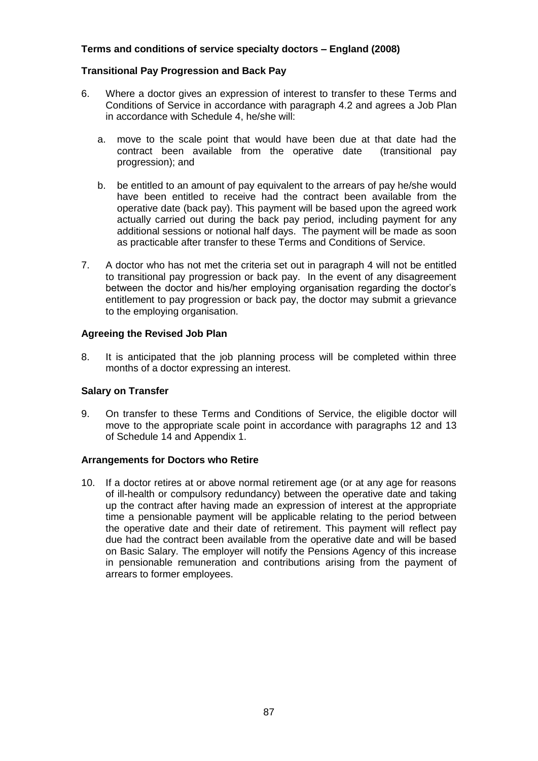### **Transitional Pay Progression and Back Pay**

- 6. Where a doctor gives an expression of interest to transfer to these Terms and Conditions of Service in accordance with paragraph 4.2 and agrees a Job Plan in accordance with Schedule 4, he/she will:
	- a. move to the scale point that would have been due at that date had the contract been available from the operative date (transitional pay progression); and
	- b. be entitled to an amount of pay equivalent to the arrears of pay he/she would have been entitled to receive had the contract been available from the operative date (back pay). This payment will be based upon the agreed work actually carried out during the back pay period, including payment for any additional sessions or notional half days. The payment will be made as soon as practicable after transfer to these Terms and Conditions of Service.
- 7. A doctor who has not met the criteria set out in paragraph 4 will not be entitled to transitional pay progression or back pay. In the event of any disagreement between the doctor and his/her employing organisation regarding the doctor's entitlement to pay progression or back pay, the doctor may submit a grievance to the employing organisation.

## **Agreeing the Revised Job Plan**

8. It is anticipated that the job planning process will be completed within three months of a doctor expressing an interest.

#### **Salary on Transfer**

9. On transfer to these Terms and Conditions of Service, the eligible doctor will move to the appropriate scale point in accordance with paragraphs 12 and 13 of Schedule 14 and Appendix 1.

## **Arrangements for Doctors who Retire**

10. If a doctor retires at or above normal retirement age (or at any age for reasons of ill-health or compulsory redundancy) between the operative date and taking up the contract after having made an expression of interest at the appropriate time a pensionable payment will be applicable relating to the period between the operative date and their date of retirement. This payment will reflect pay due had the contract been available from the operative date and will be based on Basic Salary. The employer will notify the Pensions Agency of this increase in pensionable remuneration and contributions arising from the payment of arrears to former employees.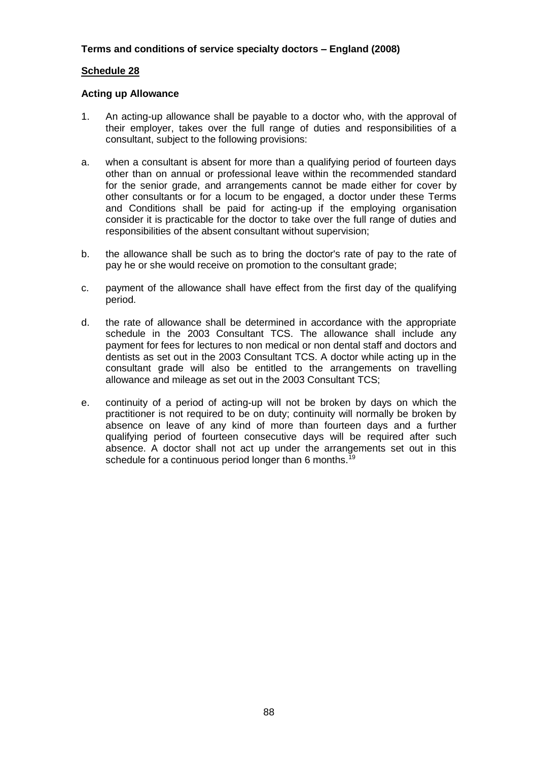## **Schedule 28**

## **Acting up Allowance**

- 1. An acting-up allowance shall be payable to a doctor who, with the approval of their employer, takes over the full range of duties and responsibilities of a consultant, subject to the following provisions:
- a. when a consultant is absent for more than a qualifying period of fourteen days other than on annual or professional leave within the recommended standard for the senior grade, and arrangements cannot be made either for cover by other consultants or for a locum to be engaged, a doctor under these Terms and Conditions shall be paid for acting-up if the employing organisation consider it is practicable for the doctor to take over the full range of duties and responsibilities of the absent consultant without supervision;
- b. the allowance shall be such as to bring the doctor's rate of pay to the rate of pay he or she would receive on promotion to the consultant grade;
- c. payment of the allowance shall have effect from the first day of the qualifying period.
- d. the rate of allowance shall be determined in accordance with the appropriate schedule in the 2003 Consultant TCS. The allowance shall include any payment for fees for lectures to non medical or non dental staff and doctors and dentists as set out in the 2003 Consultant TCS. A doctor while acting up in the consultant grade will also be entitled to the arrangements on travelling allowance and mileage as set out in the 2003 Consultant TCS;
- e. continuity of a period of acting-up will not be broken by days on which the practitioner is not required to be on duty; continuity will normally be broken by absence on leave of any kind of more than fourteen days and a further qualifying period of fourteen consecutive days will be required after such absence. A doctor shall not act up under the arrangements set out in this schedule for a continuous period longer than 6 months.<sup>19</sup>